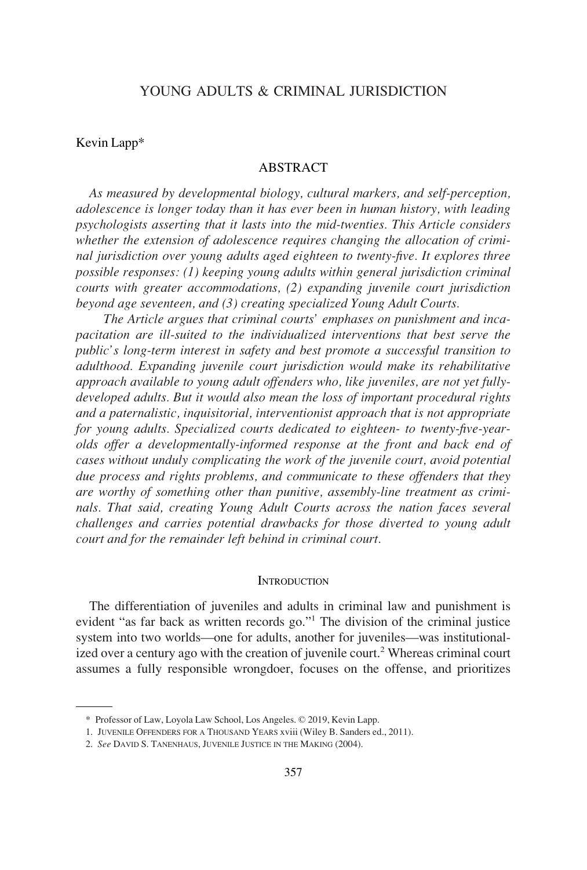# YOUNG ADULTS & CRIMINAL JURISDICTION

#### Kevin Lapp\*

#### ABSTRACT

*As measured by developmental biology, cultural markers, and self-perception, adolescence is longer today than it has ever been in human history, with leading psychologists asserting that it lasts into the mid-twenties. This Article considers whether the extension of adolescence requires changing the allocation of criminal jurisdiction over young adults aged eighteen to twenty-five. It explores three possible responses: (1) keeping young adults within general jurisdiction criminal courts with greater accommodations, (2) expanding juvenile court jurisdiction beyond age seventeen, and (3) creating specialized Young Adult Courts.* 

*The Article argues that criminal courts' emphases on punishment and incapacitation are ill-suited to the individualized interventions that best serve the public's long-term interest in safety and best promote a successful transition to adulthood. Expanding juvenile court jurisdiction would make its rehabilitative approach available to young adult offenders who, like juveniles, are not yet fullydeveloped adults. But it would also mean the loss of important procedural rights and a paternalistic, inquisitorial, interventionist approach that is not appropriate for young adults. Specialized courts dedicated to eighteen- to twenty-five-yearolds offer a developmentally-informed response at the front and back end of cases without unduly complicating the work of the juvenile court, avoid potential due process and rights problems, and communicate to these offenders that they are worthy of something other than punitive, assembly-line treatment as criminals. That said, creating Young Adult Courts across the nation faces several challenges and carries potential drawbacks for those diverted to young adult court and for the remainder left behind in criminal court.* 

#### **INTRODUCTION**

The differentiation of juveniles and adults in criminal law and punishment is evident "as far back as written records go."1 The division of the criminal justice system into two worlds—one for adults, another for juveniles—was institutionalized over a century ago with the creation of juvenile court.<sup>2</sup> Whereas criminal court assumes a fully responsible wrongdoer, focuses on the offense, and prioritizes

<sup>\*</sup> Professor of Law, Loyola Law School, Los Angeles. © 2019, Kevin Lapp.

<sup>1.</sup> JUVENILE OFFENDERS FOR A THOUSAND YEARS xviii (Wiley B. Sanders ed., 2011).

<sup>2.</sup> *See* DAVID S. TANENHAUS, JUVENILE JUSTICE IN THE MAKING (2004).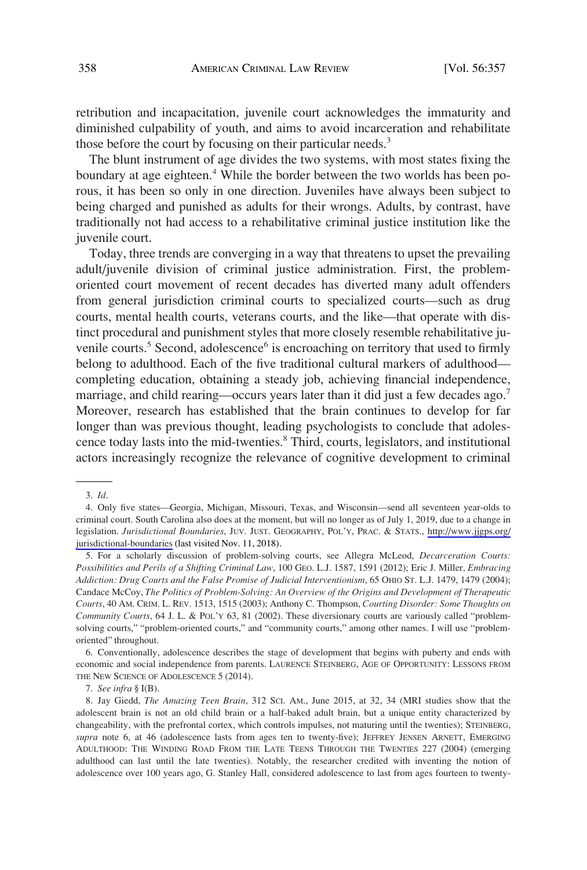retribution and incapacitation, juvenile court acknowledges the immaturity and diminished culpability of youth, and aims to avoid incarceration and rehabilitate those before the court by focusing on their particular needs.<sup>3</sup>

The blunt instrument of age divides the two systems, with most states fixing the boundary at age eighteen.<sup>4</sup> While the border between the two worlds has been porous, it has been so only in one direction. Juveniles have always been subject to being charged and punished as adults for their wrongs. Adults, by contrast, have traditionally not had access to a rehabilitative criminal justice institution like the juvenile court.

Today, three trends are converging in a way that threatens to upset the prevailing adult/juvenile division of criminal justice administration. First, the problemoriented court movement of recent decades has diverted many adult offenders from general jurisdiction criminal courts to specialized courts—such as drug courts, mental health courts, veterans courts, and the like—that operate with distinct procedural and punishment styles that more closely resemble rehabilitative juvenile courts.<sup>5</sup> Second, adolescence<sup>6</sup> is encroaching on territory that used to firmly belong to adulthood. Each of the five traditional cultural markers of adulthood completing education, obtaining a steady job, achieving financial independence, marriage, and child rearing—occurs years later than it did just a few decades ago.<sup>7</sup> Moreover, research has established that the brain continues to develop for far longer than was previous thought, leading psychologists to conclude that adolescence today lasts into the mid-twenties.<sup>8</sup> Third, courts, legislators, and institutional actors increasingly recognize the relevance of cognitive development to criminal

6. Conventionally, adolescence describes the stage of development that begins with puberty and ends with economic and social independence from parents. LAURENCE STEINBERG, AGE OF OPPORTUNITY: LESSONS FROM THE NEW SCIENCE OF ADOLESCENCE 5 (2014).

<sup>3.</sup> *Id*.

<sup>4.</sup> Only five states—Georgia, Michigan, Missouri, Texas, and Wisconsin—send all seventeen year-olds to criminal court. South Carolina also does at the moment, but will no longer as of July 1, 2019, due to a change in legislation. *Jurisdictional Boundaries*, JUV. JUST. GEOGRAPHY, POL'Y, PRAC. & STATS., [http://www.jjgps.org/](http://www.jjgps.org/jurisdictional-boundaries) [jurisdictional-boundaries](http://www.jjgps.org/jurisdictional-boundaries) (last visited Nov. 11, 2018).

<sup>5.</sup> For a scholarly discussion of problem-solving courts, see Allegra McLeod, *Decarceration Courts: Possibilities and Perils of a Shifting Criminal Law*, 100 GEO. L.J. 1587, 1591 (2012); Eric J. Miller*, Embracing Addiction: Drug Courts and the False Promise of Judicial Interventionism*, 65 OHIO ST. L.J. 1479, 1479 (2004); Candace McCoy, *The Politics of Problem-Solving: An Overview of the Origins and Development of Therapeutic Courts*, 40 AM. CRIM. L. REV. 1513, 1515 (2003); Anthony C. Thompson, *Courting Disorder: Some Thoughts on Community Courts*, 64 J. L. & POL'Y 63, 81 (2002). These diversionary courts are variously called "problemsolving courts," "problem-oriented courts," and "community courts," among other names. I will use "problemoriented" throughout.

<sup>7.</sup> *See infra* § I(B).

<sup>8.</sup> Jay Giedd, *The Amazing Teen Brain*, 312 SCI. AM., June 2015, at 32, 34 (MRI studies show that the adolescent brain is not an old child brain or a half-baked adult brain, but a unique entity characterized by changeability, with the prefrontal cortex, which controls impulses, not maturing until the twenties); STEINBERG, *supra* note 6, at 46 (adolescence lasts from ages ten to twenty-five); JEFFREY JENSEN ARNETT, EMERGING ADULTHOOD: THE WINDING ROAD FROM THE LATE TEENS THROUGH THE TWENTIES 227 (2004) (emerging adulthood can last until the late twenties). Notably, the researcher credited with inventing the notion of adolescence over 100 years ago, G. Stanley Hall, considered adolescence to last from ages fourteen to twenty-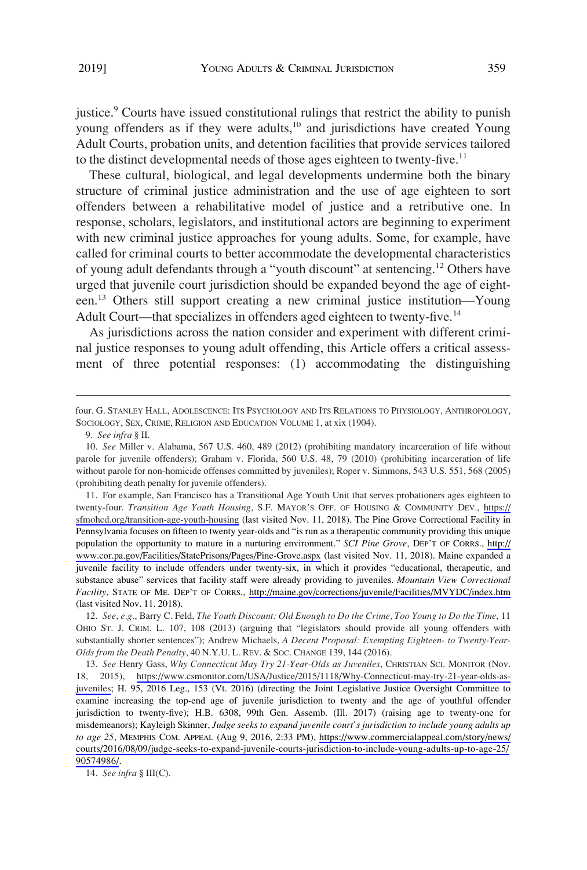justice.<sup>9</sup> Courts have issued constitutional rulings that restrict the ability to punish young offenders as if they were adults, $10$  and jurisdictions have created Young Adult Courts, probation units, and detention facilities that provide services tailored to the distinct developmental needs of those ages eighteen to twenty-five.<sup>11</sup>

These cultural, biological, and legal developments undermine both the binary structure of criminal justice administration and the use of age eighteen to sort offenders between a rehabilitative model of justice and a retributive one. In response, scholars, legislators, and institutional actors are beginning to experiment with new criminal justice approaches for young adults. Some, for example, have called for criminal courts to better accommodate the developmental characteristics of young adult defendants through a "youth discount" at sentencing.<sup>12</sup> Others have urged that juvenile court jurisdiction should be expanded beyond the age of eighteen.<sup>13</sup> Others still support creating a new criminal justice institution—Young Adult Court—that specializes in offenders aged eighteen to twenty-five.<sup>14</sup>

As jurisdictions across the nation consider and experiment with different criminal justice responses to young adult offending, this Article offers a critical assessment of three potential responses: (1) accommodating the distinguishing

9. *See infra* § II.

11. For example, San Francisco has a Transitional Age Youth Unit that serves probationers ages eighteen to twenty-four. *Transition Age Youth Housing*, S.F. MAYOR'S OFF. OF HOUSING & COMMUNITY DEV., [https://](https://sfmohcd.org/transition-age-youth-housing) [sfmohcd.org/transition-age-youth-housing](https://sfmohcd.org/transition-age-youth-housing) (last visited Nov. 11, 2018). The Pine Grove Correctional Facility in Pennsylvania focuses on fifteen to twenty year-olds and "is run as a therapeutic community providing this unique population the opportunity to mature in a nurturing environment." *SCI Pine Grove*, DEP'T OF CORRS., [http://](http://www.cor.pa.gov/Facilities/StatePrisons/Pages/Pine-Grove.aspx) [www.cor.pa.gov/Facilities/StatePrisons/Pages/Pine-Grove.aspx](http://www.cor.pa.gov/Facilities/StatePrisons/Pages/Pine-Grove.aspx) (last visited Nov. 11, 2018). Maine expanded a juvenile facility to include offenders under twenty-six, in which it provides "educational, therapeutic, and substance abuse" services that facility staff were already providing to juveniles. *Mountain View Correctional Facility*, STATE OF ME. DEP'T OF CORRS., <http://maine.gov/corrections/juvenile/Facilities/MVYDC/index.htm> (last visited Nov. 11. 2018).

12. *See*, *e.g*., Barry C. Feld, *The Youth Discount: Old Enough to Do the Crime, Too Young to Do the Time*, 11 OHIO ST. J. CRIM. L. 107, 108 (2013) (arguing that "legislators should provide all young offenders with substantially shorter sentences"); Andrew Michaels, *A Decent Proposal: Exempting Eighteen- to Twenty-Year-Olds from the Death Penalty*, 40 N.Y.U. L. REV. & SOC. CHANGE 139, 144 (2016).

13. See Henry Gass, Why Connecticut May Try 21-Year-Olds as Juveniles, CHRISTIAN SCI. MONITOR (Nov. 18, 2015), [https://www.csmonitor.com/USA/Justice/2015/1118/Why-Connecticut-may-try-21-year-olds-as](https://www.csmonitor.com/USA/Justice/2015/1118/Why-Connecticut-may-try-21-year-olds-as-juveniles)[juveniles;](https://www.csmonitor.com/USA/Justice/2015/1118/Why-Connecticut-may-try-21-year-olds-as-juveniles) H. 95, 2016 Leg., 153 (Vt. 2016) (directing the Joint Legislative Justice Oversight Committee to examine increasing the top-end age of juvenile jurisdiction to twenty and the age of youthful offender jurisdiction to twenty-five); H.B. 6308, 99th Gen. Assemb. (Ill. 2017) (raising age to twenty-one for misdemeanors); Kayleigh Skinner, *Judge seeks to expand juvenile court's jurisdiction to include young adults up to age 25*, MEMPHIS COM. APPEAL (Aug 9, 2016, 2:33 PM), [https://www.commercialappeal.com/story/news/](https://www.commercialappeal.com/story/news/courts/2016/08/09/judge-seeks-to-expand-juvenile-courts-jurisdiction-to-include-young-adults-up-to-age-25/90574986/) [courts/2016/08/09/judge-seeks-to-expand-juvenile-courts-jurisdiction-to-include-young-adults-up-to-age-25/](https://www.commercialappeal.com/story/news/courts/2016/08/09/judge-seeks-to-expand-juvenile-courts-jurisdiction-to-include-young-adults-up-to-age-25/90574986/)  [90574986/.](https://www.commercialappeal.com/story/news/courts/2016/08/09/judge-seeks-to-expand-juvenile-courts-jurisdiction-to-include-young-adults-up-to-age-25/90574986/)

14. *See infra* § III(C).

four. G. STANLEY HALL, ADOLESCENCE: ITS PSYCHOLOGY AND ITS RELATIONS TO PHYSIOLOGY, ANTHROPOLOGY, SOCIOLOGY, SEX, CRIME, RELIGION AND EDUCATION VOLUME 1, at xix (1904).

<sup>10.</sup> *See* Miller v. Alabama, 567 U.S. 460, 489 (2012) (prohibiting mandatory incarceration of life without parole for juvenile offenders); Graham v. Florida, 560 U.S. 48, 79 (2010) (prohibiting incarceration of life without parole for non-homicide offenses committed by juveniles); Roper v. Simmons, 543 U.S. 551, 568 (2005) (prohibiting death penalty for juvenile offenders).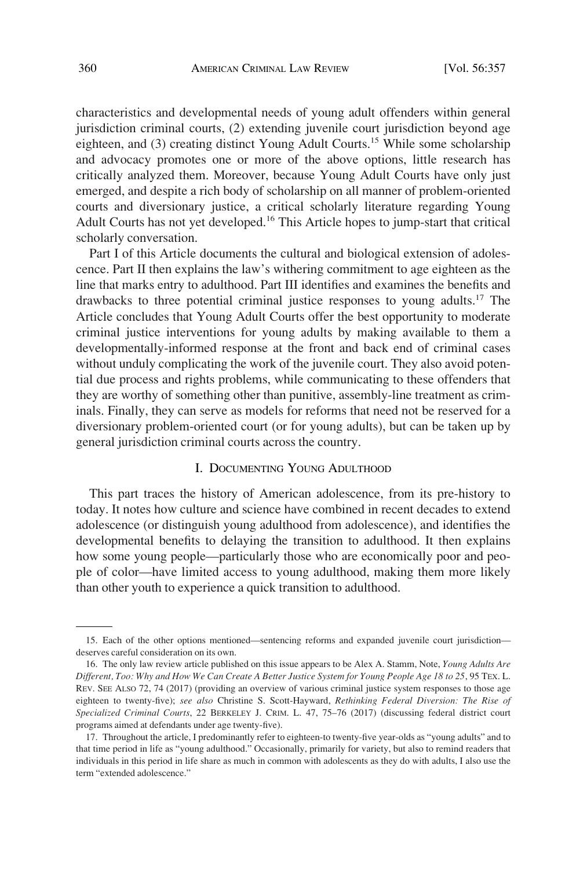characteristics and developmental needs of young adult offenders within general jurisdiction criminal courts, (2) extending juvenile court jurisdiction beyond age eighteen, and  $(3)$  creating distinct Young Adult Courts.<sup>15</sup> While some scholarship and advocacy promotes one or more of the above options, little research has critically analyzed them. Moreover, because Young Adult Courts have only just emerged, and despite a rich body of scholarship on all manner of problem-oriented courts and diversionary justice, a critical scholarly literature regarding Young Adult Courts has not yet developed.<sup>16</sup> This Article hopes to jump-start that critical scholarly conversation.

Part I of this Article documents the cultural and biological extension of adolescence. Part II then explains the law's withering commitment to age eighteen as the line that marks entry to adulthood. Part III identifies and examines the benefits and drawbacks to three potential criminal justice responses to young adults.17 The Article concludes that Young Adult Courts offer the best opportunity to moderate criminal justice interventions for young adults by making available to them a developmentally-informed response at the front and back end of criminal cases without unduly complicating the work of the juvenile court. They also avoid potential due process and rights problems, while communicating to these offenders that they are worthy of something other than punitive, assembly-line treatment as criminals. Finally, they can serve as models for reforms that need not be reserved for a diversionary problem-oriented court (or for young adults), but can be taken up by general jurisdiction criminal courts across the country.

# I. DOCUMENTING YOUNG ADULTHOOD

This part traces the history of American adolescence, from its pre-history to today. It notes how culture and science have combined in recent decades to extend adolescence (or distinguish young adulthood from adolescence), and identifies the developmental benefits to delaying the transition to adulthood. It then explains how some young people—particularly those who are economically poor and people of color—have limited access to young adulthood, making them more likely than other youth to experience a quick transition to adulthood.

<sup>15.</sup> Each of the other options mentioned—sentencing reforms and expanded juvenile court jurisdiction deserves careful consideration on its own.

<sup>16.</sup> The only law review article published on this issue appears to be Alex A. Stamm, Note, *Young Adults Are Different, Too: Why and How We Can Create A Better Justice System for Young People Age 18 to 25*, 95 TEX. L. REV. SEE ALSO 72, 74 (2017) (providing an overview of various criminal justice system responses to those age eighteen to twenty-five); *see also* Christine S. Scott-Hayward, *Rethinking Federal Diversion: The Rise of Specialized Criminal Courts*, 22 BERKELEY J. CRIM. L. 47, 75–76 (2017) (discussing federal district court programs aimed at defendants under age twenty-five).

<sup>17.</sup> Throughout the article, I predominantly refer to eighteen-to twenty-five year-olds as "young adults" and to that time period in life as "young adulthood." Occasionally, primarily for variety, but also to remind readers that individuals in this period in life share as much in common with adolescents as they do with adults, I also use the term "extended adolescence."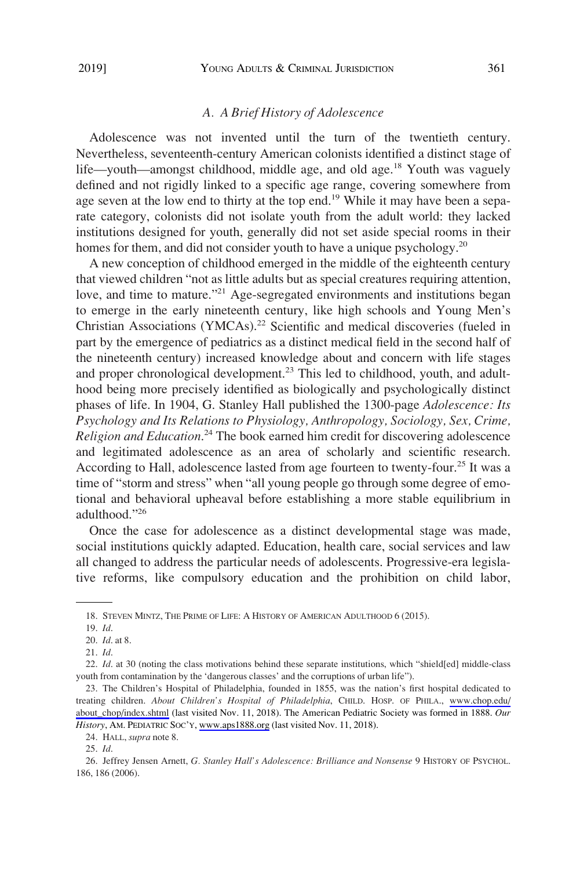## *A. A Brief History of Adolescence*

Adolescence was not invented until the turn of the twentieth century. Nevertheless, seventeenth-century American colonists identified a distinct stage of life—youth—amongst childhood, middle age, and old age.<sup>18</sup> Youth was vaguely defined and not rigidly linked to a specific age range, covering somewhere from age seven at the low end to thirty at the top end.<sup>19</sup> While it may have been a separate category, colonists did not isolate youth from the adult world: they lacked institutions designed for youth, generally did not set aside special rooms in their homes for them, and did not consider youth to have a unique psychology.<sup>20</sup>

A new conception of childhood emerged in the middle of the eighteenth century that viewed children "not as little adults but as special creatures requiring attention, love, and time to mature."<sup>21</sup> Age-segregated environments and institutions began to emerge in the early nineteenth century, like high schools and Young Men's Christian Associations (YMCAs).<sup>22</sup> Scientific and medical discoveries (fueled in part by the emergence of pediatrics as a distinct medical field in the second half of the nineteenth century) increased knowledge about and concern with life stages and proper chronological development.<sup>23</sup> This led to childhood, youth, and adulthood being more precisely identified as biologically and psychologically distinct phases of life. In 1904, G. Stanley Hall published the 1300-page *Adolescence: Its Psychology and Its Relations to Physiology, Anthropology, Sociology, Sex, Crime, Religion and Education*. <sup>24</sup> The book earned him credit for discovering adolescence and legitimated adolescence as an area of scholarly and scientific research. According to Hall, adolescence lasted from age fourteen to twenty-four.<sup>25</sup> It was a time of "storm and stress" when "all young people go through some degree of emotional and behavioral upheaval before establishing a more stable equilibrium in adulthood."26

Once the case for adolescence as a distinct developmental stage was made, social institutions quickly adapted. Education, health care, social services and law all changed to address the particular needs of adolescents. Progressive-era legislative reforms, like compulsory education and the prohibition on child labor,

<sup>18.</sup> STEVEN MINTZ, THE PRIME OF LIFE: A HISTORY OF AMERICAN ADULTHOOD 6 (2015).

<sup>19.</sup> *Id*.

<sup>20.</sup> *Id*. at 8.

<sup>21.</sup> *Id*.

<sup>22.</sup> *Id*. at 30 (noting the class motivations behind these separate institutions, which "shield[ed] middle-class youth from contamination by the 'dangerous classes' and the corruptions of urban life").

<sup>23.</sup> The Children's Hospital of Philadelphia, founded in 1855, was the nation's first hospital dedicated to treating children. *About Children's Hospital of Philadelphia*, CHILD. HOSP. OF PHILA., [www.chop.edu/](http://www.chop.edu/about_chop/index.shtml)  [about\\_chop/index.shtml](http://www.chop.edu/about_chop/index.shtml) (last visited Nov. 11, 2018). The American Pediatric Society was formed in 1888. *Our History*, AM. PEDIATRIC SOC'Y, [www.aps1888.org](http://www.aps1888.org) (last visited Nov. 11, 2018).

<sup>24.</sup> HALL, *supra* note 8.

<sup>25.</sup> *Id*.

<sup>26.</sup> Jeffrey Jensen Arnett, *G. Stanley Hall's Adolescence: Brilliance and Nonsense* 9 HISTORY OF PSYCHOL. 186, 186 (2006).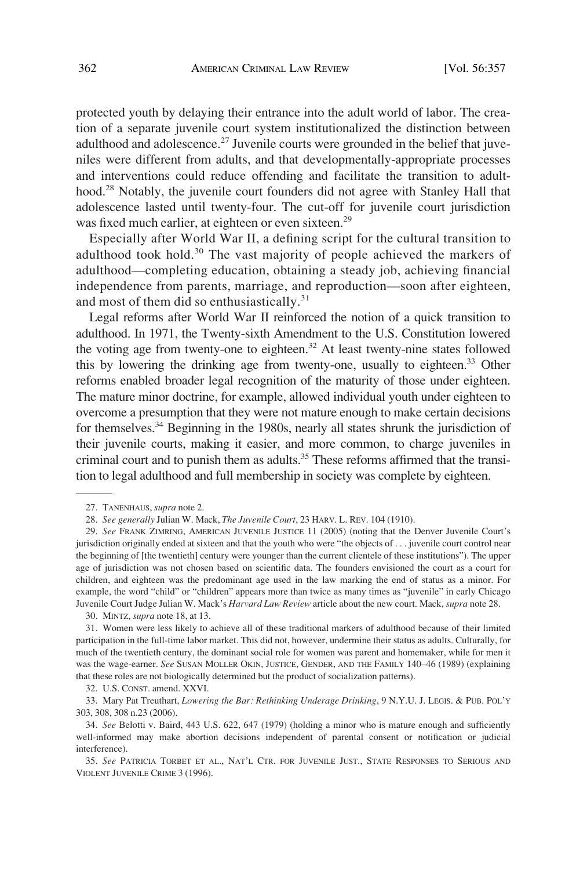protected youth by delaying their entrance into the adult world of labor. The creation of a separate juvenile court system institutionalized the distinction between adulthood and adolescence.<sup>27</sup> Juvenile courts were grounded in the belief that juveniles were different from adults, and that developmentally-appropriate processes and interventions could reduce offending and facilitate the transition to adulthood.28 Notably, the juvenile court founders did not agree with Stanley Hall that adolescence lasted until twenty-four. The cut-off for juvenile court jurisdiction was fixed much earlier, at eighteen or even sixteen.<sup>29</sup>

Especially after World War II, a defining script for the cultural transition to adulthood took hold.<sup>30</sup> The vast majority of people achieved the markers of adulthood—completing education, obtaining a steady job, achieving financial independence from parents, marriage, and reproduction—soon after eighteen, and most of them did so enthusiastically.<sup>31</sup>

Legal reforms after World War II reinforced the notion of a quick transition to adulthood. In 1971, the Twenty-sixth Amendment to the U.S. Constitution lowered the voting age from twenty-one to eighteen.<sup>32</sup> At least twenty-nine states followed this by lowering the drinking age from twenty-one, usually to eighteen.<sup>33</sup> Other reforms enabled broader legal recognition of the maturity of those under eighteen. The mature minor doctrine, for example, allowed individual youth under eighteen to overcome a presumption that they were not mature enough to make certain decisions for themselves.<sup>34</sup> Beginning in the 1980s, nearly all states shrunk the jurisdiction of their juvenile courts, making it easier, and more common, to charge juveniles in criminal court and to punish them as adults.<sup>35</sup> These reforms affirmed that the transition to legal adulthood and full membership in society was complete by eighteen.

30. MINTZ, *supra* note 18, at 13.

32. U.S. CONST. amend. XXVI.

33. Mary Pat Treuthart, *Lowering the Bar: Rethinking Underage Drinking*, 9 N.Y.U. J. LEGIS. & PUB. POL'Y 303, 308, 308 n.23 (2006).

34. *See* Belotti v. Baird, 443 U.S. 622, 647 (1979) (holding a minor who is mature enough and sufficiently well-informed may make abortion decisions independent of parental consent or notification or judicial interference).

35. *See* PATRICIA TORBET ET AL., NAT'L CTR. FOR JUVENILE JUST., STATE RESPONSES TO SERIOUS AND VIOLENT JUVENILE CRIME 3 (1996).

<sup>27.</sup> TANENHAUS, *supra* note 2.

<sup>28.</sup> *See generally* Julian W. Mack, *The Juvenile Court*, 23 HARV. L. REV. 104 (1910).

<sup>29.</sup> *See* FRANK ZIMRING, AMERICAN JUVENILE JUSTICE 11 (2005) (noting that the Denver Juvenile Court's jurisdiction originally ended at sixteen and that the youth who were "the objects of . . . juvenile court control near the beginning of [the twentieth] century were younger than the current clientele of these institutions"). The upper age of jurisdiction was not chosen based on scientific data. The founders envisioned the court as a court for children, and eighteen was the predominant age used in the law marking the end of status as a minor. For example, the word "child" or "children" appears more than twice as many times as "juvenile" in early Chicago Juvenile Court Judge Julian W. Mack's *Harvard Law Review* article about the new court. Mack, *supra* note 28.

<sup>31.</sup> Women were less likely to achieve all of these traditional markers of adulthood because of their limited participation in the full-time labor market. This did not, however, undermine their status as adults. Culturally, for much of the twentieth century, the dominant social role for women was parent and homemaker, while for men it was the wage-earner. *See* SUSAN MOLLER OKIN, JUSTICE, GENDER, AND THE FAMILY 140–46 (1989) (explaining that these roles are not biologically determined but the product of socialization patterns).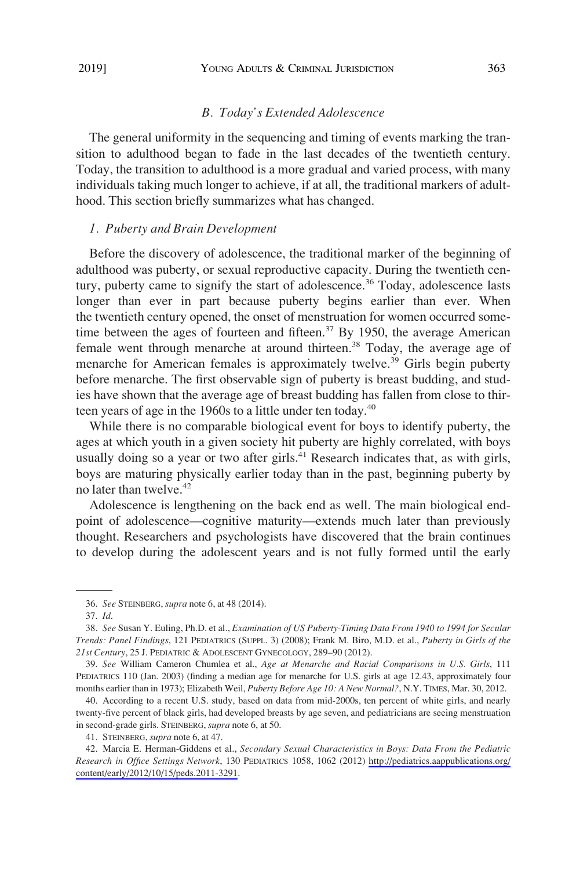## *B. Today's Extended Adolescence*

The general uniformity in the sequencing and timing of events marking the transition to adulthood began to fade in the last decades of the twentieth century. Today, the transition to adulthood is a more gradual and varied process, with many individuals taking much longer to achieve, if at all, the traditional markers of adulthood. This section briefly summarizes what has changed.

#### *1. Puberty and Brain Development*

Before the discovery of adolescence, the traditional marker of the beginning of adulthood was puberty, or sexual reproductive capacity. During the twentieth century, puberty came to signify the start of adolescence.<sup>36</sup> Today, adolescence lasts longer than ever in part because puberty begins earlier than ever. When the twentieth century opened, the onset of menstruation for women occurred sometime between the ages of fourteen and fifteen.<sup>37</sup> By 1950, the average American female went through menarche at around thirteen.<sup>38</sup> Today, the average age of menarche for American females is approximately twelve.<sup>39</sup> Girls begin puberty before menarche. The first observable sign of puberty is breast budding, and studies have shown that the average age of breast budding has fallen from close to thirteen years of age in the 1960s to a little under ten today.<sup>40</sup>

While there is no comparable biological event for boys to identify puberty, the ages at which youth in a given society hit puberty are highly correlated, with boys usually doing so a year or two after girls. $^{41}$  Research indicates that, as with girls, boys are maturing physically earlier today than in the past, beginning puberty by no later than twelve.<sup>42</sup>

Adolescence is lengthening on the back end as well. The main biological endpoint of adolescence—cognitive maturity—extends much later than previously thought. Researchers and psychologists have discovered that the brain continues to develop during the adolescent years and is not fully formed until the early

<sup>36.</sup> *See* STEINBERG, *supra* note 6, at 48 (2014).

<sup>37.</sup> *Id*.

<sup>38.</sup> *See* Susan Y. Euling, Ph.D. et al., *Examination of US Puberty-Timing Data From 1940 to 1994 for Secular Trends: Panel Findings*, 121 PEDIATRICS (SUPPL. 3) (2008); Frank M. Biro, M.D. et al., *Puberty in Girls of the 21st Century*, 25 J. PEDIATRIC & ADOLESCENT GYNECOLOGY, 289–90 (2012).

<sup>39.</sup> *See* William Cameron Chumlea et al., *Age at Menarche and Racial Comparisons in U.S. Girls*, 111 PEDIATRICS 110 (Jan. 2003) (finding a median age for menarche for U.S. girls at age 12.43, approximately four months earlier than in 1973); Elizabeth Weil, *Puberty Before Age 10: A New Normal?*, N.Y. TIMES, Mar. 30, 2012.

<sup>40.</sup> According to a recent U.S. study, based on data from mid-2000s, ten percent of white girls, and nearly twenty-five percent of black girls, had developed breasts by age seven, and pediatricians are seeing menstruation in second-grade girls. STEINBERG, *supra* note 6, at 50.

<sup>41.</sup> STEINBERG, *supra* note 6, at 47.

Marcia E. Herman-Giddens et al., *Secondary Sexual Characteristics in Boys: Data From the Pediatric*  42. *Research in Office Settings Network*, 130 PEDIATRICS 1058, 1062 (2012) [http://pediatrics.aappublications.org/](http://pediatrics.aappublications.org/content/early/2012/10/15/peds.2011-3291)  [content/early/2012/10/15/peds.2011-3291.](http://pediatrics.aappublications.org/content/early/2012/10/15/peds.2011-3291)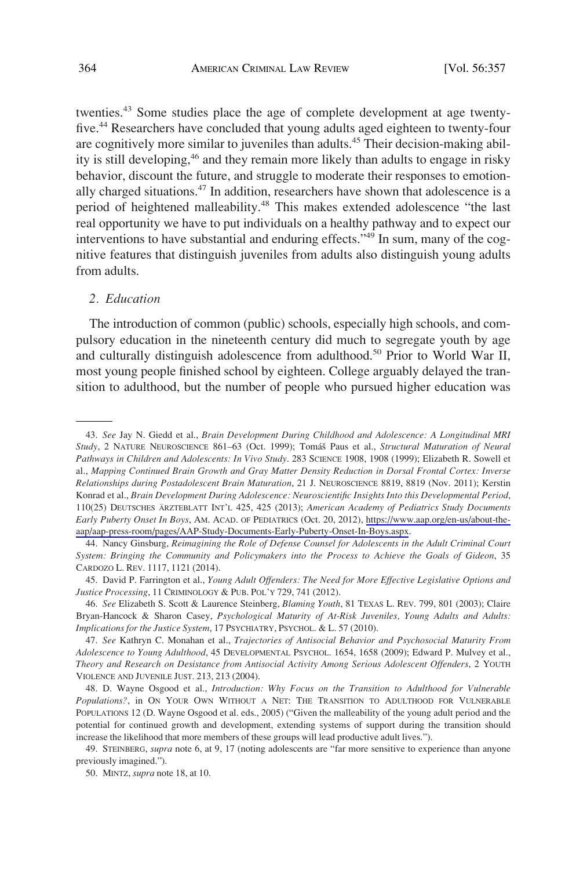twenties.<sup>43</sup> Some studies place the age of complete development at age twentyfive.44 Researchers have concluded that young adults aged eighteen to twenty-four are cognitively more similar to juveniles than adults.<sup>45</sup> Their decision-making ability is still developing,<sup>46</sup> and they remain more likely than adults to engage in risky behavior, discount the future, and struggle to moderate their responses to emotionally charged situations.47 In addition, researchers have shown that adolescence is a period of heightened malleability.48 This makes extended adolescence "the last real opportunity we have to put individuals on a healthy pathway and to expect our interventions to have substantial and enduring effects."49 In sum, many of the cognitive features that distinguish juveniles from adults also distinguish young adults from adults.

#### *2. Education*

The introduction of common (public) schools, especially high schools, and compulsory education in the nineteenth century did much to segregate youth by age and culturally distinguish adolescence from adulthood.<sup>50</sup> Prior to World War II, most young people finished school by eighteen. College arguably delayed the transition to adulthood, but the number of people who pursued higher education was

*See* Jay N. Giedd et al., *Brain Development During Childhood and Adolescence: A Longitudinal MRI*  43. *Study*, 2 NATURE NEUROSCIENCE 861-63 (Oct. 1999); Tomáš Paus et al., *Structural Maturation of Neural Pathways in Children and Adolescents: In Vivo Study*. 283 SCIENCE 1908, 1908 (1999); Elizabeth R. Sowell et al., *Mapping Continued Brain Growth and Gray Matter Density Reduction in Dorsal Frontal Cortex: Inverse Relationships during Postadolescent Brain Maturation*, 21 J. NEUROSCIENCE 8819, 8819 (Nov. 2011); Kerstin Konrad et al., *Brain Development During Adolescence: Neuroscientific Insights Into this Developmental Period*, 110(25) DEUTSCHES ÄRZTEBLATT INT'L 425, 425 (2013); *American Academy of Pediatrics Study Documents Early Puberty Onset In Boys*, AM. ACAD. OF PEDIATRICS (Oct. 20, 2012), [https://www.aap.org/en-us/about-the](https://www.aap.org/en-us/about-the-aap/aap-press-room/pages/AAP-Study-Documents-Early-Puberty-Onset-In-Boys.aspx)[aap/aap-press-room/pages/AAP-Study-Documents-Early-Puberty-Onset-In-Boys.aspx.](https://www.aap.org/en-us/about-the-aap/aap-press-room/pages/AAP-Study-Documents-Early-Puberty-Onset-In-Boys.aspx)

<sup>44.</sup> Nancy Ginsburg, *Reimagining the Role of Defense Counsel for Adolescents in the Adult Criminal Court System: Bringing the Community and Policymakers into the Process to Achieve the Goals of Gideon*, 35 CARDOZO L. REV. 1117, 1121 (2014).

<sup>45.</sup> David P. Farrington et al., *Young Adult Offenders: The Need for More Effective Legislative Options and Justice Processing*, 11 CRIMINOLOGY & PUB. POL'Y 729, 741 (2012).

<sup>46.</sup> *See* Elizabeth S. Scott & Laurence Steinberg, *Blaming Youth*, 81 TEXAS L. REV. 799, 801 (2003); Claire Bryan-Hancock & Sharon Casey, *Psychological Maturity of At-Risk Juveniles, Young Adults and Adults: Implications for the Justice System*, 17 PSYCHIATRY, PSYCHOL. & L. 57 (2010).

<sup>47.</sup> *See* Kathryn C. Monahan et al., *Trajectories of Antisocial Behavior and Psychosocial Maturity From Adolescence to Young Adulthood*, 45 DEVELOPMENTAL PSYCHOL. 1654, 1658 (2009); Edward P. Mulvey et al., *Theory and Research on Desistance from Antisocial Activity Among Serious Adolescent Offenders*, 2 YOUTH VIOLENCE AND JUVENILE JUST. 213, 213 (2004).

<sup>48.</sup> D. Wayne Osgood et al., *Introduction: Why Focus on the Transition to Adulthood for Vulnerable Populations?*, in ON YOUR OWN WITHOUT A NET: THE TRANSITION TO ADULTHOOD FOR VULNERABLE POPULATIONS 12 (D. Wayne Osgood et al. eds., 2005) ("Given the malleability of the young adult period and the potential for continued growth and development, extending systems of support during the transition should increase the likelihood that more members of these groups will lead productive adult lives.").

<sup>49.</sup> STEINBERG, *supra* note 6, at 9, 17 (noting adolescents are "far more sensitive to experience than anyone previously imagined.").

<sup>50.</sup> MINTZ, *supra* note 18, at 10.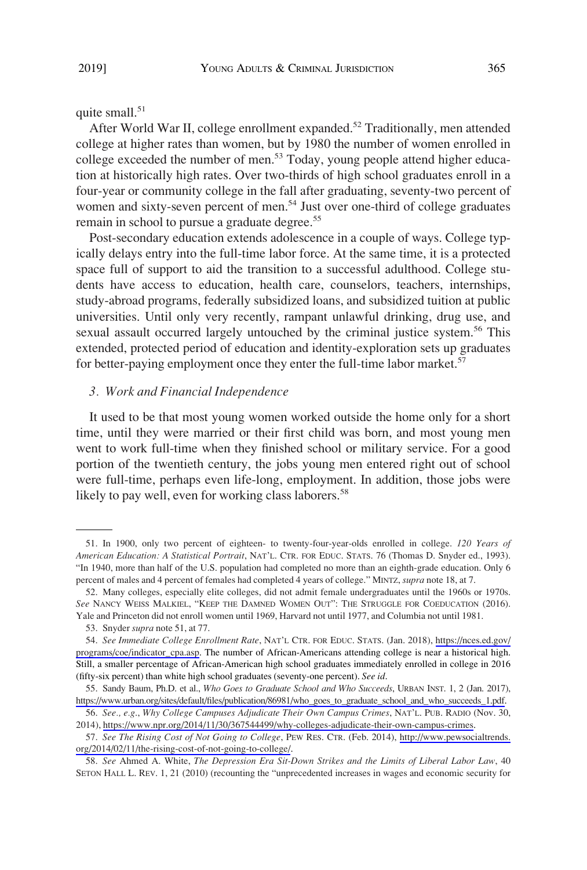# quite small.<sup>51</sup>

After World War II, college enrollment expanded.<sup>52</sup> Traditionally, men attended college at higher rates than women, but by 1980 the number of women enrolled in college exceeded the number of men.<sup>53</sup> Today, young people attend higher education at historically high rates. Over two-thirds of high school graduates enroll in a four-year or community college in the fall after graduating, seventy-two percent of women and sixty-seven percent of men.<sup>54</sup> Just over one-third of college graduates remain in school to pursue a graduate degree.<sup>55</sup>

Post-secondary education extends adolescence in a couple of ways. College typically delays entry into the full-time labor force. At the same time, it is a protected space full of support to aid the transition to a successful adulthood. College students have access to education, health care, counselors, teachers, internships, study-abroad programs, federally subsidized loans, and subsidized tuition at public universities. Until only very recently, rampant unlawful drinking, drug use, and sexual assault occurred largely untouched by the criminal justice system.<sup>56</sup> This extended, protected period of education and identity-exploration sets up graduates for better-paying employment once they enter the full-time labor market.<sup>57</sup>

#### *3. Work and Financial Independence*

It used to be that most young women worked outside the home only for a short time, until they were married or their first child was born, and most young men went to work full-time when they finished school or military service. For a good portion of the twentieth century, the jobs young men entered right out of school were full-time, perhaps even life-long, employment. In addition, those jobs were likely to pay well, even for working class laborers.<sup>58</sup>

<sup>51.</sup> In 1900, only two percent of eighteen- to twenty-four-year-olds enrolled in college. *120 Years of American Education: A Statistical Portrait*, NAT'L. CTR. FOR EDUC. STATS. 76 (Thomas D. Snyder ed., 1993). "In 1940, more than half of the U.S. population had completed no more than an eighth-grade education. Only 6 percent of males and 4 percent of females had completed 4 years of college." MINTZ, *supra* note 18, at 7.

<sup>52.</sup> Many colleges, especially elite colleges, did not admit female undergraduates until the 1960s or 1970s. *See* NANCY WEISS MALKIEL, "KEEP THE DAMNED WOMEN OUT": THE STRUGGLE FOR COEDUCATION (2016). Yale and Princeton did not enroll women until 1969, Harvard not until 1977, and Columbia not until 1981.

<sup>53.</sup> Snyder *supra* note 51, at 77.

<sup>54.</sup> See Immediate College Enrollment Rate, NAT'L CTR. FOR EDUC. STATS. (Jan. 2018), [https://nces.ed.gov/](https://nces.ed.gov/programs/coe/indicator_cpa.asp) [programs/coe/indicator\\_cpa.asp](https://nces.ed.gov/programs/coe/indicator_cpa.asp). The number of African-Americans attending college is near a historical high. Still, a smaller percentage of African-American high school graduates immediately enrolled in college in 2016 (fifty-six percent) than white high school graduates (seventy-one percent). *See id*.

<sup>55.</sup> Sandy Baum, Ph.D. et al., *Who Goes to Graduate School and Who Succeeds*, URBAN INST. 1, 2 (Jan. 2017), [https://www.urban.org/sites/default/files/publication/86981/who\\_goes\\_to\\_graduate\\_school\\_and\\_who\\_succeeds\\_1.pdf.](https://www.urban.org/sites/default/files/publication/86981/who_goes_to_graduate_school_and_who_succeeds_1.pdf)

*See., e.g*., *Why College Campuses Adjudicate Their Own Campus Crimes*, NAT'L. PUB. RADIO (Nov. 30, 56. 2014),<https://www.npr.org/2014/11/30/367544499/why-colleges-adjudicate-their-own-campus-crimes>.

*See The Rising Cost of Not Going to College*, PEW RES. CTR. (Feb. 2014), [http://www.pewsocialtrends.](http://www.pewsocialtrends.org/2014/02/11/the-rising-cost-of-not-going-to-college/) 57. [org/2014/02/11/the-rising-cost-of-not-going-to-college/.](http://www.pewsocialtrends.org/2014/02/11/the-rising-cost-of-not-going-to-college/)

<sup>58.</sup> *See* Ahmed A. White, *The Depression Era Sit-Down Strikes and the Limits of Liberal Labor Law*, 40 SETON HALL L. REV. 1, 21 (2010) (recounting the "unprecedented increases in wages and economic security for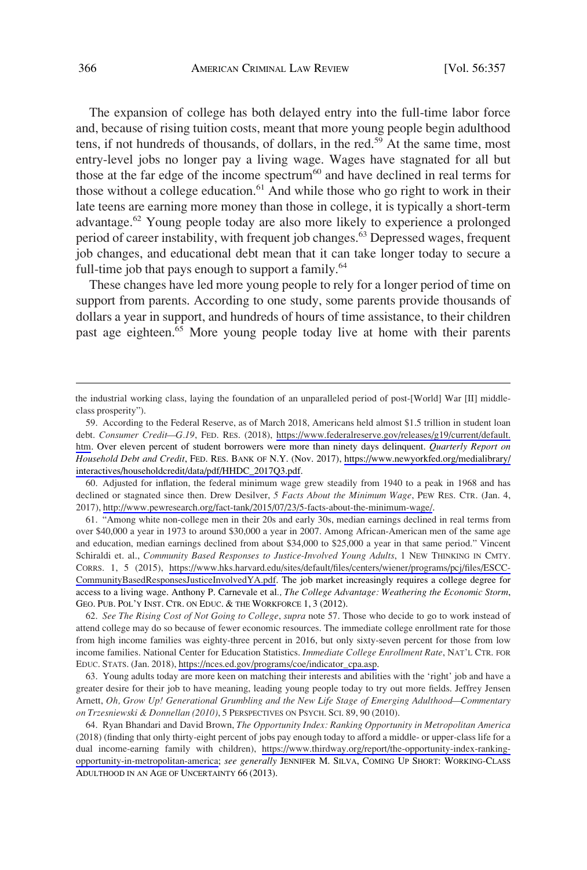The expansion of college has both delayed entry into the full-time labor force and, because of rising tuition costs, meant that more young people begin adulthood tens, if not hundreds of thousands, of dollars, in the red.<sup>59</sup> At the same time, most entry-level jobs no longer pay a living wage. Wages have stagnated for all but those at the far edge of the income spectrum<sup>60</sup> and have declined in real terms for those without a college education.<sup>61</sup> And while those who go right to work in their late teens are earning more money than those in college, it is typically a short-term advantage.<sup>62</sup> Young people today are also more likely to experience a prolonged period of career instability, with frequent job changes.<sup>63</sup> Depressed wages, frequent job changes, and educational debt mean that it can take longer today to secure a full-time job that pays enough to support a family. $64$ 

These changes have led more young people to rely for a longer period of time on support from parents. According to one study, some parents provide thousands of dollars a year in support, and hundreds of hours of time assistance, to their children past age eighteen.<sup>65</sup> More young people today live at home with their parents

60. Adjusted for inflation, the federal minimum wage grew steadily from 1940 to a peak in 1968 and has declined or stagnated since then. Drew Desilver, *5 Facts About the Minimum Wage*, PEW RES. CTR. (Jan. 4, 2017),<http://www.pewresearch.org/fact-tank/2015/07/23/5-facts-about-the-minimum-wage/>.

"Among white non-college men in their 20s and early 30s, median earnings declined in real terms from 61. over \$40,000 a year in 1973 to around \$30,000 a year in 2007. Among African-American men of the same age and education, median earnings declined from about \$34,000 to \$25,000 a year in that same period." Vincent Schiraldi et. al., *Community Based Responses to Justice-Involved Young Adults*, 1 NEW THINKING IN CMTY. CORRS. 1, 5 (2015), [https://www.hks.harvard.edu/sites/default/files/centers/wiener/programs/pcj/files/ESCC-](https://www.hks.harvard.edu/sites/default/files/centers/wiener/programs/pcj/files/ESCC-CommunityBasedResponsesJusticeInvolvedYA.pdf)[CommunityBasedResponsesJusticeInvolvedYA.pdf.](https://www.hks.harvard.edu/sites/default/files/centers/wiener/programs/pcj/files/ESCC-CommunityBasedResponsesJusticeInvolvedYA.pdf) The job market increasingly requires a college degree for access to a living wage. Anthony P. Carnevale et al*., The College Advantage: Weathering the Economic Storm*, GEO. PUB. POL'Y INST. CTR. ON EDUC. & THE WORKFORCE 1, 3 (2012).

*See The Rising Cost of Not Going to College*, *supra* note 57. Those who decide to go to work instead of 62. attend college may do so because of fewer economic resources. The immediate college enrollment rate for those from high income families was eighty-three percent in 2016, but only sixty-seven percent for those from low income families. National Center for Education Statistics. *Immediate College Enrollment Rate*, NAT'L CTR. FOR EDUC. STATS. (Jan. 2018), [https://nces.ed.gov/programs/coe/indicator\\_cpa.asp](https://nces.ed.gov/programs/coe/indicator_cpa.asp).

63. Young adults today are more keen on matching their interests and abilities with the 'right' job and have a greater desire for their job to have meaning, leading young people today to try out more fields. Jeffrey Jensen Arnett, *Oh, Grow Up! Generational Grumbling and the New Life Stage of Emerging Adulthood—Commentary on Trzesniewski & Donnellan (2010)*, 5 PERSPECTIVES ON PSYCH. SCI. 89, 90 (2010).

64. Ryan Bhandari and David Brown, *The Opportunity Index: Ranking Opportunity in Metropolitan America* (2018) (finding that only thirty-eight percent of jobs pay enough today to afford a middle- or upper-class life for a dual income-earning family with children), [https://www.thirdway.org/report/the-opportunity-index-ranking](https://www.thirdway.org/report/the-opportunity-index-ranking-opportunity-in-metropolitan-america)[opportunity-in-metropolitan-america;](https://www.thirdway.org/report/the-opportunity-index-ranking-opportunity-in-metropolitan-america) *see generally* JENNIFER M. SILVA, COMING UP SHORT: WORKING-CLASS ADULTHOOD IN AN AGE OF UNCERTAINTY 66 (2013).

the industrial working class, laying the foundation of an unparalleled period of post-[World] War [II] middleclass prosperity").

<sup>59.</sup> According to the Federal Reserve, as of March 2018, Americans held almost \$1.5 trillion in student loan debt. *Consumer Credit—G.19*, FED. RES. (2018), [https://www.federalreserve.gov/releases/g19/current/default.](https://www.federalreserve.gov/releases/g19/current/default.htm) [htm](https://www.federalreserve.gov/releases/g19/current/default.htm). Over eleven percent of student borrowers were more than ninety days delinquent. *Quarterly Report on Household Debt and Credit*, FED. RES. BANK OF N.Y. (Nov. 2017), [https://www.newyorkfed.org/medialibrary/](https://www.newyorkfed.org/medialibrary/interactives/householdcredit/data/pdf/HHDC_2017Q3.pdf) [interactives/householdcredit/data/pdf/HHDC\\_2017Q3.pdf.](https://www.newyorkfed.org/medialibrary/interactives/householdcredit/data/pdf/HHDC_2017Q3.pdf)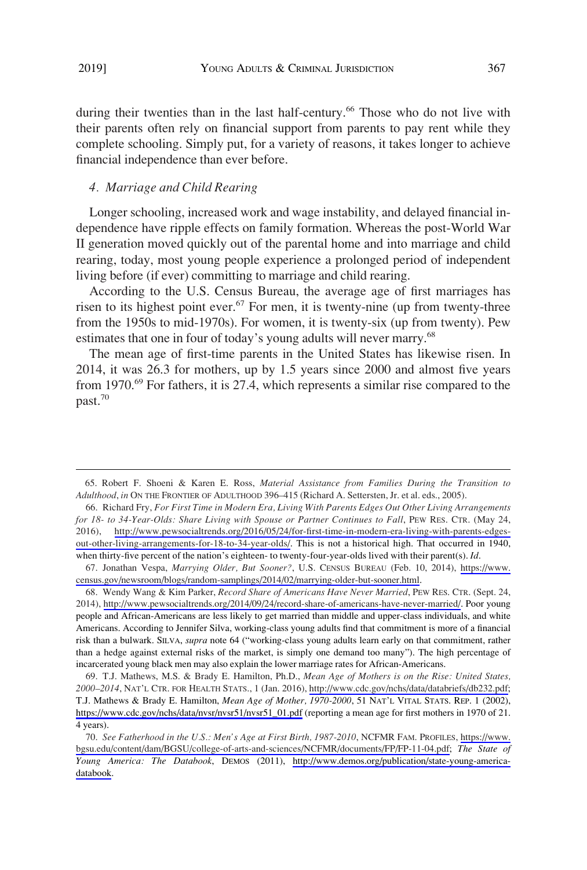during their twenties than in the last half-century.<sup>66</sup> Those who do not live with their parents often rely on financial support from parents to pay rent while they complete schooling. Simply put, for a variety of reasons, it takes longer to achieve financial independence than ever before.

# *4. Marriage and Child Rearing*

Longer schooling, increased work and wage instability, and delayed financial independence have ripple effects on family formation. Whereas the post-World War II generation moved quickly out of the parental home and into marriage and child rearing, today, most young people experience a prolonged period of independent living before (if ever) committing to marriage and child rearing.

According to the U.S. Census Bureau, the average age of first marriages has risen to its highest point ever.<sup>67</sup> For men, it is twenty-nine (up from twenty-three from the 1950s to mid-1970s). For women, it is twenty-six (up from twenty). Pew estimates that one in four of today's young adults will never marry.<sup>68</sup>

The mean age of first-time parents in the United States has likewise risen. In 2014, it was 26.3 for mothers, up by 1.5 years since 2000 and almost five years from 1970.<sup>69</sup> For fathers, it is 27.4, which represents a similar rise compared to the past.70

<sup>65.</sup> Robert F. Shoeni & Karen E. Ross, *Material Assistance from Families During the Transition to Adulthood*, *in* ON THE FRONTIER OF ADULTHOOD 396–415 (Richard A. Settersten, Jr. et al. eds., 2005).

<sup>66.</sup> Richard Fry, For First Time in Modern Era, Living With Parents Edges Out Other Living Arrangements *for 18- to 34-Year-Olds: Share Living with Spouse or Partner Continues to Fall*, PEW RES. CTR. (May 24, 2016), [http://www.pewsocialtrends.org/2016/05/24/for-first-time-in-modern-era-living-with-parents-edges](http://www.pewsocialtrends.org/2016/05/24/for-first-time-in-modern-era-living-with-parents-edges-out-other-living-arrangements-for-18-to-34-year-olds/)[out-other-living-arrangements-for-18-to-34-year-olds/](http://www.pewsocialtrends.org/2016/05/24/for-first-time-in-modern-era-living-with-parents-edges-out-other-living-arrangements-for-18-to-34-year-olds/). This is not a historical high. That occurred in 1940, when thirty-five percent of the nation's eighteen- to twenty-four-year-olds lived with their parent(s). *Id*.

<sup>67.</sup> Jonathan Vespa, *Marrying Older, But Sooner?*, U.S. CENSUS BUREAU (Feb. 10, 2014), https://www. [census.gov/newsroom/blogs/random-samplings/2014/02/marrying-older-but-sooner.html.](https://www.census.gov/newsroom/blogs/random-samplings/2014/02/marrying-older-but-sooner.html)

Wendy Wang & Kim Parker, *Record Share of Americans Have Never Married*, PEW RES. CTR. (Sept. 24, 68. 2014), [http://www.pewsocialtrends.org/2014/09/24/record-share-of-americans-have-never-married/.](http://www.pewsocialtrends.org/2014/09/24/record-share-of-americans-have-never-married/) Poor young people and African-Americans are less likely to get married than middle and upper-class individuals, and white Americans. According to Jennifer Silva, working-class young adults find that commitment is more of a financial risk than a bulwark. SILVA, *supra* note 64 ("working-class young adults learn early on that commitment, rather than a hedge against external risks of the market, is simply one demand too many"). The high percentage of incarcerated young black men may also explain the lower marriage rates for African-Americans.

<sup>69.</sup> T.J. Mathews, M.S. & Brady E. Hamilton, Ph.D., Mean Age of Mothers is on the Rise: United States, *2000–2014*, NAT'L CTR. FOR HEALTH STATS., 1 (Jan. 2016), [http://www.cdc.gov/nchs/data/databriefs/db232.pdf;](http://www.cdc.gov/nchs/data/databriefs/db232.pdf) T.J. Mathews & Brady E. Hamilton, *Mean Age of Mother, 1970-2000*, 51 NAT'L VITAL STATS. REP. 1 (2002), [https://www.cdc.gov/nchs/data/nvsr/nvsr51/nvsr51\\_01.pdf](https://www.cdc.gov/nchs/data/nvsr/nvsr51/nvsr51_01.pdf) (reporting a mean age for first mothers in 1970 of 21. 4 years).

*See Fatherhood in the U.S.: Men's Age at First Birth, 1987-2010*, NCFMR FAM. PROFILES, [https://www.](https://www.bgsu.edu/content/dam/BGSU/college-of-arts-and-sciences/NCFMR/documents/FP/FP-11-04.pdf)  70. [bgsu.edu/content/dam/BGSU/college-of-arts-and-sciences/NCFMR/documents/FP/FP-11-04.pdf](https://www.bgsu.edu/content/dam/BGSU/college-of-arts-and-sciences/NCFMR/documents/FP/FP-11-04.pdf); *The State of Young America: The Databook*, DEMOS (2011), [http://www.demos.org/publication/state-young-america](http://www.demos.org/publication/state-young-america-databook)[databook](http://www.demos.org/publication/state-young-america-databook).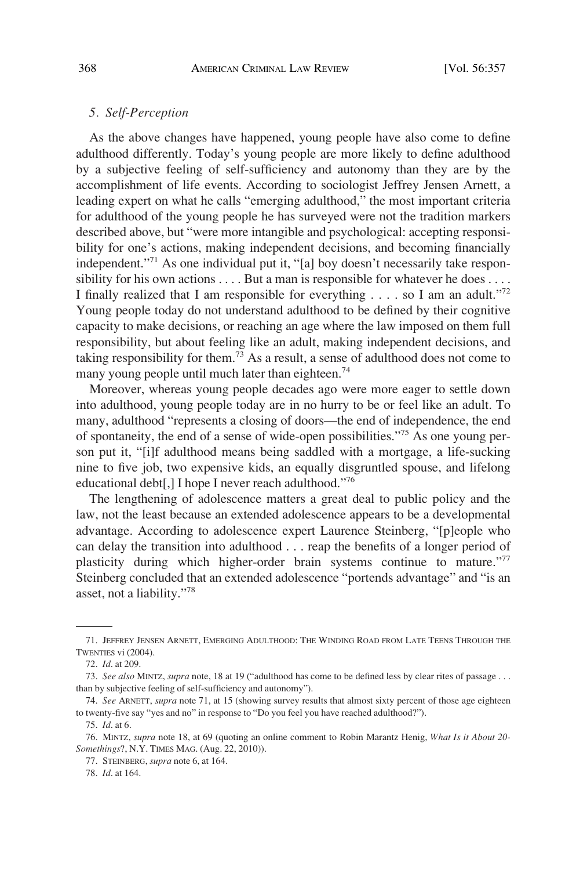# *5. Self-Perception*

As the above changes have happened, young people have also come to define adulthood differently. Today's young people are more likely to define adulthood by a subjective feeling of self-sufficiency and autonomy than they are by the accomplishment of life events. According to sociologist Jeffrey Jensen Arnett, a leading expert on what he calls "emerging adulthood," the most important criteria for adulthood of the young people he has surveyed were not the tradition markers described above, but "were more intangible and psychological: accepting responsibility for one's actions, making independent decisions, and becoming financially independent."71 As one individual put it, "[a] boy doesn't necessarily take responsibility for his own actions . . . . But a man is responsible for whatever he does . . . . I finally realized that I am responsible for everything  $\dots$  so I am an adult."<sup>72</sup> Young people today do not understand adulthood to be defined by their cognitive capacity to make decisions, or reaching an age where the law imposed on them full responsibility, but about feeling like an adult, making independent decisions, and taking responsibility for them.<sup>73</sup> As a result, a sense of adulthood does not come to many young people until much later than eighteen.<sup>74</sup>

Moreover, whereas young people decades ago were more eager to settle down into adulthood, young people today are in no hurry to be or feel like an adult. To many, adulthood "represents a closing of doors—the end of independence, the end of spontaneity, the end of a sense of wide-open possibilities."75 As one young person put it, "[i]f adulthood means being saddled with a mortgage, a life-sucking nine to five job, two expensive kids, an equally disgruntled spouse, and lifelong educational debt[,] I hope I never reach adulthood."76

The lengthening of adolescence matters a great deal to public policy and the law, not the least because an extended adolescence appears to be a developmental advantage. According to adolescence expert Laurence Steinberg, "[p]eople who can delay the transition into adulthood . . . reap the benefits of a longer period of plasticity during which higher-order brain systems continue to mature."77 Steinberg concluded that an extended adolescence "portends advantage" and "is an asset, not a liability."<sup>78</sup>

<sup>71.</sup> JEFFREY JENSEN ARNETT, EMERGING ADULTHOOD: THE WINDING ROAD FROM LATE TEENS THROUGH THE TWENTIES vi (2004).

<sup>72.</sup> *Id*. at 209.

<sup>73.</sup> *See also* MINTZ, *supra* note, 18 at 19 ("adulthood has come to be defined less by clear rites of passage . . . than by subjective feeling of self-sufficiency and autonomy").

<sup>74.</sup> *See* ARNETT, *supra* note 71, at 15 (showing survey results that almost sixty percent of those age eighteen to twenty-five say "yes and no" in response to "Do you feel you have reached adulthood?").

<sup>75.</sup> *Id*. at 6.

<sup>76.</sup> MINTZ, *supra* note 18, at 69 (quoting an online comment to Robin Marantz Henig, *What Is it About 20- Somethings*?, N.Y. TIMES MAG. (Aug. 22, 2010)).

<sup>77.</sup> STEINBERG, *supra* note 6, at 164.

<sup>78.</sup> *Id*. at 164.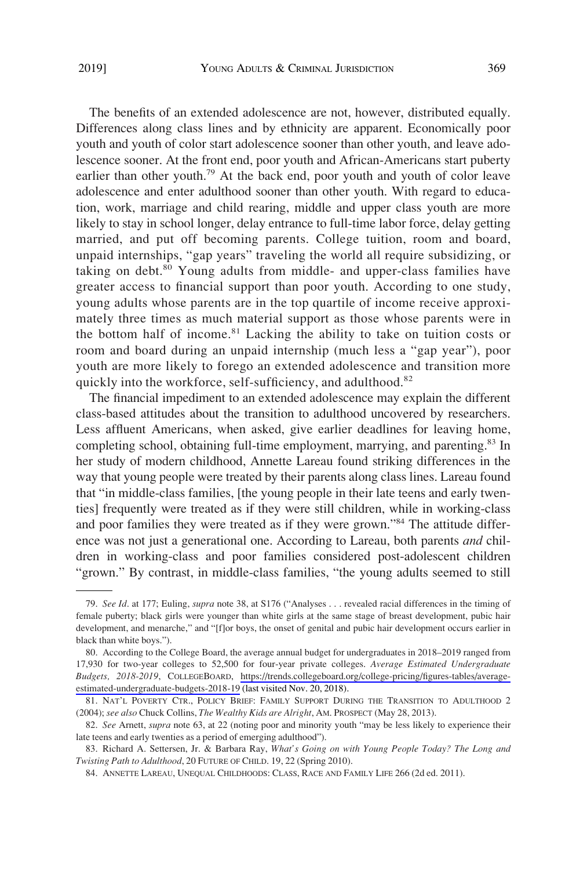The benefits of an extended adolescence are not, however, distributed equally. Differences along class lines and by ethnicity are apparent. Economically poor youth and youth of color start adolescence sooner than other youth, and leave adolescence sooner. At the front end, poor youth and African-Americans start puberty earlier than other youth.<sup>79</sup> At the back end, poor youth and youth of color leave adolescence and enter adulthood sooner than other youth. With regard to education, work, marriage and child rearing, middle and upper class youth are more likely to stay in school longer, delay entrance to full-time labor force, delay getting married, and put off becoming parents. College tuition, room and board, unpaid internships, "gap years" traveling the world all require subsidizing, or taking on debt.<sup>80</sup> Young adults from middle- and upper-class families have greater access to financial support than poor youth. According to one study, young adults whose parents are in the top quartile of income receive approximately three times as much material support as those whose parents were in the bottom half of income.<sup>81</sup> Lacking the ability to take on tuition costs or room and board during an unpaid internship (much less a "gap year"), poor youth are more likely to forego an extended adolescence and transition more quickly into the workforce, self-sufficiency, and adulthood.<sup>82</sup>

The financial impediment to an extended adolescence may explain the different class-based attitudes about the transition to adulthood uncovered by researchers. Less affluent Americans, when asked, give earlier deadlines for leaving home, completing school, obtaining full-time employment, marrying, and parenting.<sup>83</sup> In her study of modern childhood, Annette Lareau found striking differences in the way that young people were treated by their parents along class lines. Lareau found that "in middle-class families, [the young people in their late teens and early twenties] frequently were treated as if they were still children, while in working-class and poor families they were treated as if they were grown."<sup>84</sup> The attitude difference was not just a generational one. According to Lareau, both parents *and* children in working-class and poor families considered post-adolescent children "grown." By contrast, in middle-class families, "the young adults seemed to still

<sup>79.</sup> *See Id*. at 177; Euling, *supra* note 38, at S176 ("Analyses . . . revealed racial differences in the timing of female puberty; black girls were younger than white girls at the same stage of breast development, pubic hair development, and menarche," and "[f]or boys, the onset of genital and pubic hair development occurs earlier in black than white boys.").

<sup>80.</sup> According to the College Board, the average annual budget for undergraduates in 2018–2019 ranged from 17,930 for two-year colleges to 52,500 for four-year private colleges. *Average Estimated Undergraduate Budgets, 2018-2019*, COLLEGEBOARD, [https://trends.collegeboard.org/college-pricing/figures-tables/average](https://trends.collegeboard.org/college-pricing/figures-tables/average-estimated-undergraduate-budgets-2018-19)[estimated-undergraduate-budgets-2018-19](https://trends.collegeboard.org/college-pricing/figures-tables/average-estimated-undergraduate-budgets-2018-19) (last visited Nov. 20, 2018).

<sup>81.</sup> NAT'L POVERTY CTR., POLICY BRIEF: FAMILY SUPPORT DURING THE TRANSITION TO ADULTHOOD 2 (2004); *see also* Chuck Collins, *The Wealthy Kids are Alright*, AM. PROSPECT (May 28, 2013).

<sup>82.</sup> *See* Arnett, *supra* note 63, at 22 (noting poor and minority youth "may be less likely to experience their late teens and early twenties as a period of emerging adulthood").

<sup>83.</sup> Richard A. Settersen, Jr. & Barbara Ray, *What's Going on with Young People Today? The Long and Twisting Path to Adulthood*, 20 FUTURE OF CHILD. 19, 22 (Spring 2010).

<sup>84.</sup> ANNETTE LAREAU, UNEQUAL CHILDHOODS: CLASS, RACE AND FAMILY LIFE 266 (2d ed. 2011).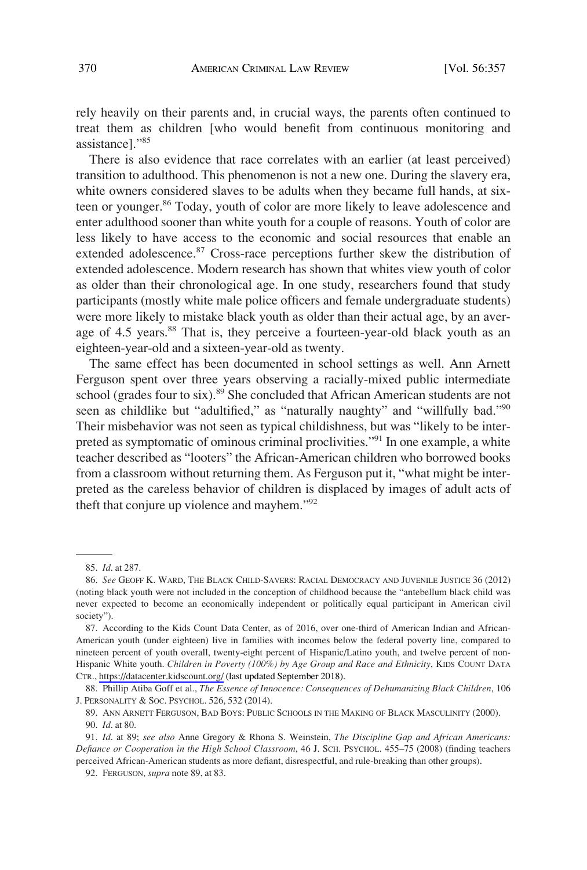rely heavily on their parents and, in crucial ways, the parents often continued to treat them as children [who would benefit from continuous monitoring and assistance]."<sup>85</sup>

There is also evidence that race correlates with an earlier (at least perceived) transition to adulthood. This phenomenon is not a new one. During the slavery era, white owners considered slaves to be adults when they became full hands, at sixteen or younger.<sup>86</sup> Today, youth of color are more likely to leave adolescence and enter adulthood sooner than white youth for a couple of reasons. Youth of color are less likely to have access to the economic and social resources that enable an extended adolescence.<sup>87</sup> Cross-race perceptions further skew the distribution of extended adolescence. Modern research has shown that whites view youth of color as older than their chronological age. In one study, researchers found that study participants (mostly white male police officers and female undergraduate students) were more likely to mistake black youth as older than their actual age, by an average of 4.5 years.<sup>88</sup> That is, they perceive a fourteen-year-old black youth as an eighteen-year-old and a sixteen-year-old as twenty.

The same effect has been documented in school settings as well. Ann Arnett Ferguson spent over three years observing a racially-mixed public intermediate school (grades four to six).<sup>89</sup> She concluded that African American students are not seen as childlike but "adultified," as "naturally naughty" and "willfully bad."<sup>90</sup> Their misbehavior was not seen as typical childishness, but was "likely to be interpreted as symptomatic of ominous criminal proclivities."<sup>91</sup> In one example, a white teacher described as "looters" the African-American children who borrowed books from a classroom without returning them. As Ferguson put it, "what might be interpreted as the careless behavior of children is displaced by images of adult acts of theft that conjure up violence and mayhem."92

<sup>85.</sup> *Id*. at 287.

<sup>86.</sup> *See* GEOFF K. WARD, THE BLACK CHILD-SAVERS: RACIAL DEMOCRACY AND JUVENILE JUSTICE 36 (2012) (noting black youth were not included in the conception of childhood because the "antebellum black child was never expected to become an economically independent or politically equal participant in American civil society").

<sup>87.</sup> According to the Kids Count Data Center, as of 2016, over one-third of American Indian and African-American youth (under eighteen) live in families with incomes below the federal poverty line, compared to nineteen percent of youth overall, twenty-eight percent of Hispanic/Latino youth, and twelve percent of non-Hispanic White youth. *Children in Poverty (100%) by Age Group and Race and Ethnicity*, KIDS COUNT DATA CTR.,<https://datacenter.kidscount.org/> (last updated September 2018).

<sup>88.</sup> Phillip Atiba Goff et al., *The Essence of Innocence: Consequences of Dehumanizing Black Children*, 106 J. PERSONALITY & SOC. PSYCHOL. 526, 532 (2014).

<sup>89.</sup> ANN ARNETT FERGUSON, BAD BOYS: PUBLIC SCHOOLS IN THE MAKING OF BLACK MASCULINITY (2000). 90. *Id*. at 80.

<sup>91.</sup> *Id*. at 89; *see also* Anne Gregory & Rhona S. Weinstein, *The Discipline Gap and African Americans: Defiance or Cooperation in the High School Classroom*, 46 J. SCH. PSYCHOL. 455–75 (2008) (finding teachers perceived African-American students as more defiant, disrespectful, and rule-breaking than other groups).

<sup>92.</sup> FERGUSON*, supra* note 89, at 83.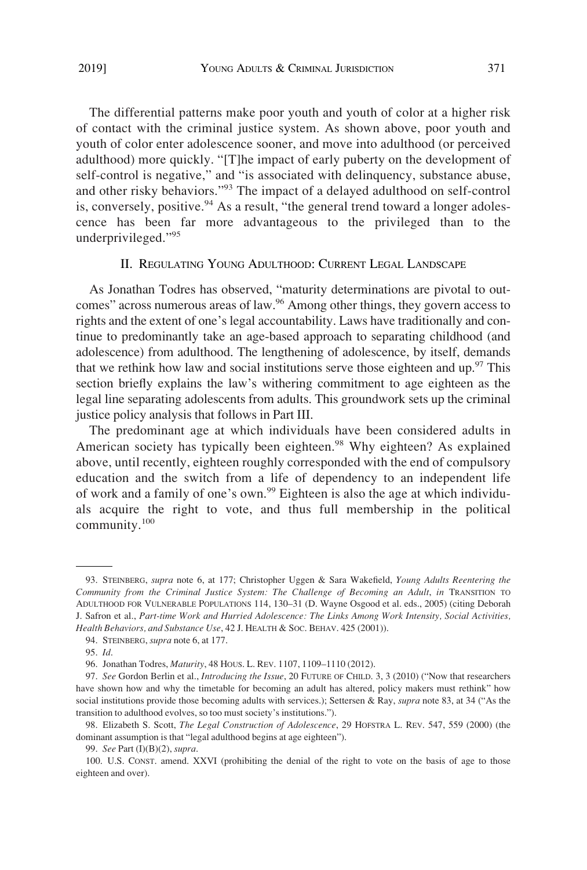The differential patterns make poor youth and youth of color at a higher risk of contact with the criminal justice system. As shown above, poor youth and youth of color enter adolescence sooner, and move into adulthood (or perceived adulthood) more quickly. "[T]he impact of early puberty on the development of self-control is negative," and "is associated with delinquency, substance abuse, and other risky behaviors."<sup>93</sup> The impact of a delayed adulthood on self-control is, conversely, positive.  $94$  As a result, "the general trend toward a longer adolescence has been far more advantageous to the privileged than to the underprivileged."<sup>95</sup>

## II. REGULATING YOUNG ADULTHOOD: CURRENT LEGAL LANDSCAPE

As Jonathan Todres has observed, "maturity determinations are pivotal to outcomes" across numerous areas of law.<sup>96</sup> Among other things, they govern access to rights and the extent of one's legal accountability. Laws have traditionally and continue to predominantly take an age-based approach to separating childhood (and adolescence) from adulthood. The lengthening of adolescence, by itself, demands that we rethink how law and social institutions serve those eighteen and up. $97$  This section briefly explains the law's withering commitment to age eighteen as the legal line separating adolescents from adults. This groundwork sets up the criminal justice policy analysis that follows in Part III.

The predominant age at which individuals have been considered adults in American society has typically been eighteen.<sup>98</sup> Why eighteen? As explained above, until recently, eighteen roughly corresponded with the end of compulsory education and the switch from a life of dependency to an independent life of work and a family of one's own.<sup>99</sup> Eighteen is also the age at which individuals acquire the right to vote, and thus full membership in the political community.<sup>100</sup>

<sup>93.</sup> STEINBERG, *supra* note 6, at 177; Christopher Uggen & Sara Wakefield, *Young Adults Reentering the Community from the Criminal Justice System: The Challenge of Becoming an Adult*, *in* TRANSITION TO ADULTHOOD FOR VULNERABLE POPULATIONS 114, 130–31 (D. Wayne Osgood et al. eds., 2005) (citing Deborah J. Safron et al., *Part-time Work and Hurried Adolescence: The Links Among Work Intensity, Social Activities, Health Behaviors, and Substance Use*, 42 J. HEALTH & SOC. BEHAV. 425 (2001)).

<sup>94.</sup> STEINBERG, *supra* note 6, at 177.

<sup>95.</sup> *Id*.

<sup>96.</sup> Jonathan Todres, *Maturity*, 48 HOUS. L. REV. 1107, 1109–1110 (2012).

<sup>97.</sup> *See* Gordon Berlin et al., *Introducing the Issue*, 20 FUTURE OF CHILD. 3, 3 (2010) ("Now that researchers have shown how and why the timetable for becoming an adult has altered, policy makers must rethink" how social institutions provide those becoming adults with services.); Settersen & Ray, *supra* note 83, at 34 ("As the transition to adulthood evolves, so too must society's institutions.").

<sup>98.</sup> Elizabeth S. Scott, *The Legal Construction of Adolescence*, 29 HOFSTRA L. REV. 547, 559 (2000) (the dominant assumption is that "legal adulthood begins at age eighteen").

<sup>99.</sup> *See* Part (I)(B)(2), *supra*.

<sup>100.</sup> U.S. CONST. amend. XXVI (prohibiting the denial of the right to vote on the basis of age to those eighteen and over).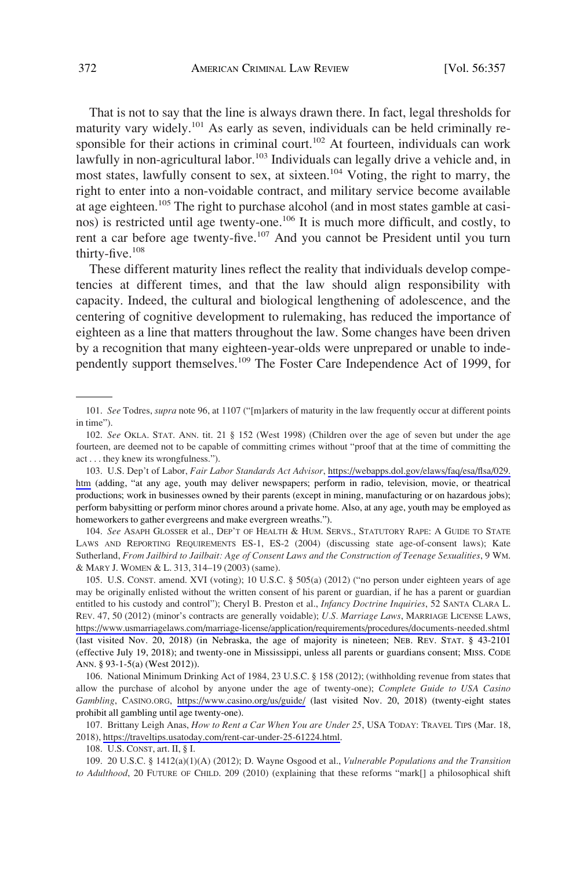That is not to say that the line is always drawn there. In fact, legal thresholds for maturity vary widely.101 As early as seven, individuals can be held criminally responsible for their actions in criminal court.<sup>102</sup> At fourteen, individuals can work lawfully in non-agricultural labor.<sup>103</sup> Individuals can legally drive a vehicle and, in most states, lawfully consent to sex, at sixteen.104 Voting, the right to marry, the right to enter into a non-voidable contract, and military service become available at age eighteen.<sup>105</sup> The right to purchase alcohol (and in most states gamble at casinos) is restricted until age twenty-one.<sup>106</sup> It is much more difficult, and costly, to rent a car before age twenty-five.<sup>107</sup> And you cannot be President until you turn thirty-five.108

These different maturity lines reflect the reality that individuals develop competencies at different times, and that the law should align responsibility with capacity. Indeed, the cultural and biological lengthening of adolescence, and the centering of cognitive development to rulemaking, has reduced the importance of eighteen as a line that matters throughout the law. Some changes have been driven by a recognition that many eighteen-year-olds were unprepared or unable to independently support themselves.109 The Foster Care Independence Act of 1999, for

104. *See* ASAPH GLOSSER et al., DEP'T OF HEALTH & HUM. SERVS., STATUTORY RAPE: A GUIDE TO STATE LAWS AND REPORTING REQUIREMENTS ES-1, ES-2 (2004) (discussing state age-of-consent laws); Kate Sutherland, *From Jailbird to Jailbait: Age of Consent Laws and the Construction of Teenage Sexualities*, 9 WM. & MARY J. WOMEN & L. 313, 314–19 (2003) (same).

105. U.S. CONST. amend. XVI (voting); 10 U.S.C. § 505(a) (2012) ("no person under eighteen years of age may be originally enlisted without the written consent of his parent or guardian, if he has a parent or guardian entitled to his custody and control"); Cheryl B. Preston et al., *Infancy Doctrine Inquiries*, 52 SANTA CLARA L. REV. 47, 50 (2012) (minor's contracts are generally voidable); *U.S. Marriage Laws*, MARRIAGE LICENSE LAWS, <https://www.usmarriagelaws.com/marriage-license/application/requirements/procedures/documents-needed.shtml> (last visited Nov. 20, 2018) (in Nebraska, the age of majority is nineteen; NEB. REV. STAT. § 43-2101 (effective July 19, 2018); and twenty-one in Mississippi, unless all parents or guardians consent; MISS. CODE ANN. § 93-1-5(a) (West 2012)).

106. National Minimum Drinking Act of 1984, 23 U.S.C. § 158 (2012); (withholding revenue from states that allow the purchase of alcohol by anyone under the age of twenty-one); *Complete Guide to USA Casino Gambling*, CASINO.ORG, <https://www.casino.org/us/guide/>(last visited Nov. 20, 2018) (twenty-eight states prohibit all gambling until age twenty-one).

107. Brittany Leigh Anas, *How to Rent a Car When You are Under 25*, USA TODAY: TRAVEL TIPS (Mar. 18, 2018), [https://traveltips.usatoday.com/rent-car-under-25-61224.html.](https://traveltips.usatoday.com/rent-car-under-25-61224.html)

108. U.S. CONST, art. II, § I.

109. 20 U.S.C. § 1412(a)(1)(A) (2012); D. Wayne Osgood et al., *Vulnerable Populations and the Transition to Adulthood*, 20 FUTURE OF CHILD. 209 (2010) (explaining that these reforms "mark[] a philosophical shift

<sup>101.</sup> *See* Todres, *supra* note 96, at 1107 ("[m]arkers of maturity in the law frequently occur at different points in time").

<sup>102.</sup> *See* OKLA. STAT. ANN. tit. 21 § 152 (West 1998) (Children over the age of seven but under the age fourteen, are deemed not to be capable of committing crimes without "proof that at the time of committing the act . . . they knew its wrongfulness.").

<sup>103.</sup> U.S. Dep't of Labor, *Fair Labor Standards Act Advisor*, [https://webapps.dol.gov/elaws/faq/esa/flsa/029.](https://webapps.dol.gov/elaws/faq/esa/flsa/029.htm) [htm](https://webapps.dol.gov/elaws/faq/esa/flsa/029.htm) (adding, "at any age, youth may deliver newspapers; perform in radio, television, movie, or theatrical productions; work in businesses owned by their parents (except in mining, manufacturing or on hazardous jobs); perform babysitting or perform minor chores around a private home. Also, at any age, youth may be employed as homeworkers to gather evergreens and make evergreen wreaths.").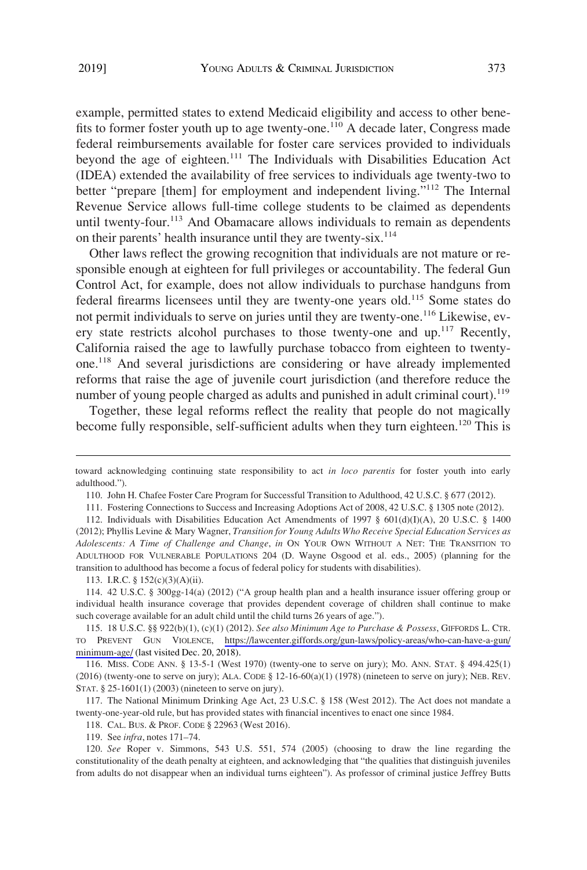example, permitted states to extend Medicaid eligibility and access to other benefits to former foster youth up to age twenty-one.<sup>110</sup> A decade later, Congress made federal reimbursements available for foster care services provided to individuals beyond the age of eighteen.<sup>111</sup> The Individuals with Disabilities Education Act (IDEA) extended the availability of free services to individuals age twenty-two to better "prepare [them] for employment and independent living."112 The Internal Revenue Service allows full-time college students to be claimed as dependents until twenty-four.<sup>113</sup> And Obamacare allows individuals to remain as dependents on their parents' health insurance until they are twenty-six.<sup>114</sup>

Other laws reflect the growing recognition that individuals are not mature or responsible enough at eighteen for full privileges or accountability. The federal Gun Control Act, for example, does not allow individuals to purchase handguns from federal firearms licensees until they are twenty-one years old.<sup>115</sup> Some states do not permit individuals to serve on juries until they are twenty-one.116 Likewise, every state restricts alcohol purchases to those twenty-one and up.<sup>117</sup> Recently, California raised the age to lawfully purchase tobacco from eighteen to twentyone.118 And several jurisdictions are considering or have already implemented reforms that raise the age of juvenile court jurisdiction (and therefore reduce the number of young people charged as adults and punished in adult criminal court).<sup>119</sup>

Together, these legal reforms reflect the reality that people do not magically become fully responsible, self-sufficient adults when they turn eighteen.<sup>120</sup> This is

toward acknowledging continuing state responsibility to act *in loco parentis* for foster youth into early adulthood.").

<sup>110.</sup> John H. Chafee Foster Care Program for Successful Transition to Adulthood, 42 U.S.C. § 677 (2012).

<sup>111.</sup> Fostering Connections to Success and Increasing Adoptions Act of 2008, 42 U.S.C. § 1305 note (2012).

<sup>112.</sup> Individuals with Disabilities Education Act Amendments of 1997 § 601(d)(I)(A), 20 U.S.C. § 1400 (2012); Phyllis Levine & Mary Wagner, *Transition for Young Adults Who Receive Special Education Services as Adolescents: A Time of Challenge and Change*, *in* ON YOUR OWN WITHOUT A NET: THE TRANSITION TO ADULTHOOD FOR VULNERABLE POPULATIONS 204 (D. Wayne Osgood et al. eds., 2005) (planning for the transition to adulthood has become a focus of federal policy for students with disabilities).

<sup>113.</sup> I.R.C. § 152(c)(3)(A)(ii).

<sup>114. 42</sup> U.S.C. § 300gg-14(a) (2012) ("A group health plan and a health insurance issuer offering group or individual health insurance coverage that provides dependent coverage of children shall continue to make such coverage available for an adult child until the child turns 26 years of age.").

<sup>115. 18</sup> U.S.C. §§ 922(b)(1), (c)(1) (2012). *See also Minimum Age to Purchase & Possess*, GIFFORDS L. CTR. TO PREVENT GUN VIOLENCE, [https://lawcenter.giffords.org/gun-laws/policy-areas/who-can-have-a-gun/](https://lawcenter.giffords.org/gun-laws/policy-areas/who-can-have-a-gun/minimum-age/)  [minimum-age/](https://lawcenter.giffords.org/gun-laws/policy-areas/who-can-have-a-gun/minimum-age/) (last visited Dec. 20, 2018).

<sup>116.</sup> MISS. CODE ANN. § 13-5-1 (West 1970) (twenty-one to serve on jury); MO. ANN. STAT. § 494.425(1)  $(2016)$  (twenty-one to serve on jury); ALA. CODE § 12-16-60(a)(1) (1978) (nineteen to serve on jury); NEB. REV. STAT. § 25-1601(1) (2003) (nineteen to serve on jury).

<sup>117.</sup> The National Minimum Drinking Age Act, 23 U.S.C. § 158 (West 2012). The Act does not mandate a twenty-one-year-old rule, but has provided states with financial incentives to enact one since 1984.

<sup>118.</sup> CAL. BUS. & PROF. CODE § 22963 (West 2016).

<sup>119.</sup> See *infra*, notes 171–74.

<sup>120.</sup> See Roper v. Simmons, 543 U.S. 551, 574 (2005) (choosing to draw the line regarding the constitutionality of the death penalty at eighteen, and acknowledging that "the qualities that distinguish juveniles from adults do not disappear when an individual turns eighteen"). As professor of criminal justice Jeffrey Butts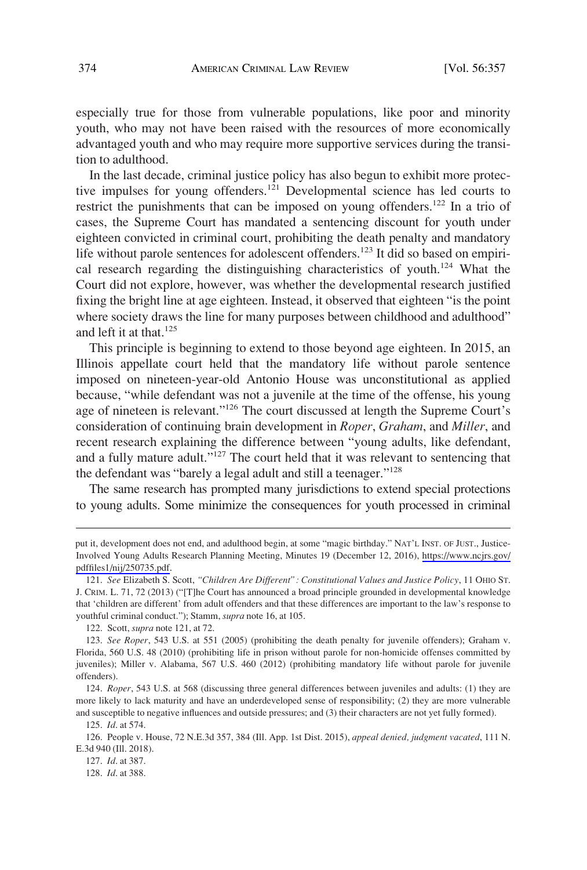especially true for those from vulnerable populations, like poor and minority youth, who may not have been raised with the resources of more economically advantaged youth and who may require more supportive services during the transition to adulthood.

In the last decade, criminal justice policy has also begun to exhibit more protective impulses for young offenders.<sup>121</sup> Developmental science has led courts to restrict the punishments that can be imposed on young offenders.<sup>122</sup> In a trio of cases, the Supreme Court has mandated a sentencing discount for youth under eighteen convicted in criminal court, prohibiting the death penalty and mandatory life without parole sentences for adolescent offenders.<sup>123</sup> It did so based on empirical research regarding the distinguishing characteristics of youth.<sup>124</sup> What the Court did not explore, however, was whether the developmental research justified fixing the bright line at age eighteen. Instead, it observed that eighteen "is the point where society draws the line for many purposes between childhood and adulthood" and left it at that.<sup>125</sup>

This principle is beginning to extend to those beyond age eighteen. In 2015, an Illinois appellate court held that the mandatory life without parole sentence imposed on nineteen-year-old Antonio House was unconstitutional as applied because, "while defendant was not a juvenile at the time of the offense, his young age of nineteen is relevant."126 The court discussed at length the Supreme Court's consideration of continuing brain development in *Roper*, *Graham*, and *Miller*, and recent research explaining the difference between "young adults, like defendant, and a fully mature adult."127 The court held that it was relevant to sentencing that the defendant was "barely a legal adult and still a teenager."<sup>128</sup>

The same research has prompted many jurisdictions to extend special protections to young adults. Some minimize the consequences for youth processed in criminal

put it, development does not end, and adulthood begin, at some "magic birthday." NAT'L INST. OF JUST., Justice-Involved Young Adults Research Planning Meeting, Minutes 19 (December 12, 2016), [https://www.ncjrs.gov/](https://www.ncjrs.gov/pdffiles1/nij/250735.pdf)  [pdffiles1/nij/250735.pdf](https://www.ncjrs.gov/pdffiles1/nij/250735.pdf).

<sup>121.</sup> *See* Elizabeth S. Scott, *"Children Are Different": Constitutional Values and Justice Policy*, 11 OHIO ST. J. CRIM. L. 71, 72 (2013) ("[T]he Court has announced a broad principle grounded in developmental knowledge that 'children are different' from adult offenders and that these differences are important to the law's response to youthful criminal conduct."); Stamm, *supra* note 16, at 105.

<sup>122.</sup> Scott, *supra* note 121, at 72.

<sup>123.</sup> *See Roper*, 543 U.S. at 551 (2005) (prohibiting the death penalty for juvenile offenders); Graham v. Florida, 560 U.S. 48 (2010) (prohibiting life in prison without parole for non-homicide offenses committed by juveniles); Miller v. Alabama, 567 U.S. 460 (2012) (prohibiting mandatory life without parole for juvenile offenders).

<sup>124.</sup> *Roper*, 543 U.S. at 568 (discussing three general differences between juveniles and adults: (1) they are more likely to lack maturity and have an underdeveloped sense of responsibility; (2) they are more vulnerable and susceptible to negative influences and outside pressures; and (3) their characters are not yet fully formed).

<sup>125.</sup> *Id*. at 574.

<sup>126.</sup> People v. House, 72 N.E.3d 357, 384 (Ill. App. 1st Dist. 2015), *appeal denied, judgment vacated*, 111 N. E.3d 940 (Ill. 2018).

<sup>127.</sup> *Id*. at 387.

<sup>128.</sup> *Id*. at 388.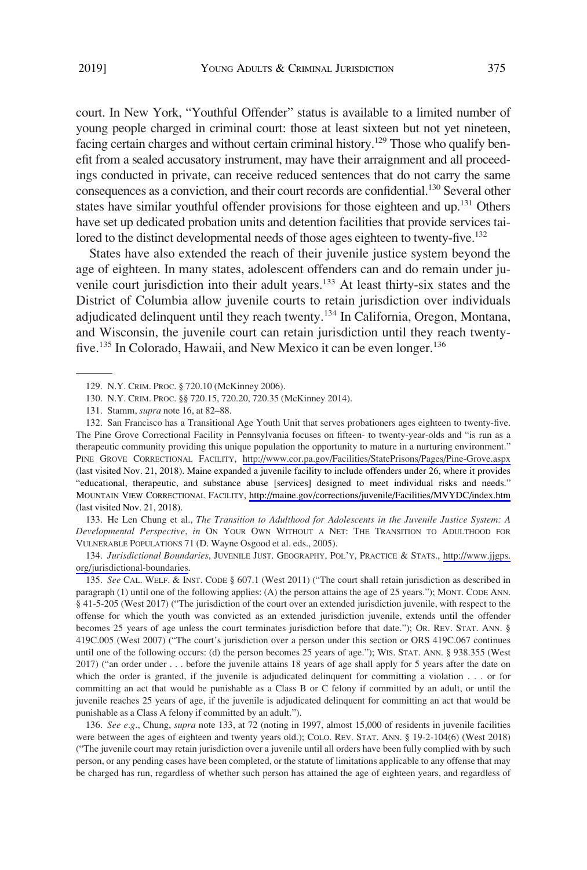court. In New York, "Youthful Offender" status is available to a limited number of young people charged in criminal court: those at least sixteen but not yet nineteen, facing certain charges and without certain criminal history.<sup>129</sup> Those who qualify benefit from a sealed accusatory instrument, may have their arraignment and all proceedings conducted in private, can receive reduced sentences that do not carry the same consequences as a conviction, and their court records are confidential.130 Several other states have similar youthful offender provisions for those eighteen and up.<sup>131</sup> Others have set up dedicated probation units and detention facilities that provide services tailored to the distinct developmental needs of those ages eighteen to twenty-five.<sup>132</sup>

States have also extended the reach of their juvenile justice system beyond the age of eighteen. In many states, adolescent offenders can and do remain under juvenile court jurisdiction into their adult years.<sup>133</sup> At least thirty-six states and the District of Columbia allow juvenile courts to retain jurisdiction over individuals adjudicated delinquent until they reach twenty.<sup>134</sup> In California, Oregon, Montana, and Wisconsin, the juvenile court can retain jurisdiction until they reach twentyfive.<sup>135</sup> In Colorado, Hawaii, and New Mexico it can be even longer.<sup>136</sup>

133. He Len Chung et al., *The Transition to Adulthood for Adolescents in the Juvenile Justice System: A Developmental Perspective*, *in* ON YOUR OWN WITHOUT A NET: THE TRANSITION TO ADULTHOOD FOR VULNERABLE POPULATIONS 71 (D. Wayne Osgood et al. eds., 2005).

*Jurisdictional Boundaries*, JUVENILE JUST. GEOGRAPHY, POL'Y, PRACTICE & STATS., [http://www.jjgps.](http://www.jjgps.org/jurisdictional-boundaries) 134. [org/jurisdictional-boundaries.](http://www.jjgps.org/jurisdictional-boundaries)

135. *See* CAL. WELF. & INST. CODE § 607.1 (West 2011) ("The court shall retain jurisdiction as described in paragraph (1) until one of the following applies: (A) the person attains the age of 25 years."); MONT. CODE ANN. § 41-5-205 (West 2017) ("The jurisdiction of the court over an extended jurisdiction juvenile, with respect to the offense for which the youth was convicted as an extended jurisdiction juvenile, extends until the offender becomes 25 years of age unless the court terminates jurisdiction before that date."); OR. REV. STAT. ANN. § 419C.005 (West 2007) ("The court's jurisdiction over a person under this section or ORS 419C.067 continues until one of the following occurs: (d) the person becomes 25 years of age."); WIS. STAT. ANN. § 938.355 (West 2017) ("an order under . . . before the juvenile attains 18 years of age shall apply for 5 years after the date on which the order is granted, if the juvenile is adjudicated delinquent for committing a violation . . . or for committing an act that would be punishable as a Class B or C felony if committed by an adult, or until the juvenile reaches 25 years of age, if the juvenile is adjudicated delinquent for committing an act that would be punishable as a Class A felony if committed by an adult.").

136. *See e.g*., Chung, *supra* note 133, at 72 (noting in 1997, almost 15,000 of residents in juvenile facilities were between the ages of eighteen and twenty years old.); COLO. REV. STAT. ANN. § 19-2-104(6) (West 2018) ("The juvenile court may retain jurisdiction over a juvenile until all orders have been fully complied with by such person, or any pending cases have been completed, or the statute of limitations applicable to any offense that may be charged has run, regardless of whether such person has attained the age of eighteen years, and regardless of

<sup>129.</sup> N.Y. CRIM. PROC. § 720.10 (McKinney 2006).

<sup>130.</sup> N.Y. CRIM. PROC. §§ 720.15, 720.20, 720.35 (McKinney 2014).

<sup>131.</sup> Stamm, *supra* note 16, at 82–88.

<sup>132.</sup> San Francisco has a Transitional Age Youth Unit that serves probationers ages eighteen to twenty-five. The Pine Grove Correctional Facility in Pennsylvania focuses on fifteen- to twenty-year-olds and "is run as a therapeutic community providing this unique population the opportunity to mature in a nurturing environment." PINE GROVE CORRECTIONAL FACILITY, <http://www.cor.pa.gov/Facilities/StatePrisons/Pages/Pine-Grove.aspx> (last visited Nov. 21, 2018). Maine expanded a juvenile facility to include offenders under 26, where it provides "educational, therapeutic, and substance abuse [services] designed to meet individual risks and needs." MOUNTAIN VIEW CORRECTIONAL FACILITY, <http://maine.gov/corrections/juvenile/Facilities/MVYDC/index.htm> (last visited Nov. 21, 2018).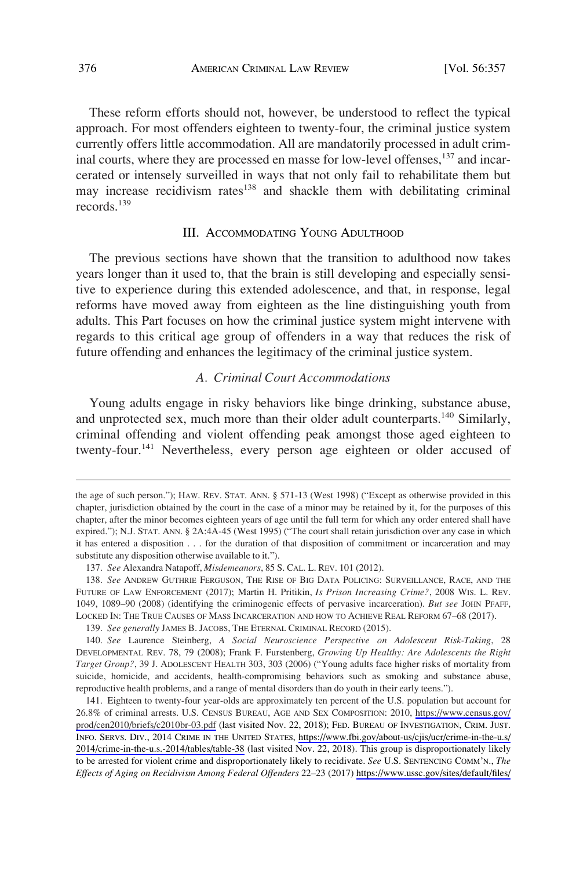These reform efforts should not, however, be understood to reflect the typical approach. For most offenders eighteen to twenty-four, the criminal justice system currently offers little accommodation. All are mandatorily processed in adult criminal courts, where they are processed en masse for low-level offenses,<sup>137</sup> and incarcerated or intensely surveilled in ways that not only fail to rehabilitate them but may increase recidivism rates $138$  and shackle them with debilitating criminal records.<sup>139</sup>

#### III. ACCOMMODATING YOUNG ADULTHOOD

The previous sections have shown that the transition to adulthood now takes years longer than it used to, that the brain is still developing and especially sensitive to experience during this extended adolescence, and that, in response, legal reforms have moved away from eighteen as the line distinguishing youth from adults. This Part focuses on how the criminal justice system might intervene with regards to this critical age group of offenders in a way that reduces the risk of future offending and enhances the legitimacy of the criminal justice system.

# *A. Criminal Court Accommodations*

Young adults engage in risky behaviors like binge drinking, substance abuse, and unprotected sex, much more than their older adult counterparts.<sup>140</sup> Similarly, criminal offending and violent offending peak amongst those aged eighteen to twenty-four.<sup>141</sup> Nevertheless, every person age eighteen or older accused of

139. *See generally* JAMES B. JACOBS, THE ETERNAL CRIMINAL RECORD (2015).

the age of such person."); HAW. REV. STAT. ANN. § 571-13 (West 1998) ("Except as otherwise provided in this chapter, jurisdiction obtained by the court in the case of a minor may be retained by it, for the purposes of this chapter, after the minor becomes eighteen years of age until the full term for which any order entered shall have expired."); N.J. STAT. ANN. § 2A:4A-45 (West 1995) ("The court shall retain jurisdiction over any case in which it has entered a disposition . . . for the duration of that disposition of commitment or incarceration and may substitute any disposition otherwise available to it.").

<sup>137.</sup> *See* Alexandra Natapoff, *Misdemeanors*, 85 S. CAL. L. REV. 101 (2012).

<sup>138.</sup> *See* ANDREW GUTHRIE FERGUSON, THE RISE OF BIG DATA POLICING: SURVEILLANCE, RACE, AND THE FUTURE OF LAW ENFORCEMENT (2017); Martin H. Pritikin, *Is Prison Increasing Crime?*, 2008 WIS. L. REV. 1049, 1089–90 (2008) (identifying the criminogenic effects of pervasive incarceration). *But see* JOHN PFAFF, LOCKED IN: THE TRUE CAUSES OF MASS INCARCERATION AND HOW TO ACHIEVE REAL REFORM 67–68 (2017).

<sup>140.</sup> *See* Laurence Steinberg, *A Social Neuroscience Perspective on Adolescent Risk-Taking*, 28 DEVELOPMENTAL REV. 78, 79 (2008); Frank F. Furstenberg, *Growing Up Healthy: Are Adolescents the Right Target Group?*, 39 J. ADOLESCENT HEALTH 303, 303 (2006) ("Young adults face higher risks of mortality from suicide, homicide, and accidents, health-compromising behaviors such as smoking and substance abuse, reproductive health problems, and a range of mental disorders than do youth in their early teens.").

<sup>141.</sup> Eighteen to twenty-four year-olds are approximately ten percent of the U.S. population but account for 26.8% of criminal arrests. U.S. CENSUS BUREAU, AGE AND SEX COMPOSITION: 2010, [https://www.census.gov/](https://www.census.gov/prod/cen2010/briefs/c2010br-03.pdf)  [prod/cen2010/briefs/c2010br-03.pdf](https://www.census.gov/prod/cen2010/briefs/c2010br-03.pdf) (last visited Nov. 22, 2018); FED. BUREAU OF INVESTIGATION, CRIM. JUST. INFO. SERVS. DIV., 2014 CRIME IN THE UNITED STATES, [https://www.fbi.gov/about-us/cjis/ucr/crime-in-the-u.s/](https://www.fbi.gov/about-us/cjis/ucr/crime-in-the-u.s/2014/crime-in-the-u.s.-2014/tables/table-38)  [2014/crime-in-the-u.s.-2014/tables/table-38](https://www.fbi.gov/about-us/cjis/ucr/crime-in-the-u.s/2014/crime-in-the-u.s.-2014/tables/table-38) (last visited Nov. 22, 2018). This group is disproportionately likely to be arrested for violent crime and disproportionately likely to recidivate. *See* U.S. SENTENCING COMM'N., *The Effects of Aging on Recidivism Among Federal Offenders* 22–23 (2017) [https://www.ussc.gov/sites/default/files/](https://www.ussc.gov/sites/default/files/pdf/research-and-publications/research-publications/2017/20171207_Recidivism-Age.pdf)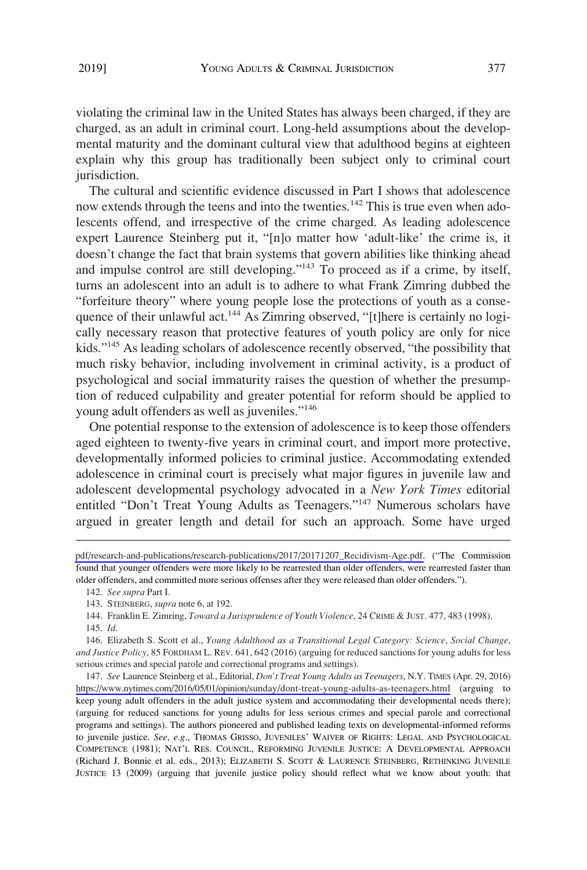violating the criminal law in the United States has always been charged, if they are charged, as an adult in criminal court. Long-held assumptions about the developmental maturity and the dominant cultural view that adulthood begins at eighteen explain why this group has traditionally been subject only to criminal court jurisdiction.

The cultural and scientific evidence discussed in Part I shows that adolescence now extends through the teens and into the twenties.<sup>142</sup> This is true even when adolescents offend, and irrespective of the crime charged. As leading adolescence expert Laurence Steinberg put it, "[n]o matter how 'adult-like' the crime is, it doesn't change the fact that brain systems that govern abilities like thinking ahead and impulse control are still developing."143 To proceed as if a crime, by itself, turns an adolescent into an adult is to adhere to what Frank Zimring dubbed the "forfeiture theory" where young people lose the protections of youth as a consequence of their unlawful act.<sup>144</sup> As Zimring observed, "[t]here is certainly no logically necessary reason that protective features of youth policy are only for nice kids."145 As leading scholars of adolescence recently observed, "the possibility that much risky behavior, including involvement in criminal activity, is a product of psychological and social immaturity raises the question of whether the presumption of reduced culpability and greater potential for reform should be applied to young adult offenders as well as juveniles."146

One potential response to the extension of adolescence is to keep those offenders aged eighteen to twenty-five years in criminal court, and import more protective, developmentally informed policies to criminal justice. Accommodating extended adolescence in criminal court is precisely what major figures in juvenile law and adolescent developmental psychology advocated in a *New York Times* editorial entitled "Don't Treat Young Adults as Teenagers."<sup>147</sup> Numerous scholars have argued in greater length and detail for such an approach. Some have urged

*See* Laurence Steinberg et al., Editorial, *Don't Treat Young Adults as Teenagers*, N.Y. TIMES (Apr. 29, 2016) 147. <https://www.nytimes.com/2016/05/01/opinion/sunday/dont-treat-young-adults-as-teenagers.html> (arguing to keep young adult offenders in the adult justice system and accommodating their developmental needs there); (arguing for reduced sanctions for young adults for less serious crimes and special parole and correctional programs and settings). The authors pioneered and published leading texts on developmental-informed reforms to juvenile justice. *See, e.g*., THOMAS GRISSO, JUVENILES' WAIVER OF RIGHTS: LEGAL AND PSYCHOLOGICAL COMPETENCE (1981); NAT'L RES. COUNCIL, REFORMING JUVENILE JUSTICE: A DEVELOPMENTAL APPROACH (Richard J. Bonnie et al. eds., 2013); ELIZABETH S. SCOTT & LAURENCE STEINBERG, RETHINKING JUVENILE JUSTICE 13 (2009) (arguing that juvenile justice policy should reflect what we know about youth: that

[pdf/research-and-publications/research-publications/2017/20171207\\_Recidivism-Age.pdf.](https://www.ussc.gov/sites/default/files/pdf/research-and-publications/research-publications/2017/20171207_Recidivism-Age.pdf) ("The Commission found that younger offenders were more likely to be rearrested than older offenders, were rearrested faster than older offenders, and committed more serious offenses after they were released than older offenders.").

<sup>142.</sup> *See supra* Part I.

<sup>143.</sup> STEINBERG, *supra* note 6, at 192.

<sup>144.</sup> Franklin E. Zimring, *Toward a Jurisprudence of Youth Violence*, 24 CRIME & JUST. 477, 483 (1998).

<sup>145.</sup> *Id*.

<sup>146.</sup> Elizabeth S. Scott et al., *Young Adulthood as a Transitional Legal Category: Science, Social Change, and Justice Policy*, 85 FORDHAM L. REV. 641, 642 (2016) (arguing for reduced sanctions for young adults for less serious crimes and special parole and correctional programs and settings).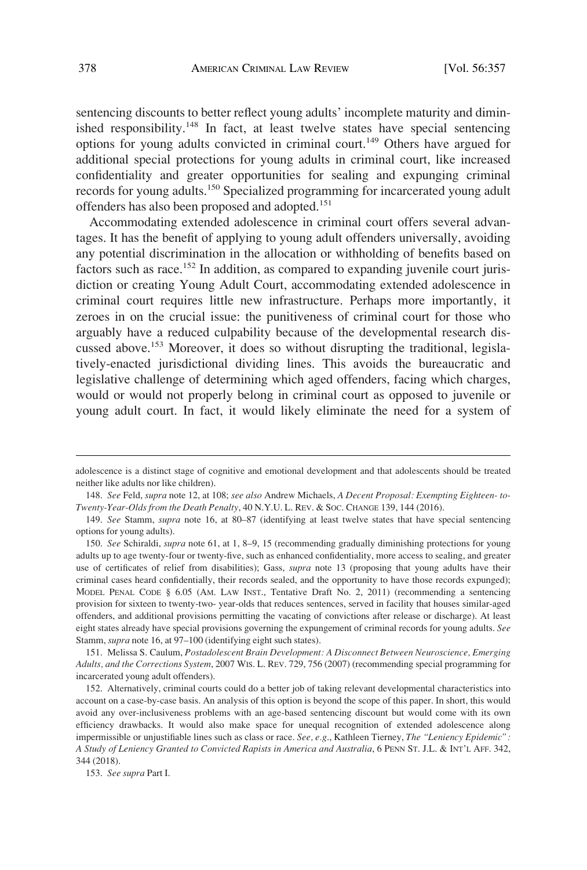sentencing discounts to better reflect young adults' incomplete maturity and diminished responsibility.<sup>148</sup> In fact, at least twelve states have special sentencing options for young adults convicted in criminal court.<sup>149</sup> Others have argued for additional special protections for young adults in criminal court, like increased confidentiality and greater opportunities for sealing and expunging criminal records for young adults.<sup>150</sup> Specialized programming for incarcerated young adult offenders has also been proposed and adopted.<sup>151</sup>

Accommodating extended adolescence in criminal court offers several advantages. It has the benefit of applying to young adult offenders universally, avoiding any potential discrimination in the allocation or withholding of benefits based on factors such as race.<sup>152</sup> In addition, as compared to expanding juvenile court jurisdiction or creating Young Adult Court, accommodating extended adolescence in criminal court requires little new infrastructure. Perhaps more importantly, it zeroes in on the crucial issue: the punitiveness of criminal court for those who arguably have a reduced culpability because of the developmental research discussed above.153 Moreover, it does so without disrupting the traditional, legislatively-enacted jurisdictional dividing lines. This avoids the bureaucratic and legislative challenge of determining which aged offenders, facing which charges, would or would not properly belong in criminal court as opposed to juvenile or young adult court. In fact, it would likely eliminate the need for a system of

151. Melissa S. Caulum, *Postadolescent Brain Development: A Disconnect Between Neuroscience, Emerging Adults, and the Corrections System*, 2007 WIS. L. REV. 729, 756 (2007) (recommending special programming for incarcerated young adult offenders).

adolescence is a distinct stage of cognitive and emotional development and that adolescents should be treated neither like adults nor like children).

<sup>148.</sup> *See* Feld, *supra* note 12, at 108; *see also* Andrew Michaels, *A Decent Proposal: Exempting Eighteen- to-Twenty-Year-Olds from the Death Penalty*, 40 N.Y.U. L. REV. & SOC. CHANGE 139, 144 (2016).

<sup>149.</sup> *See* Stamm, *supra* note 16, at 80–87 (identifying at least twelve states that have special sentencing options for young adults).

<sup>150.</sup> *See* Schiraldi, *supra* note 61, at 1, 8–9, 15 (recommending gradually diminishing protections for young adults up to age twenty-four or twenty-five, such as enhanced confidentiality, more access to sealing, and greater use of certificates of relief from disabilities); Gass, *supra* note 13 (proposing that young adults have their criminal cases heard confidentially, their records sealed, and the opportunity to have those records expunged); MODEL PENAL CODE § 6.05 (AM. LAW INST., Tentative Draft No. 2, 2011) (recommending a sentencing provision for sixteen to twenty-two- year-olds that reduces sentences, served in facility that houses similar-aged offenders, and additional provisions permitting the vacating of convictions after release or discharge). At least eight states already have special provisions governing the expungement of criminal records for young adults. *See*  Stamm, *supra* note 16, at 97–100 (identifying eight such states).

<sup>152.</sup> Alternatively, criminal courts could do a better job of taking relevant developmental characteristics into account on a case-by-case basis. An analysis of this option is beyond the scope of this paper. In short, this would avoid any over-inclusiveness problems with an age-based sentencing discount but would come with its own efficiency drawbacks. It would also make space for unequal recognition of extended adolescence along impermissible or unjustifiable lines such as class or race. *See, e.g*., Kathleen Tierney, *The "Leniency Epidemic": A Study of Leniency Granted to Convicted Rapists in America and Australia*, 6 PENN ST. J.L. & INT'L AFF. 342, 344 (2018).

<sup>153.</sup> *See supra* Part I.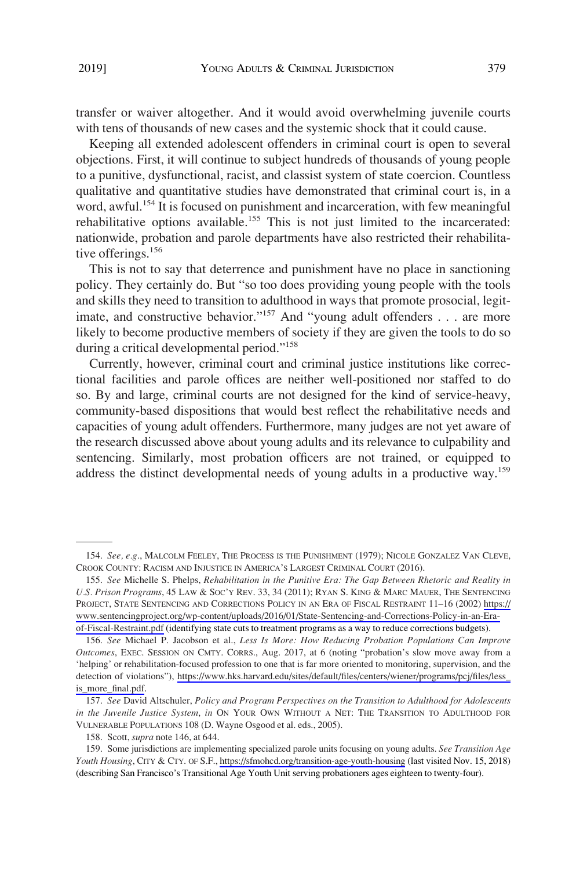transfer or waiver altogether. And it would avoid overwhelming juvenile courts with tens of thousands of new cases and the systemic shock that it could cause.

Keeping all extended adolescent offenders in criminal court is open to several objections. First, it will continue to subject hundreds of thousands of young people to a punitive, dysfunctional, racist, and classist system of state coercion. Countless qualitative and quantitative studies have demonstrated that criminal court is, in a word, awful.<sup>154</sup> It is focused on punishment and incarceration, with few meaningful rehabilitative options available.<sup>155</sup> This is not just limited to the incarcerated: nationwide, probation and parole departments have also restricted their rehabilitative offerings.<sup>156</sup>

This is not to say that deterrence and punishment have no place in sanctioning policy. They certainly do. But "so too does providing young people with the tools and skills they need to transition to adulthood in ways that promote prosocial, legitimate, and constructive behavior."<sup>157</sup> And "young adult offenders . . . are more likely to become productive members of society if they are given the tools to do so during a critical developmental period."<sup>158</sup>

Currently, however, criminal court and criminal justice institutions like correctional facilities and parole offices are neither well-positioned nor staffed to do so. By and large, criminal courts are not designed for the kind of service-heavy, community-based dispositions that would best reflect the rehabilitative needs and capacities of young adult offenders. Furthermore, many judges are not yet aware of the research discussed above about young adults and its relevance to culpability and sentencing. Similarly, most probation officers are not trained, or equipped to address the distinct developmental needs of young adults in a productive way.<sup>159</sup>

<sup>154.</sup> *See, e.g*., MALCOLM FEELEY, THE PROCESS IS THE PUNISHMENT (1979); NICOLE GONZALEZ VAN CLEVE, CROOK COUNTY: RACISM AND INJUSTICE IN AMERICA'S LARGEST CRIMINAL COURT (2016).

*See* Michelle S. Phelps, *Rehabilitation in the Punitive Era: The Gap Between Rhetoric and Reality in*  155. *U.S. Prison Programs*, 45 LAW & SOC'Y REV. 33, 34 (2011); RYAN S. KING & MARC MAUER, THE SENTENCING PROJECT, STATE SENTENCING AND CORRECTIONS POLICY IN AN ERA OF FISCAL RESTRAINT 11–16 (2002) [https://](https://www.sentencingproject.org/wp-content/uploads/2016/01/State-Sentencing-and-Corrections-Policy-in-an-Era-of-Fiscal-Restraint.pdf) [www.sentencingproject.org/wp-content/uploads/2016/01/State-Sentencing-and-Corrections-Policy-in-an-Era](https://www.sentencingproject.org/wp-content/uploads/2016/01/State-Sentencing-and-Corrections-Policy-in-an-Era-of-Fiscal-Restraint.pdf)[of-Fiscal-Restraint.pdf](https://www.sentencingproject.org/wp-content/uploads/2016/01/State-Sentencing-and-Corrections-Policy-in-an-Era-of-Fiscal-Restraint.pdf) (identifying state cuts to treatment programs as a way to reduce corrections budgets).

*See* Michael P. Jacobson et al., *Less Is More: How Reducing Probation Populations Can Improve*  156. *Outcomes*, EXEC. SESSION ON CMTY. CORRS., Aug. 2017, at 6 (noting "probation's slow move away from a 'helping' or rehabilitation-focused profession to one that is far more oriented to monitoring, supervision, and the detection of violations"), [https://www.hks.harvard.edu/sites/default/files/centers/wiener/programs/pcj/files/less\\_](https://www.hks.harvard.edu/sites/default/files/centers/wiener/programs/pcj/files/less_is_more_final.pdf) is more final.pdf.

<sup>157.</sup> *See* David Altschuler, *Policy and Program Perspectives on the Transition to Adulthood for Adolescents in the Juvenile Justice System*, *in* ON YOUR OWN WITHOUT A NET: THE TRANSITION TO ADULTHOOD FOR VULNERABLE POPULATIONS 108 (D. Wayne Osgood et al. eds., 2005).

<sup>158.</sup> Scott, *supra* note 146, at 644.

<sup>159.</sup> Some jurisdictions are implementing specialized parole units focusing on young adults. See Transition Age *Youth Housing*, CITY & CTY. OF S.F.,<https://sfmohcd.org/transition-age-youth-housing>(last visited Nov. 15, 2018) (describing San Francisco's Transitional Age Youth Unit serving probationers ages eighteen to twenty-four).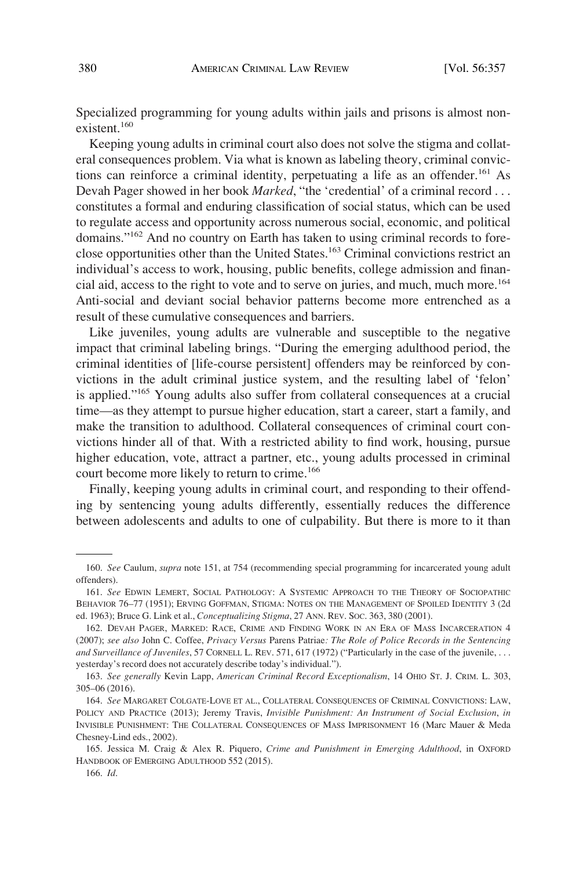Specialized programming for young adults within jails and prisons is almost nonexistent.<sup>160</sup>

Keeping young adults in criminal court also does not solve the stigma and collateral consequences problem. Via what is known as labeling theory, criminal convictions can reinforce a criminal identity, perpetuating a life as an offender.<sup>161</sup> As Devah Pager showed in her book *Marked*, "the 'credential' of a criminal record . . . constitutes a formal and enduring classification of social status, which can be used to regulate access and opportunity across numerous social, economic, and political domains."162 And no country on Earth has taken to using criminal records to foreclose opportunities other than the United States.163 Criminal convictions restrict an individual's access to work, housing, public benefits, college admission and financial aid, access to the right to vote and to serve on juries, and much, much more.<sup>164</sup> Anti-social and deviant social behavior patterns become more entrenched as a result of these cumulative consequences and barriers.

Like juveniles, young adults are vulnerable and susceptible to the negative impact that criminal labeling brings. "During the emerging adulthood period, the criminal identities of [life-course persistent] offenders may be reinforced by convictions in the adult criminal justice system, and the resulting label of 'felon' is applied."165 Young adults also suffer from collateral consequences at a crucial time—as they attempt to pursue higher education, start a career, start a family, and make the transition to adulthood. Collateral consequences of criminal court convictions hinder all of that. With a restricted ability to find work, housing, pursue higher education, vote, attract a partner, etc., young adults processed in criminal court become more likely to return to crime.<sup>166</sup>

Finally, keeping young adults in criminal court, and responding to their offending by sentencing young adults differently, essentially reduces the difference between adolescents and adults to one of culpability. But there is more to it than

<sup>160.</sup> *See* Caulum, *supra* note 151, at 754 (recommending special programming for incarcerated young adult offenders).

<sup>161.</sup> *See* EDWIN LEMERT, SOCIAL PATHOLOGY: A SYSTEMIC APPROACH TO THE THEORY OF SOCIOPATHIC BEHAVIOR 76–77 (1951); ERVING GOFFMAN, STIGMA: NOTES ON THE MANAGEMENT OF SPOILED IDENTITY 3 (2d ed. 1963); Bruce G. Link et al., *Conceptualizing Stigma*, 27 ANN. REV. SOC. 363, 380 (2001).

<sup>162.</sup> DEVAH PAGER, MARKED: RACE, CRIME AND FINDING WORK IN AN ERA OF MASS INCARCERATION 4 (2007); *see also* John C. Coffee, *Privacy Versus* Parens Patriae*: The Role of Police Records in the Sentencing and Surveillance of Juveniles*, 57 CORNELL L. REV. 571, 617 (1972) ("Particularly in the case of the juvenile, . . . yesterday's record does not accurately describe today's individual.").

<sup>163.</sup> *See generally* Kevin Lapp, *American Criminal Record Exceptionalism*, 14 OHIO ST. J. CRIM. L. 303, 305–06 (2016).

<sup>164.</sup> *See* MARGARET COLGATE-LOVE ET AL., COLLATERAL CONSEQUENCES OF CRIMINAL CONVICTIONS: LAW, POLICY AND PRACTICe (2013); Jeremy Travis, *Invisible Punishment: An Instrument of Social Exclusion*, *in*  INVISIBLE PUNISHMENT: THE COLLATERAL CONSEQUENCES OF MASS IMPRISONMENT 16 (Marc Mauer & Meda Chesney-Lind eds., 2002).

<sup>165.</sup> Jessica M. Craig & Alex R. Piquero, *Crime and Punishment in Emerging Adulthood*, in OXFORD HANDBOOK OF EMERGING ADULTHOOD 552 (2015).

<sup>166.</sup> *Id*.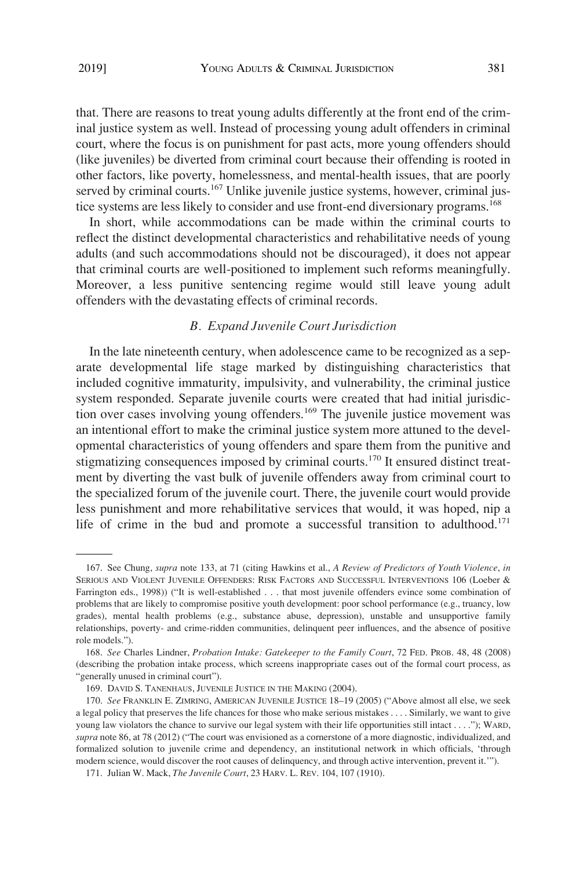that. There are reasons to treat young adults differently at the front end of the criminal justice system as well. Instead of processing young adult offenders in criminal court, where the focus is on punishment for past acts, more young offenders should (like juveniles) be diverted from criminal court because their offending is rooted in other factors, like poverty, homelessness, and mental-health issues, that are poorly served by criminal courts.<sup>167</sup> Unlike juvenile justice systems, however, criminal justice systems are less likely to consider and use front-end diversionary programs.<sup>168</sup>

In short, while accommodations can be made within the criminal courts to reflect the distinct developmental characteristics and rehabilitative needs of young adults (and such accommodations should not be discouraged), it does not appear that criminal courts are well-positioned to implement such reforms meaningfully. Moreover, a less punitive sentencing regime would still leave young adult offenders with the devastating effects of criminal records.

## *B. Expand Juvenile Court Jurisdiction*

In the late nineteenth century, when adolescence came to be recognized as a separate developmental life stage marked by distinguishing characteristics that included cognitive immaturity, impulsivity, and vulnerability, the criminal justice system responded. Separate juvenile courts were created that had initial jurisdiction over cases involving young offenders.<sup>169</sup> The juvenile justice movement was an intentional effort to make the criminal justice system more attuned to the developmental characteristics of young offenders and spare them from the punitive and stigmatizing consequences imposed by criminal courts.<sup>170</sup> It ensured distinct treatment by diverting the vast bulk of juvenile offenders away from criminal court to the specialized forum of the juvenile court. There, the juvenile court would provide less punishment and more rehabilitative services that would, it was hoped, nip a life of crime in the bud and promote a successful transition to adulthood.<sup>171</sup>

<sup>167.</sup> See Chung, *supra* note 133, at 71 (citing Hawkins et al., *A Review of Predictors of Youth Violence*, *in*  SERIOUS AND VIOLENT JUVENILE OFFENDERS: RISK FACTORS AND SUCCESSFUL INTERVENTIONS 106 (Loeber & Farrington eds., 1998)) ("It is well-established . . . that most juvenile offenders evince some combination of problems that are likely to compromise positive youth development: poor school performance (e.g., truancy, low grades), mental health problems (e.g., substance abuse, depression), unstable and unsupportive family relationships, poverty- and crime-ridden communities, delinquent peer influences, and the absence of positive role models.").

<sup>168.</sup> *See* Charles Lindner, *Probation Intake: Gatekeeper to the Family Court*, 72 FED. PROB. 48, 48 (2008) (describing the probation intake process, which screens inappropriate cases out of the formal court process, as "generally unused in criminal court").

<sup>169.</sup> DAVID S. TANENHAUS, JUVENILE JUSTICE IN THE MAKING (2004).

<sup>170.</sup> *See* FRANKLIN E. ZIMRING, AMERICAN JUVENILE JUSTICE 18–19 (2005) ("Above almost all else, we seek a legal policy that preserves the life chances for those who make serious mistakes . . . . Similarly, we want to give young law violators the chance to survive our legal system with their life opportunities still intact . . . ."); WARD, *supra* note 86, at 78 (2012) ("The court was envisioned as a cornerstone of a more diagnostic, individualized, and formalized solution to juvenile crime and dependency, an institutional network in which officials, 'through modern science, would discover the root causes of delinquency, and through active intervention, prevent it.'").

<sup>171.</sup> Julian W. Mack, *The Juvenile Court*, 23 HARV. L. REV. 104, 107 (1910).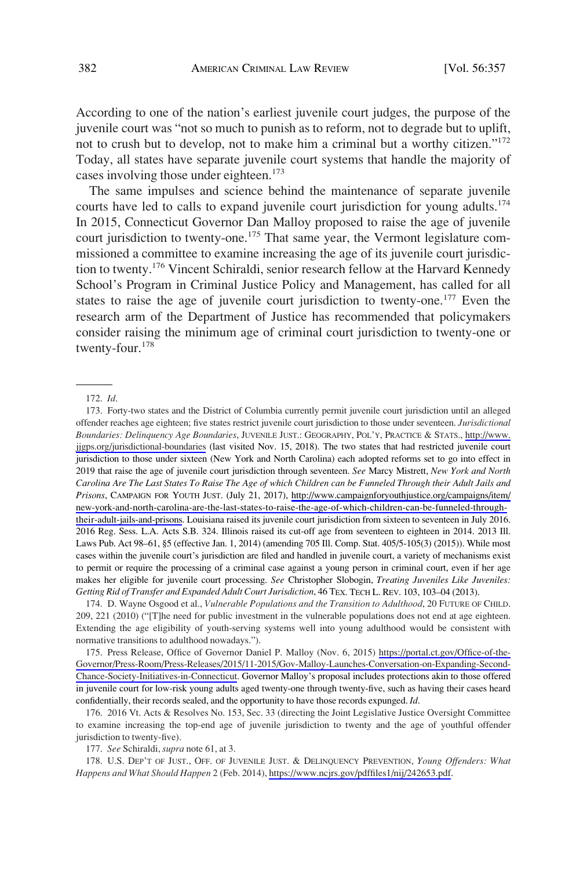According to one of the nation's earliest juvenile court judges, the purpose of the juvenile court was "not so much to punish as to reform, not to degrade but to uplift, not to crush but to develop, not to make him a criminal but a worthy citizen." $172$ Today, all states have separate juvenile court systems that handle the majority of cases involving those under eighteen.<sup>173</sup>

The same impulses and science behind the maintenance of separate juvenile courts have led to calls to expand juvenile court jurisdiction for young adults.<sup>174</sup> In 2015, Connecticut Governor Dan Malloy proposed to raise the age of juvenile court jurisdiction to twenty-one.<sup>175</sup> That same year, the Vermont legislature commissioned a committee to examine increasing the age of its juvenile court jurisdiction to twenty.176 Vincent Schiraldi, senior research fellow at the Harvard Kennedy School's Program in Criminal Justice Policy and Management, has called for all states to raise the age of juvenile court jurisdiction to twenty-one.<sup>177</sup> Even the research arm of the Department of Justice has recommended that policymakers consider raising the minimum age of criminal court jurisdiction to twenty-one or twenty-four.<sup>178</sup>

175. Press Release, Office of Governor Daniel P. Malloy (Nov. 6, 2015) [https://portal.ct.gov/Office-of-the-](https://portal.ct.gov/Office-of-the-Governor/Press-Room/Press-Releases/2015/11-2015/Gov-Malloy-Launches-Conversation-on-Expanding-Second-Chance-Society-Initiatives-in-Connecticut)[Governor/Press-Room/Press-Releases/2015/11-2015/Gov-Malloy-Launches-Conversation-on-Expanding-Second-](https://portal.ct.gov/Office-of-the-Governor/Press-Room/Press-Releases/2015/11-2015/Gov-Malloy-Launches-Conversation-on-Expanding-Second-Chance-Society-Initiatives-in-Connecticut)[Chance-Society-Initiatives-in-Connecticut](https://portal.ct.gov/Office-of-the-Governor/Press-Room/Press-Releases/2015/11-2015/Gov-Malloy-Launches-Conversation-on-Expanding-Second-Chance-Society-Initiatives-in-Connecticut). Governor Malloy's proposal includes protections akin to those offered in juvenile court for low-risk young adults aged twenty-one through twenty-five, such as having their cases heard confidentially, their records sealed, and the opportunity to have those records expunged. *Id*.

177. *See* Schiraldi, *supra* note 61, at 3.

178. U.S. DEP'T OF JUST., OFF. OF JUVENILE JUST. & DELINQUENCY PREVENTION, *Young Offenders: What Happens and What Should Happen* 2 (Feb. 2014),<https://www.ncjrs.gov/pdffiles1/nij/242653.pdf>.

<sup>172.</sup> *Id*.

<sup>173.</sup> Forty-two states and the District of Columbia currently permit juvenile court jurisdiction until an alleged offender reaches age eighteen; five states restrict juvenile court jurisdiction to those under seventeen. *Jurisdictional Boundaries: Delinquency Age Boundaries*, JUVENILE JUST.: GEOGRAPHY, POL'Y, PRACTICE & STATS., [http://www.](http://www.jjgps.org/jurisdictional-boundaries)  [jjgps.org/jurisdictional-boundaries](http://www.jjgps.org/jurisdictional-boundaries) (last visited Nov. 15, 2018). The two states that had restricted juvenile court jurisdiction to those under sixteen (New York and North Carolina) each adopted reforms set to go into effect in 2019 that raise the age of juvenile court jurisdiction through seventeen. *See* Marcy Mistrett, *New York and North Carolina Are The Last States To Raise The Age of which Children can be Funneled Through their Adult Jails and Prisons*, CAMPAIGN FOR YOUTH JUST. (July 21, 2017), [http://www.campaignforyouthjustice.org/campaigns/item/](http://www.campaignforyouthjustice.org/campaigns/item/new-york-and-north-carolina-are-the-last-states-to-raise-the-age-of-which-children-can-be-funneled-through-their-adult-jails-and-prisons)  [new-york-and-north-carolina-are-the-last-states-to-raise-the-age-of-which-children-can-be-funneled-through](http://www.campaignforyouthjustice.org/campaigns/item/new-york-and-north-carolina-are-the-last-states-to-raise-the-age-of-which-children-can-be-funneled-through-their-adult-jails-and-prisons)[their-adult-jails-and-prisons.](http://www.campaignforyouthjustice.org/campaigns/item/new-york-and-north-carolina-are-the-last-states-to-raise-the-age-of-which-children-can-be-funneled-through-their-adult-jails-and-prisons) Louisiana raised its juvenile court jurisdiction from sixteen to seventeen in July 2016. 2016 Reg. Sess. L.A. Acts S.B. 324. Illinois raised its cut-off age from seventeen to eighteen in 2014. 2013 Ill. Laws Pub. Act 98–61, §5 (effective Jan. 1, 2014) (amending 705 Ill. Comp. Stat. 405/5-105(3) (2015)). While most cases within the juvenile court's jurisdiction are filed and handled in juvenile court, a variety of mechanisms exist to permit or require the processing of a criminal case against a young person in criminal court, even if her age makes her eligible for juvenile court processing. *See* Christopher Slobogin, *Treating Juveniles Like Juveniles: Getting Rid of Transfer and Expanded Adult Court Jurisdiction*, 46 TEX. TECH L. REV. 103, 103–04 (2013).

<sup>174.</sup> D. Wayne Osgood et al., *Vulnerable Populations and the Transition to Adulthood*, 20 FUTURE OF CHILD. 209, 221 (2010) ("[T]he need for public investment in the vulnerable populations does not end at age eighteen. Extending the age eligibility of youth-serving systems well into young adulthood would be consistent with normative transitions to adulthood nowadays.").

<sup>176. 2016</sup> Vt. Acts & Resolves No. 153, Sec. 33 (directing the Joint Legislative Justice Oversight Committee to examine increasing the top-end age of juvenile jurisdiction to twenty and the age of youthful offender jurisdiction to twenty-five).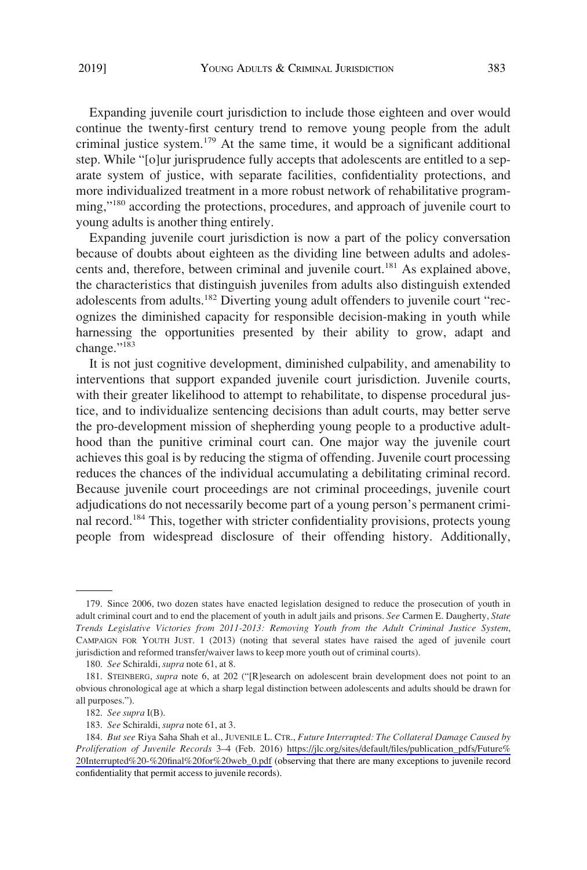Expanding juvenile court jurisdiction to include those eighteen and over would continue the twenty-first century trend to remove young people from the adult criminal justice system.<sup>179</sup> At the same time, it would be a significant additional step. While "[o]ur jurisprudence fully accepts that adolescents are entitled to a separate system of justice, with separate facilities, confidentiality protections, and more individualized treatment in a more robust network of rehabilitative programming,"<sup>180</sup> according the protections, procedures, and approach of juvenile court to young adults is another thing entirely.

Expanding juvenile court jurisdiction is now a part of the policy conversation because of doubts about eighteen as the dividing line between adults and adolescents and, therefore, between criminal and juvenile court.<sup>181</sup> As explained above, the characteristics that distinguish juveniles from adults also distinguish extended adolescents from adults.<sup>182</sup> Diverting young adult offenders to juvenile court "recognizes the diminished capacity for responsible decision-making in youth while harnessing the opportunities presented by their ability to grow, adapt and change."<sup>183</sup>

It is not just cognitive development, diminished culpability, and amenability to interventions that support expanded juvenile court jurisdiction. Juvenile courts, with their greater likelihood to attempt to rehabilitate, to dispense procedural justice, and to individualize sentencing decisions than adult courts, may better serve the pro-development mission of shepherding young people to a productive adulthood than the punitive criminal court can. One major way the juvenile court achieves this goal is by reducing the stigma of offending. Juvenile court processing reduces the chances of the individual accumulating a debilitating criminal record. Because juvenile court proceedings are not criminal proceedings, juvenile court adjudications do not necessarily become part of a young person's permanent criminal record.<sup>184</sup> This, together with stricter confidentiality provisions, protects young people from widespread disclosure of their offending history. Additionally,

<sup>179.</sup> Since 2006, two dozen states have enacted legislation designed to reduce the prosecution of youth in adult criminal court and to end the placement of youth in adult jails and prisons. *See* Carmen E. Daugherty, *State Trends Legislative Victories from 2011-2013: Removing Youth from the Adult Criminal Justice System*, CAMPAIGN FOR YOUTH JUST. 1 (2013) (noting that several states have raised the aged of juvenile court jurisdiction and reformed transfer/waiver laws to keep more youth out of criminal courts).

<sup>180.</sup> *See* Schiraldi, *supra* note 61, at 8.

<sup>181.</sup> STEINBERG, *supra* note 6, at 202 ("[R]esearch on adolescent brain development does not point to an obvious chronological age at which a sharp legal distinction between adolescents and adults should be drawn for all purposes.").

<sup>182.</sup> *See supra* I(B).

<sup>183.</sup> *See* Schiraldi, *supra* note 61, at 3.

*But see* Riya Saha Shah et al., JUVENILE L. CTR., *Future Interrupted: The Collateral Damage Caused by*  184. *Proliferation of Juvenile Records* 3–4 (Feb. 2016) [https://jlc.org/sites/default/files/publication\\_pdfs/Future%](https://jlc.org/sites/default/files/publication_pdfs/Future%20Interrupted%20-%20final%20for%20web_0.pdf) [20Interrupted%20-%20final%20for%20web\\_0.pdf](https://jlc.org/sites/default/files/publication_pdfs/Future%20Interrupted%20-%20final%20for%20web_0.pdf) (observing that there are many exceptions to juvenile record confidentiality that permit access to juvenile records).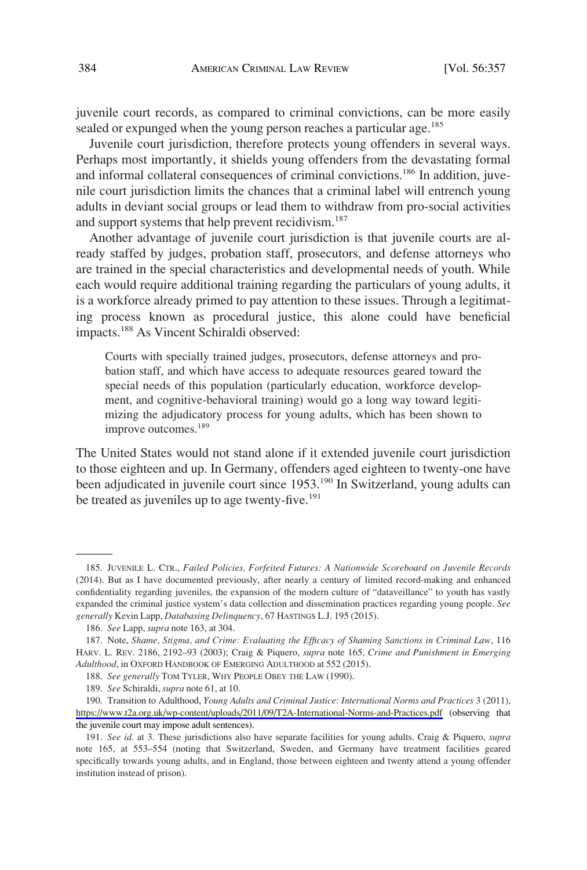juvenile court records, as compared to criminal convictions, can be more easily sealed or expunged when the young person reaches a particular age.<sup>185</sup>

Juvenile court jurisdiction, therefore protects young offenders in several ways. Perhaps most importantly, it shields young offenders from the devastating formal and informal collateral consequences of criminal convictions.<sup>186</sup> In addition, juvenile court jurisdiction limits the chances that a criminal label will entrench young adults in deviant social groups or lead them to withdraw from pro-social activities and support systems that help prevent recidivism.<sup>187</sup>

Another advantage of juvenile court jurisdiction is that juvenile courts are already staffed by judges, probation staff, prosecutors, and defense attorneys who are trained in the special characteristics and developmental needs of youth. While each would require additional training regarding the particulars of young adults, it is a workforce already primed to pay attention to these issues. Through a legitimating process known as procedural justice, this alone could have beneficial impacts.188 As Vincent Schiraldi observed:

Courts with specially trained judges, prosecutors, defense attorneys and probation staff, and which have access to adequate resources geared toward the special needs of this population (particularly education, workforce development, and cognitive-behavioral training) would go a long way toward legitimizing the adjudicatory process for young adults, which has been shown to improve outcomes.<sup>189</sup>

The United States would not stand alone if it extended juvenile court jurisdiction to those eighteen and up. In Germany, offenders aged eighteen to twenty-one have been adjudicated in juvenile court since 1953.<sup>190</sup> In Switzerland, young adults can be treated as juveniles up to age twenty-five.<sup>191</sup>

<sup>185.</sup> JUVENILE L. CTR., *Failed Policies, Forfeited Futures: A Nationwide Scoreboard on Juvenile Records*  (2014). But as I have documented previously, after nearly a century of limited record-making and enhanced confidentiality regarding juveniles, the expansion of the modern culture of "dataveillance" to youth has vastly expanded the criminal justice system's data collection and dissemination practices regarding young people. *See generally* Kevin Lapp, *Databasing Delinquency*, 67 HASTINGS L.J. 195 (2015).

<sup>186.</sup> *See* Lapp, *supra* note 163, at 304.

<sup>187.</sup> Note, *Shame, Stigma, and Crime: Evaluating the Efficacy of Shaming Sanctions in Criminal Law*, 116 HARV. L. REV. 2186, 2192–93 (2003); Craig & Piquero, *supra* note 165, *Crime and Punishment in Emerging Adulthood*, in OXFORD HANDBOOK OF EMERGING ADULTHOOD at 552 (2015).

<sup>188.</sup> *See generally* TOM TYLER, WHY PEOPLE OBEY THE LAW (1990).

<sup>189.</sup> *See* Schiraldi, *supra* note 61, at 10.

<sup>190.</sup> Transition to Adulthood, *Young Adults and Criminal Justice: International Norms and Practices* 3 (2011), <https://www.t2a.org.uk/wp-content/uploads/2011/09/T2A-International-Norms-and-Practices.pdf>(observing that the juvenile court may impose adult sentences).

<sup>191.</sup> *See id*. at 3. These jurisdictions also have separate facilities for young adults. Craig & Piquero, *supra*  note 165, at 553–554 (noting that Switzerland, Sweden, and Germany have treatment facilities geared specifically towards young adults, and in England, those between eighteen and twenty attend a young offender institution instead of prison).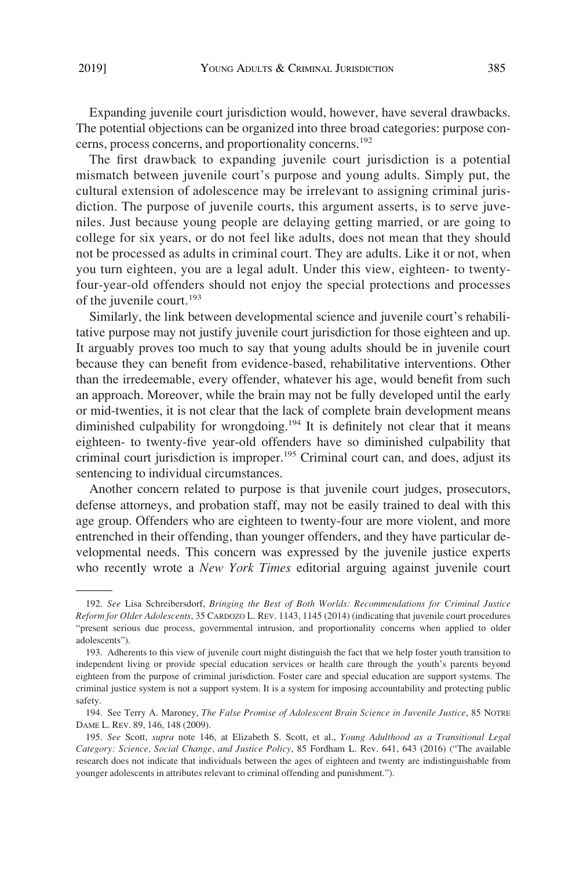Expanding juvenile court jurisdiction would, however, have several drawbacks. The potential objections can be organized into three broad categories: purpose concerns, process concerns, and proportionality concerns.<sup>192</sup>

The first drawback to expanding juvenile court jurisdiction is a potential mismatch between juvenile court's purpose and young adults. Simply put, the cultural extension of adolescence may be irrelevant to assigning criminal jurisdiction. The purpose of juvenile courts, this argument asserts, is to serve juveniles. Just because young people are delaying getting married, or are going to college for six years, or do not feel like adults, does not mean that they should not be processed as adults in criminal court. They are adults. Like it or not, when you turn eighteen, you are a legal adult. Under this view, eighteen- to twentyfour-year-old offenders should not enjoy the special protections and processes of the juvenile court.<sup>193</sup>

Similarly, the link between developmental science and juvenile court's rehabilitative purpose may not justify juvenile court jurisdiction for those eighteen and up. It arguably proves too much to say that young adults should be in juvenile court because they can benefit from evidence-based, rehabilitative interventions. Other than the irredeemable, every offender, whatever his age, would benefit from such an approach. Moreover, while the brain may not be fully developed until the early or mid-twenties, it is not clear that the lack of complete brain development means diminished culpability for wrongdoing.<sup>194</sup> It is definitely not clear that it means eighteen- to twenty-five year-old offenders have so diminished culpability that criminal court jurisdiction is improper.195 Criminal court can, and does, adjust its sentencing to individual circumstances.

Another concern related to purpose is that juvenile court judges, prosecutors, defense attorneys, and probation staff, may not be easily trained to deal with this age group. Offenders who are eighteen to twenty-four are more violent, and more entrenched in their offending, than younger offenders, and they have particular developmental needs. This concern was expressed by the juvenile justice experts who recently wrote a *New York Times* editorial arguing against juvenile court

<sup>192.</sup> *See* Lisa Schreibersdorf, *Bringing the Best of Both Worlds: Recommendations for Criminal Justice Reform for Older Adolescents*, 35 CARDOZO L. REV. 1143, 1145 (2014) (indicating that juvenile court procedures "present serious due process, governmental intrusion, and proportionality concerns when applied to older adolescents").

<sup>193.</sup> Adherents to this view of juvenile court might distinguish the fact that we help foster youth transition to independent living or provide special education services or health care through the youth's parents beyond eighteen from the purpose of criminal jurisdiction. Foster care and special education are support systems. The criminal justice system is not a support system. It is a system for imposing accountability and protecting public safety.

<sup>194.</sup> See Terry A. Maroney, *The False Promise of Adolescent Brain Science in Juvenile Justice*, 85 NOTRE DAME L. REV. 89, 146, 148 (2009).

<sup>195.</sup> *See* Scott, *supra* note 146, at Elizabeth S. Scott, et al., *Young Adulthood as a Transitional Legal Category: Science, Social Change, and Justice Policy*, 85 Fordham L. Rev. 641, 643 (2016) ("The available research does not indicate that individuals between the ages of eighteen and twenty are indistinguishable from younger adolescents in attributes relevant to criminal offending and punishment.").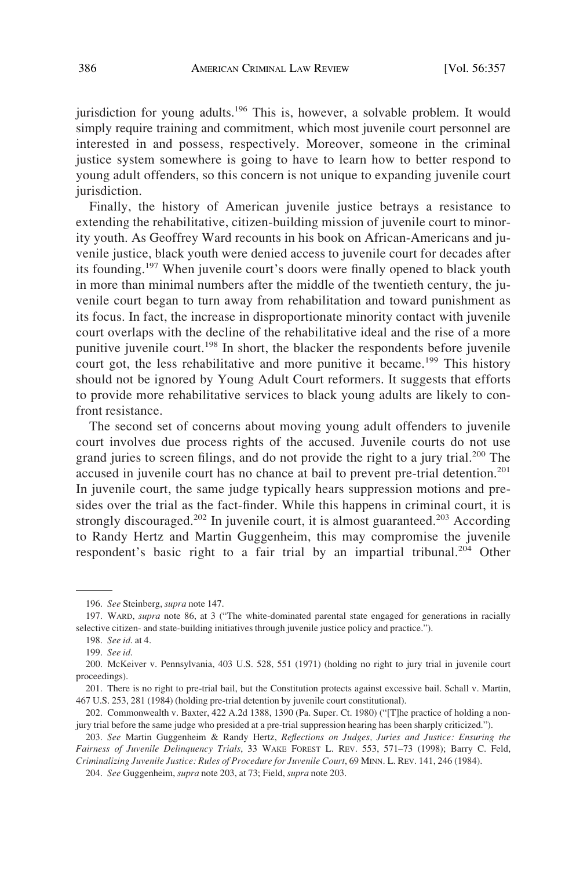jurisdiction for young adults.<sup>196</sup> This is, however, a solvable problem. It would simply require training and commitment, which most juvenile court personnel are interested in and possess, respectively. Moreover, someone in the criminal justice system somewhere is going to have to learn how to better respond to young adult offenders, so this concern is not unique to expanding juvenile court jurisdiction.

Finally, the history of American juvenile justice betrays a resistance to extending the rehabilitative, citizen-building mission of juvenile court to minority youth. As Geoffrey Ward recounts in his book on African-Americans and juvenile justice, black youth were denied access to juvenile court for decades after its founding.<sup>197</sup> When juvenile court's doors were finally opened to black youth in more than minimal numbers after the middle of the twentieth century, the juvenile court began to turn away from rehabilitation and toward punishment as its focus. In fact, the increase in disproportionate minority contact with juvenile court overlaps with the decline of the rehabilitative ideal and the rise of a more punitive juvenile court.<sup>198</sup> In short, the blacker the respondents before juvenile court got, the less rehabilitative and more punitive it became.<sup>199</sup> This history should not be ignored by Young Adult Court reformers. It suggests that efforts to provide more rehabilitative services to black young adults are likely to confront resistance.

The second set of concerns about moving young adult offenders to juvenile court involves due process rights of the accused. Juvenile courts do not use grand juries to screen filings, and do not provide the right to a jury trial.<sup>200</sup> The accused in juvenile court has no chance at bail to prevent pre-trial detention.<sup>201</sup> In juvenile court, the same judge typically hears suppression motions and presides over the trial as the fact-finder. While this happens in criminal court, it is strongly discouraged.<sup>202</sup> In juvenile court, it is almost guaranteed.<sup>203</sup> According to Randy Hertz and Martin Guggenheim, this may compromise the juvenile respondent's basic right to a fair trial by an impartial tribunal.<sup>204</sup> Other

<sup>196.</sup> *See* Steinberg, *supra* note 147.

<sup>197.</sup> WARD, *supra* note 86, at 3 ("The white-dominated parental state engaged for generations in racially selective citizen- and state-building initiatives through juvenile justice policy and practice.").

<sup>198.</sup> *See id*. at 4.

<sup>199.</sup> *See id*.

<sup>200.</sup> McKeiver v. Pennsylvania, 403 U.S. 528, 551 (1971) (holding no right to jury trial in juvenile court proceedings).

<sup>201.</sup> There is no right to pre-trial bail, but the Constitution protects against excessive bail. Schall v. Martin, 467 U.S. 253, 281 (1984) (holding pre-trial detention by juvenile court constitutional).

<sup>202.</sup> Commonwealth v. Baxter, 422 A.2d 1388, 1390 (Pa. Super. Ct. 1980) ("[T]he practice of holding a nonjury trial before the same judge who presided at a pre-trial suppression hearing has been sharply criticized.").

<sup>203.</sup> *See* Martin Guggenheim & Randy Hertz, *Reflections on Judges, Juries and Justice: Ensuring the Fairness of Juvenile Delinquency Trials*, 33 WAKE FOREST L. REV. 553, 571–73 (1998); Barry C. Feld, *Criminalizing Juvenile Justice: Rules of Procedure for Juvenile Court*, 69 MINN. L. REV. 141, 246 (1984).

<sup>204.</sup> *See* Guggenheim, *supra* note 203, at 73; Field, *supra* note 203.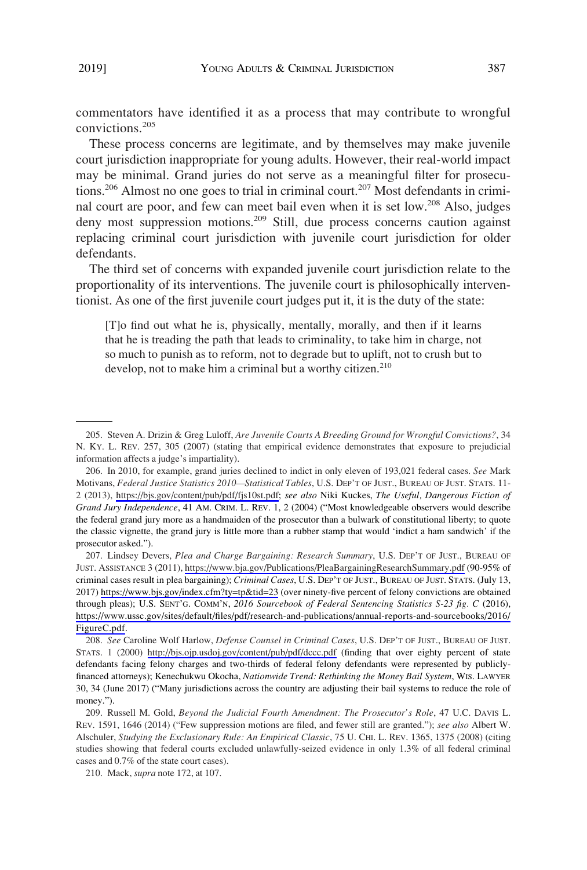commentators have identified it as a process that may contribute to wrongful convictions.<sup>205</sup>

These process concerns are legitimate, and by themselves may make juvenile court jurisdiction inappropriate for young adults. However, their real-world impact may be minimal. Grand juries do not serve as a meaningful filter for prosecutions.<sup>206</sup> Almost no one goes to trial in criminal court.<sup>207</sup> Most defendants in criminal court are poor, and few can meet bail even when it is set low.<sup>208</sup> Also, judges deny most suppression motions.<sup>209</sup> Still, due process concerns caution against replacing criminal court jurisdiction with juvenile court jurisdiction for older defendants.

The third set of concerns with expanded juvenile court jurisdiction relate to the proportionality of its interventions. The juvenile court is philosophically interventionist. As one of the first juvenile court judges put it, it is the duty of the state:

[T]o find out what he is, physically, mentally, morally, and then if it learns that he is treading the path that leads to criminality, to take him in charge, not so much to punish as to reform, not to degrade but to uplift, not to crush but to develop, not to make him a criminal but a worthy citizen. $210$ 

207. Lindsey Devers, *Plea and Charge Bargaining: Research Summary*, U.S. DEP'T OF JUST., BUREAU OF JUST. ASSISTANCE 3 (2011),<https://www.bja.gov/Publications/PleaBargainingResearchSummary.pdf>(90-95% of criminal cases result in plea bargaining); *Criminal Cases*, U.S. DEP'T OF JUST., BUREAU OF JUST. STATS. (July 13, 2017) <https://www.bjs.gov/index.cfm?ty=tp&tid=23> (over ninety-five percent of felony convictions are obtained through pleas); U.S. SENT'G. COMM'N, *2016 Sourcebook of Federal Sentencing Statistics S-23 fig. C* (2016), [https://www.ussc.gov/sites/default/files/pdf/research-and-publications/annual-reports-and-sourcebooks/2016/](https://www.ussc.gov/sites/default/files/pdf/research-and-publications/annual-reports-and-sourcebooks/2016/FigureC.pdf)  [FigureC.pdf.](https://www.ussc.gov/sites/default/files/pdf/research-and-publications/annual-reports-and-sourcebooks/2016/FigureC.pdf)

*See* Caroline Wolf Harlow, *Defense Counsel in Criminal Cases*, U.S. DEP'T OF JUST., BUREAU OF JUST. 208. STATS. 1 (2000) <http://bjs.ojp.usdoj.gov/content/pub/pdf/dccc.pdf>(finding that over eighty percent of state defendants facing felony charges and two-thirds of federal felony defendants were represented by publiclyfinanced attorneys); Kenechukwu Okocha, *Nationwide Trend: Rethinking the Money Bail System*, WIS. LAWYER 30, 34 (June 2017) ("Many jurisdictions across the country are adjusting their bail systems to reduce the role of money.").

<sup>205.</sup> Steven A. Drizin & Greg Luloff, *Are Juvenile Courts A Breeding Ground for Wrongful Convictions?*, 34 N. KY. L. REV. 257, 305 (2007) (stating that empirical evidence demonstrates that exposure to prejudicial information affects a judge's impartiality).

<sup>206.</sup> In 2010, for example, grand juries declined to indict in only eleven of 193,021 federal cases. See Mark Motivans, *Federal Justice Statistics 2010—Statistical Tables*, U.S. DEP'T OF JUST., BUREAU OF JUST. STATS. 11- 2 (2013), [https://bjs.gov/content/pub/pdf/fjs10st.pdf;](https://bjs.gov/content/pub/pdf/fjs10st.pdf) *see also* Niki Kuckes, *The Useful, Dangerous Fiction of Grand Jury Independence*, 41 AM. CRIM. L. REV. 1, 2 (2004) ("Most knowledgeable observers would describe the federal grand jury more as a handmaiden of the prosecutor than a bulwark of constitutional liberty; to quote the classic vignette, the grand jury is little more than a rubber stamp that would 'indict a ham sandwich' if the prosecutor asked.").

<sup>209.</sup> Russell M. Gold, *Beyond the Judicial Fourth Amendment: The Prosecutor's Role*, 47 U.C. DAVIS L. REV. 1591, 1646 (2014) ("Few suppression motions are filed, and fewer still are granted."); *see also* Albert W. Alschuler, *Studying the Exclusionary Rule: An Empirical Classic*, 75 U. CHI. L. REV. 1365, 1375 (2008) (citing studies showing that federal courts excluded unlawfully-seized evidence in only 1.3% of all federal criminal cases and 0.7% of the state court cases).

<sup>210.</sup> Mack, *supra* note 172, at 107.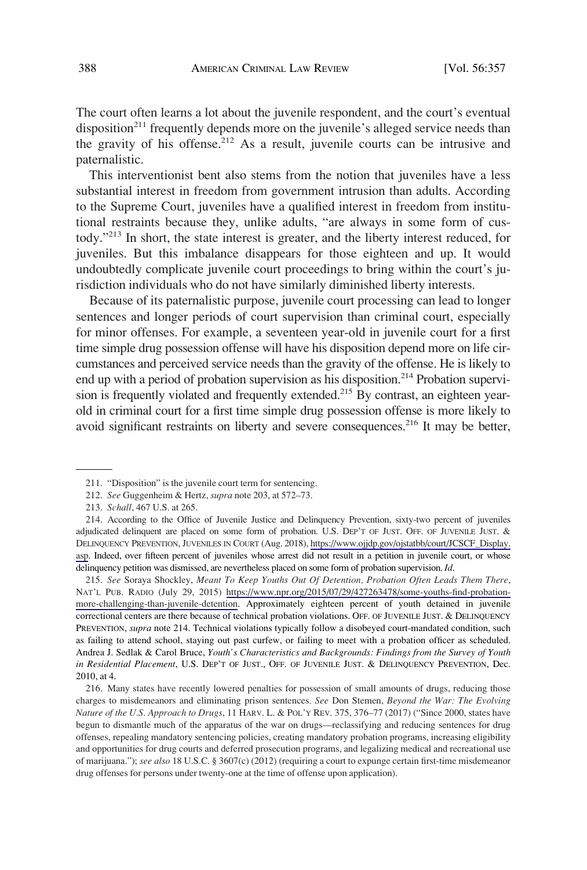The court often learns a lot about the juvenile respondent, and the court's eventual disposition<sup>211</sup> frequently depends more on the juvenile's alleged service needs than the gravity of his offense.<sup>212</sup> As a result, juvenile courts can be intrusive and paternalistic.

This interventionist bent also stems from the notion that juveniles have a less substantial interest in freedom from government intrusion than adults. According to the Supreme Court, juveniles have a qualified interest in freedom from institutional restraints because they, unlike adults, "are always in some form of custody."213 In short, the state interest is greater, and the liberty interest reduced, for juveniles. But this imbalance disappears for those eighteen and up. It would undoubtedly complicate juvenile court proceedings to bring within the court's jurisdiction individuals who do not have similarly diminished liberty interests.

Because of its paternalistic purpose, juvenile court processing can lead to longer sentences and longer periods of court supervision than criminal court, especially for minor offenses. For example, a seventeen year-old in juvenile court for a first time simple drug possession offense will have his disposition depend more on life circumstances and perceived service needs than the gravity of the offense. He is likely to end up with a period of probation supervision as his disposition.<sup>214</sup> Probation supervision is frequently violated and frequently extended.<sup>215</sup> By contrast, an eighteen yearold in criminal court for a first time simple drug possession offense is more likely to avoid significant restraints on liberty and severe consequences.<sup>216</sup> It may be better,

*See* Soraya Shockley, *Meant To Keep Youths Out Of Detention, Probation Often Leads Them There*, 215. NAT'L PUB. RADIO (July 29, 2015) [https://www.npr.org/2015/07/29/427263478/some-youths-find-probation](https://www.npr.org/2015/07/29/427263478/some-youths-find-probation-more-challenging-than-juvenile-detention)[more-challenging-than-juvenile-detention.](https://www.npr.org/2015/07/29/427263478/some-youths-find-probation-more-challenging-than-juvenile-detention) Approximately eighteen percent of youth detained in juvenile correctional centers are there because of technical probation violations. OFF. OF JUVENILE JUST. & DELINQUENCY PREVENTION, *supra* note 214. Technical violations typically follow a disobeyed court-mandated condition, such as failing to attend school, staying out past curfew, or failing to meet with a probation officer as scheduled. Andrea J. Sedlak & Carol Bruce, *Youth's Characteristics and Backgrounds: Findings from the Survey of Youth in Residential Placement*, U.S. DEP'T OF JUST., OFF. OF JUVENILE JUST. & DELINQUENCY PREVENTION, Dec. 2010, at 4.

216. Many states have recently lowered penalties for possession of small amounts of drugs, reducing those charges to misdemeanors and eliminating prison sentences. *See* Don Stemen, *Beyond the War: The Evolving Nature of the U.S. Approach to Drugs*, 11 HARV. L. & POL'Y REV. 375, 376–77 (2017) ("Since 2000, states have begun to dismantle much of the apparatus of the war on drugs—reclassifying and reducing sentences for drug offenses, repealing mandatory sentencing policies, creating mandatory probation programs, increasing eligibility and opportunities for drug courts and deferred prosecution programs, and legalizing medical and recreational use of marijuana."); *see also* 18 U.S.C. § 3607(c) (2012) (requiring a court to expunge certain first-time misdemeanor drug offenses for persons under twenty-one at the time of offense upon application).

<sup>211. &</sup>quot;Disposition" is the juvenile court term for sentencing.

<sup>212.</sup> *See* Guggenheim & Hertz, *supra* note 203, at 572–73.

<sup>213.</sup> *Schall*, 467 U.S. at 265.

According to the Office of Juvenile Justice and Delinquency Prevention, sixty-two percent of juveniles 214. adjudicated delinquent are placed on some form of probation. U.S. DEP'T OF JUST. OFF. OF JUVENILE JUST. & DELINQUENCY PREVENTION, JUVENILES IN COURT (Aug. 2018), [https://www.ojjdp.gov/ojstatbb/court/JCSCF\\_Display.](https://www.ojjdp.gov/ojstatbb/court/JCSCF_Display.asp)  [asp](https://www.ojjdp.gov/ojstatbb/court/JCSCF_Display.asp). Indeed, over fifteen percent of juveniles whose arrest did not result in a petition in juvenile court, or whose delinquency petition was dismissed, are nevertheless placed on some form of probation supervision. *Id*.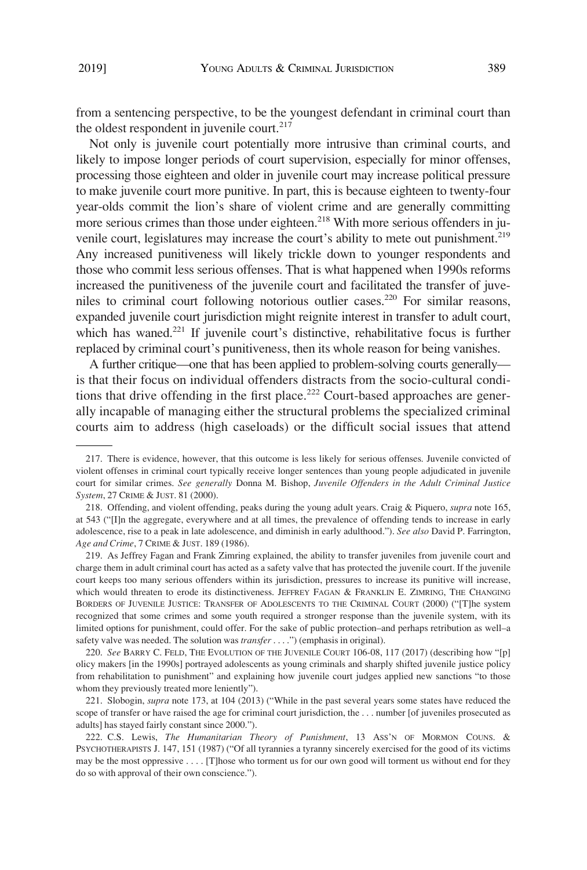from a sentencing perspective, to be the youngest defendant in criminal court than the oldest respondent in juvenile court. $217$ 

Not only is juvenile court potentially more intrusive than criminal courts, and likely to impose longer periods of court supervision, especially for minor offenses, processing those eighteen and older in juvenile court may increase political pressure to make juvenile court more punitive. In part, this is because eighteen to twenty-four year-olds commit the lion's share of violent crime and are generally committing more serious crimes than those under eighteen.<sup>218</sup> With more serious offenders in juvenile court, legislatures may increase the court's ability to mete out punishment.<sup>219</sup> Any increased punitiveness will likely trickle down to younger respondents and those who commit less serious offenses. That is what happened when 1990s reforms increased the punitiveness of the juvenile court and facilitated the transfer of juveniles to criminal court following notorious outlier cases.220 For similar reasons, expanded juvenile court jurisdiction might reignite interest in transfer to adult court, which has waned. $221$  If juvenile court's distinctive, rehabilitative focus is further replaced by criminal court's punitiveness, then its whole reason for being vanishes.

A further critique—one that has been applied to problem-solving courts generally is that their focus on individual offenders distracts from the socio-cultural conditions that drive offending in the first place.<sup>222</sup> Court-based approaches are generally incapable of managing either the structural problems the specialized criminal courts aim to address (high caseloads) or the difficult social issues that attend

219. As Jeffrey Fagan and Frank Zimring explained, the ability to transfer juveniles from juvenile court and charge them in adult criminal court has acted as a safety valve that has protected the juvenile court. If the juvenile court keeps too many serious offenders within its jurisdiction, pressures to increase its punitive will increase, which would threaten to erode its distinctiveness. JEFFREY FAGAN & FRANKLIN E. ZIMRING, THE CHANGING BORDERS OF JUVENILE JUSTICE: TRANSFER OF ADOLESCENTS TO THE CRIMINAL COURT (2000) ("[T]he system recognized that some crimes and some youth required a stronger response than the juvenile system, with its limited options for punishment, could offer. For the sake of public protection–and perhaps retribution as well–a safety valve was needed. The solution was *transfer* . . . .") (emphasis in original).

220. *See* BARRY C. FELD, THE EVOLUTION OF THE JUVENILE COURT 106-08, 117 (2017) (describing how "[p] olicy makers [in the 1990s] portrayed adolescents as young criminals and sharply shifted juvenile justice policy from rehabilitation to punishment" and explaining how juvenile court judges applied new sanctions "to those whom they previously treated more leniently").

221. Slobogin, *supra* note 173, at 104 (2013) ("While in the past several years some states have reduced the scope of transfer or have raised the age for criminal court jurisdiction, the . . . number [of juveniles prosecuted as adults] has stayed fairly constant since 2000.").

222. C.S. Lewis, *The Humanitarian Theory of Punishment*, 13 ASS'N OF MORMON COUNS. & PSYCHOTHERAPISTS J. 147, 151 (1987) ("Of all tyrannies a tyranny sincerely exercised for the good of its victims may be the most oppressive . . . . [T]hose who torment us for our own good will torment us without end for they do so with approval of their own conscience.").

<sup>217.</sup> There is evidence, however, that this outcome is less likely for serious offenses. Juvenile convicted of violent offenses in criminal court typically receive longer sentences than young people adjudicated in juvenile court for similar crimes. *See generally* Donna M. Bishop, *Juvenile Offenders in the Adult Criminal Justice System*, 27 CRIME & JUST. 81 (2000).

<sup>218.</sup> Offending, and violent offending, peaks during the young adult years. Craig & Piquero, *supra* note 165, at 543 ("[I]n the aggregate, everywhere and at all times, the prevalence of offending tends to increase in early adolescence, rise to a peak in late adolescence, and diminish in early adulthood."). *See also* David P. Farrington, *Age and Crime*, 7 CRIME & JUST. 189 (1986).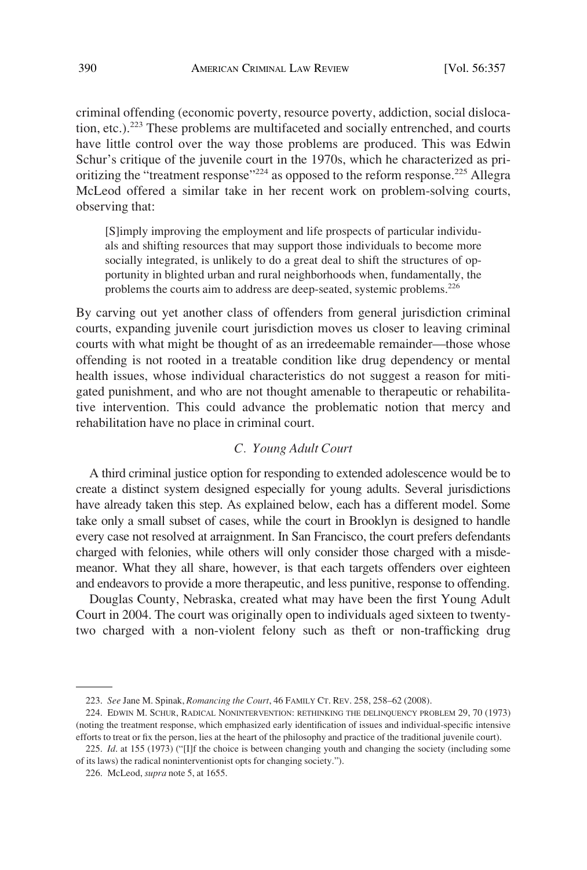criminal offending (economic poverty, resource poverty, addiction, social dislocation, etc.).223 These problems are multifaceted and socially entrenched, and courts have little control over the way those problems are produced. This was Edwin Schur's critique of the juvenile court in the 1970s, which he characterized as prioritizing the "treatment response"<sup>224</sup> as opposed to the reform response.<sup>225</sup> Allegra McLeod offered a similar take in her recent work on problem-solving courts, observing that:

[S]imply improving the employment and life prospects of particular individuals and shifting resources that may support those individuals to become more socially integrated, is unlikely to do a great deal to shift the structures of opportunity in blighted urban and rural neighborhoods when, fundamentally, the problems the courts aim to address are deep-seated, systemic problems.<sup>226</sup>

By carving out yet another class of offenders from general jurisdiction criminal courts, expanding juvenile court jurisdiction moves us closer to leaving criminal courts with what might be thought of as an irredeemable remainder—those whose offending is not rooted in a treatable condition like drug dependency or mental health issues, whose individual characteristics do not suggest a reason for mitigated punishment, and who are not thought amenable to therapeutic or rehabilitative intervention. This could advance the problematic notion that mercy and rehabilitation have no place in criminal court.

# *C. Young Adult Court*

A third criminal justice option for responding to extended adolescence would be to create a distinct system designed especially for young adults. Several jurisdictions have already taken this step. As explained below, each has a different model. Some take only a small subset of cases, while the court in Brooklyn is designed to handle every case not resolved at arraignment. In San Francisco, the court prefers defendants charged with felonies, while others will only consider those charged with a misdemeanor. What they all share, however, is that each targets offenders over eighteen and endeavors to provide a more therapeutic, and less punitive, response to offending.

Douglas County, Nebraska, created what may have been the first Young Adult Court in 2004. The court was originally open to individuals aged sixteen to twentytwo charged with a non-violent felony such as theft or non-trafficking drug

<sup>223.</sup> *See* Jane M. Spinak, *Romancing the Court*, 46 FAMILY CT. REV. 258, 258–62 (2008).

<sup>224.</sup> EDWIN M. SCHUR, RADICAL NONINTERVENTION: RETHINKING THE DELINQUENCY PROBLEM 29, 70 (1973) (noting the treatment response, which emphasized early identification of issues and individual-specific intensive efforts to treat or fix the person, lies at the heart of the philosophy and practice of the traditional juvenile court).

<sup>225.</sup> *Id*. at 155 (1973) ("[I]f the choice is between changing youth and changing the society (including some of its laws) the radical noninterventionist opts for changing society.").

<sup>226.</sup> McLeod, *supra* note 5, at 1655.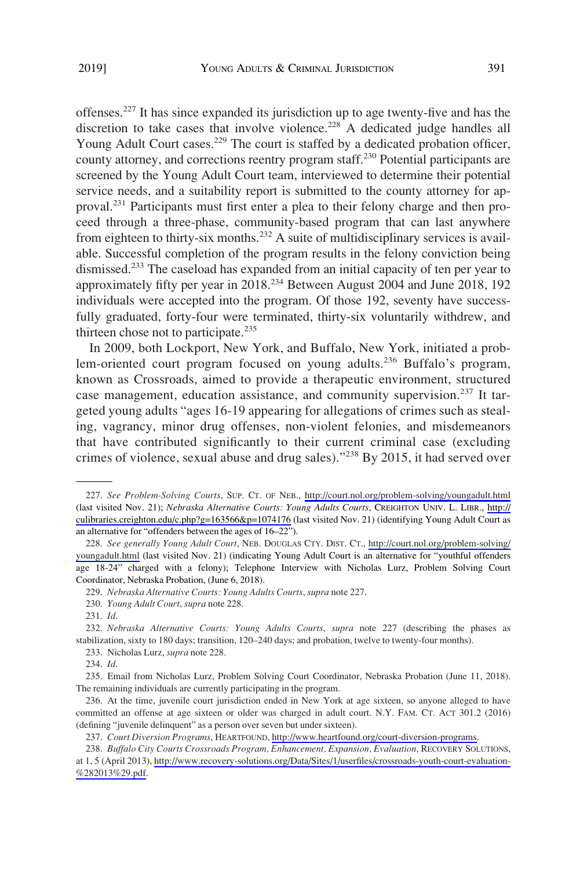offenses.<sup>227</sup> It has since expanded its jurisdiction up to age twenty-five and has the discretion to take cases that involve violence.<sup>228</sup> A dedicated judge handles all Young Adult Court cases.<sup>229</sup> The court is staffed by a dedicated probation officer, county attorney, and corrections reentry program staff.<sup>230</sup> Potential participants are screened by the Young Adult Court team, interviewed to determine their potential service needs, and a suitability report is submitted to the county attorney for approval.231 Participants must first enter a plea to their felony charge and then proceed through a three-phase, community-based program that can last anywhere from eighteen to thirty-six months.232 A suite of multidisciplinary services is available. Successful completion of the program results in the felony conviction being dismissed.<sup>233</sup> The caseload has expanded from an initial capacity of ten per year to approximately fifty per year in 2018.234 Between August 2004 and June 2018, 192 individuals were accepted into the program. Of those 192, seventy have successfully graduated, forty-four were terminated, thirty-six voluntarily withdrew, and thirteen chose not to participate.<sup>235</sup>

In 2009, both Lockport, New York, and Buffalo, New York, initiated a problem-oriented court program focused on young adults.<sup>236</sup> Buffalo's program, known as Crossroads, aimed to provide a therapeutic environment, structured case management, education assistance, and community supervision.<sup>237</sup> It targeted young adults "ages 16-19 appearing for allegations of crimes such as stealing, vagrancy, minor drug offenses, non-violent felonies, and misdemeanors that have contributed significantly to their current criminal case (excluding crimes of violence, sexual abuse and drug sales)."<sup>238</sup> By 2015, it had served over

*See Problem-Solving Courts*, SUP. CT. OF NEB., <http://court.nol.org/problem-solving/youngadult.html> 227. (last visited Nov. 21); *Nebraska Alternative Courts: Young Adults Courts*, CREIGHTON UNIV. L. LIBR., [http://](http://culibraries.creighton.edu/c.php?g=163566&p=1074176) [culibraries.creighton.edu/c.php?g=163566&p=1074176](http://culibraries.creighton.edu/c.php?g=163566&p=1074176) (last visited Nov. 21) (identifying Young Adult Court as an alternative for "offenders between the ages of 16–22").

*See generally Young Adult Court*, NEB. DOUGLAS CTY. DIST. CT., [http://court.nol.org/problem-solving/](http://court.nol.org/problem-solving/youngadult.html)  228. [youngadult.html](http://court.nol.org/problem-solving/youngadult.html) (last visited Nov. 21) (indicating Young Adult Court is an alternative for "youthful offenders age 18-24" charged with a felony); Telephone Interview with Nicholas Lurz, Problem Solving Court Coordinator, Nebraska Probation, (June 6, 2018).

<sup>229.</sup> *Nebraska Alternative Courts: Young Adults Courts*, *supra* note 227.

<sup>230.</sup> *Young Adult Court*, *supra* note 228.

<sup>231.</sup> *Id*.

<sup>232.</sup> *Nebraska Alternative Courts: Young Adults Courts*, *supra* note 227 (describing the phases as stabilization, sixty to 180 days; transition, 120–240 days; and probation, twelve to twenty-four months).

<sup>233.</sup> Nicholas Lurz, *supra* note 228.

<sup>234.</sup> *Id*.

<sup>235.</sup> Email from Nicholas Lurz, Problem Solving Court Coordinator, Nebraska Probation (June 11, 2018). The remaining individuals are currently participating in the program.

<sup>236.</sup> At the time, juvenile court jurisdiction ended in New York at age sixteen, so anyone alleged to have committed an offense at age sixteen or older was charged in adult court. N.Y. FAM. CT. ACT 301.2 (2016) (defining "juvenile delinquent" as a person over seven but under sixteen).

*Court Diversion Programs*, HEARTFOUND, [http://www.heartfound.org/court-diversion-programs.](http://www.heartfound.org/court-diversion-programs) 237.

<sup>238.</sup> Buffalo City Courts Crossroads Program, Enhancement, Expansion, Evaluation, RECOVERY SOLUTIONS, at 1, 5 (April 2013), [http://www.recovery-solutions.org/Data/Sites/1/userfiles/crossroads-youth-court-evaluation-](http://www.recovery-solutions.org/Data/Sites/1/userfiles/crossroads-youth-court-evaluation-%282013%29.pdf)  [%282013%29.pdf.](http://www.recovery-solutions.org/Data/Sites/1/userfiles/crossroads-youth-court-evaluation-%282013%29.pdf)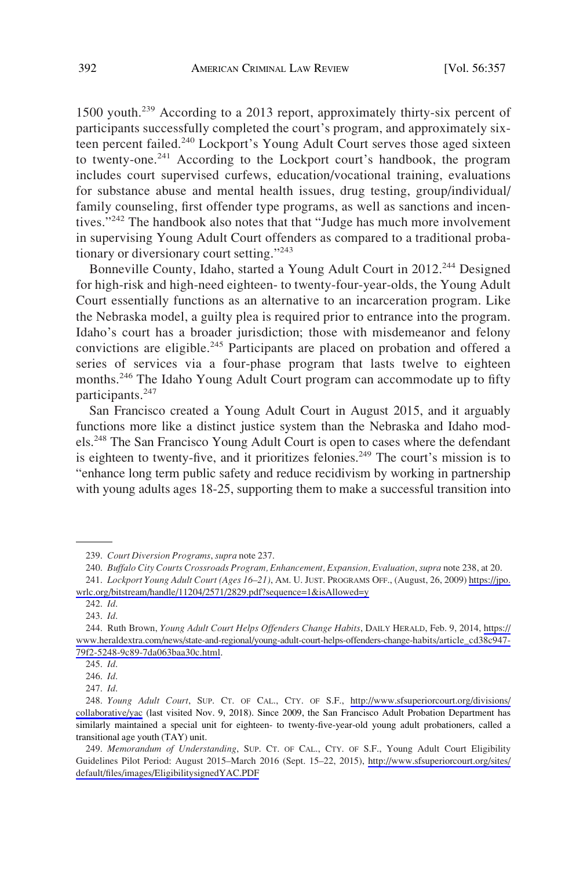1500 youth.239 According to a 2013 report, approximately thirty-six percent of participants successfully completed the court's program, and approximately sixteen percent failed.<sup>240</sup> Lockport's Young Adult Court serves those aged sixteen to twenty-one.<sup>241</sup> According to the Lockport court's handbook, the program includes court supervised curfews, education/vocational training, evaluations for substance abuse and mental health issues, drug testing, group/individual/ family counseling, first offender type programs, as well as sanctions and incentives."<sup>242</sup> The handbook also notes that that "Judge has much more involvement in supervising Young Adult Court offenders as compared to a traditional probationary or diversionary court setting."<sup>243</sup>

Bonneville County, Idaho, started a Young Adult Court in 2012.<sup>244</sup> Designed for high-risk and high-need eighteen- to twenty-four-year-olds, the Young Adult Court essentially functions as an alternative to an incarceration program. Like the Nebraska model, a guilty plea is required prior to entrance into the program. Idaho's court has a broader jurisdiction; those with misdemeanor and felony convictions are eligible.<sup>245</sup> Participants are placed on probation and offered a series of services via a four-phase program that lasts twelve to eighteen months.<sup>246</sup> The Idaho Young Adult Court program can accommodate up to fifty participants.<sup>247</sup>

San Francisco created a Young Adult Court in August 2015, and it arguably functions more like a distinct justice system than the Nebraska and Idaho models.<sup>248</sup> The San Francisco Young Adult Court is open to cases where the defendant is eighteen to twenty-five, and it prioritizes felonies.<sup>249</sup> The court's mission is to "enhance long term public safety and reduce recidivism by working in partnership with young adults ages 18-25, supporting them to make a successful transition into

247. *Id*.

<sup>239.</sup> *Court Diversion Programs*, *supra* note 237.

<sup>240.</sup> *Buffalo City Courts Crossroads Program, Enhancement, Expansion, Evaluation*, *supra* note 238, at 20.

*Lockport Young Adult Court (Ages 16–21)*, AM. U. JUST. PROGRAMS OFF., (August, 26, 2009) [https://jpo.](https://jpo.wrlc.org/bitstream/handle/11204/2571/2829.pdf?sequence=1&isAllowed=y)  241. [wrlc.org/bitstream/handle/11204/2571/2829.pdf?sequence=1&isAllowed=y](https://jpo.wrlc.org/bitstream/handle/11204/2571/2829.pdf?sequence=1&isAllowed=y)

<sup>242.</sup> *Id*.

<sup>243.</sup> *Id*.

Ruth Brown, *Young Adult Court Helps Offenders Change Habits*, DAILY HERALD, Feb. 9, 2014, [https://](https://www.heraldextra.com/news/state-and-regional/young-adult-court-helps-offenders-change-habits/article_cd38c947-79f2-5248-9c89-7da063baa30c.html) 244. [www.heraldextra.com/news/state-and-regional/young-adult-court-helps-offenders-change-habits/article\\_cd38c947-](https://www.heraldextra.com/news/state-and-regional/young-adult-court-helps-offenders-change-habits/article_cd38c947-79f2-5248-9c89-7da063baa30c.html) [79f2-5248-9c89-7da063baa30c.html.](https://www.heraldextra.com/news/state-and-regional/young-adult-court-helps-offenders-change-habits/article_cd38c947-79f2-5248-9c89-7da063baa30c.html)

<sup>245.</sup> *Id*.

<sup>246.</sup> *Id*.

*Young Adult Court*, SUP. CT. OF CAL., CTY. OF S.F., [http://www.sfsuperiorcourt.org/divisions/](https://www.sfsuperiorcourt.org/divisions/collaborative/yac) 248. [collaborative/yac](https://www.sfsuperiorcourt.org/divisions/collaborative/yac) (last visited Nov. 9, 2018). Since 2009, the San Francisco Adult Probation Department has similarly maintained a special unit for eighteen- to twenty-five-year-old young adult probationers, called a transitional age youth (TAY) unit.

*Memorandum of Understanding*, SUP. CT. OF CAL., CTY. OF S.F., Young Adult Court Eligibility 249. Guidelines Pilot Period: August 2015–March 2016 (Sept. 15–22, 2015), [http://www.sfsuperiorcourt.org/sites/](http://www.sfsuperiorcourt.org/sites/default/files/images/EligibilitysignedYAC.PDF)  [default/files/images/EligibilitysignedYAC.PDF](http://www.sfsuperiorcourt.org/sites/default/files/images/EligibilitysignedYAC.PDF)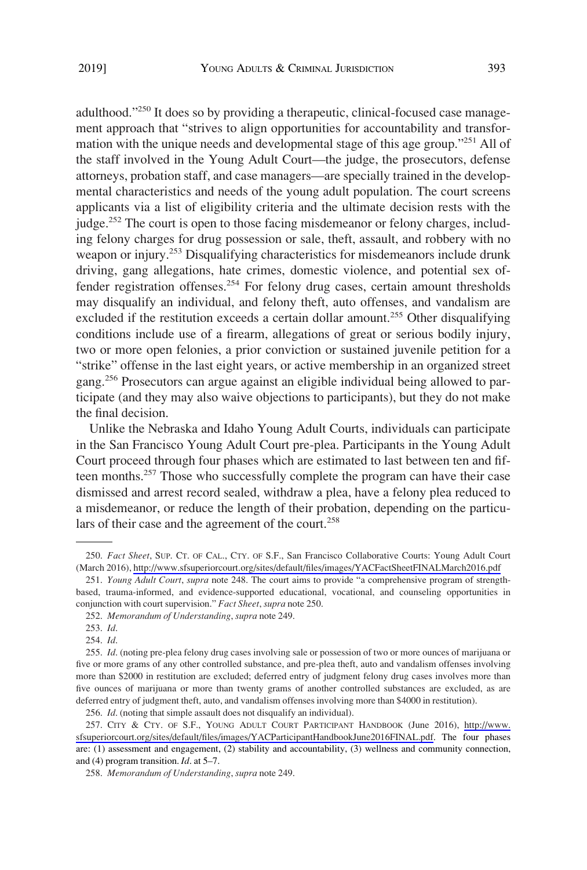adulthood."<sup>250</sup> It does so by providing a therapeutic, clinical-focused case management approach that "strives to align opportunities for accountability and transformation with the unique needs and developmental stage of this age group."<sup>251</sup> All of the staff involved in the Young Adult Court—the judge, the prosecutors, defense attorneys, probation staff, and case managers—are specially trained in the developmental characteristics and needs of the young adult population. The court screens applicants via a list of eligibility criteria and the ultimate decision rests with the judge.<sup>252</sup> The court is open to those facing misdemeanor or felony charges, including felony charges for drug possession or sale, theft, assault, and robbery with no weapon or injury.<sup>253</sup> Disqualifying characteristics for misdemeanors include drunk driving, gang allegations, hate crimes, domestic violence, and potential sex offender registration offenses.<sup>254</sup> For felony drug cases, certain amount thresholds may disqualify an individual, and felony theft, auto offenses, and vandalism are excluded if the restitution exceeds a certain dollar amount.<sup>255</sup> Other disqualifying conditions include use of a firearm, allegations of great or serious bodily injury, two or more open felonies, a prior conviction or sustained juvenile petition for a "strike" offense in the last eight years, or active membership in an organized street gang.256 Prosecutors can argue against an eligible individual being allowed to participate (and they may also waive objections to participants), but they do not make the final decision.

Unlike the Nebraska and Idaho Young Adult Courts, individuals can participate in the San Francisco Young Adult Court pre-plea. Participants in the Young Adult Court proceed through four phases which are estimated to last between ten and fifteen months.<sup>257</sup> Those who successfully complete the program can have their case dismissed and arrest record sealed, withdraw a plea, have a felony plea reduced to a misdemeanor, or reduce the length of their probation, depending on the particulars of their case and the agreement of the court.<sup>258</sup>

<sup>250.</sup> Fact Sheet, SUP. CT. OF CAL., CTY. OF S.F., San Francisco Collaborative Courts: Young Adult Court (March 2016), <http://www.sfsuperiorcourt.org/sites/default/files/images/YACFactSheetFINALMarch2016.pdf>

<sup>251.</sup> *Young Adult Court*, *supra* note 248. The court aims to provide "a comprehensive program of strengthbased, trauma-informed, and evidence-supported educational, vocational, and counseling opportunities in conjunction with court supervision." *Fact Sheet*, *supra* note 250.

<sup>252.</sup> *Memorandum of Understanding*, *supra* note 249.

<sup>253.</sup> *Id*.

<sup>254.</sup> *Id*.

<sup>255.</sup> *Id*. (noting pre-plea felony drug cases involving sale or possession of two or more ounces of marijuana or five or more grams of any other controlled substance, and pre-plea theft, auto and vandalism offenses involving more than \$2000 in restitution are excluded; deferred entry of judgment felony drug cases involves more than five ounces of marijuana or more than twenty grams of another controlled substances are excluded, as are deferred entry of judgment theft, auto, and vandalism offenses involving more than \$4000 in restitution).

<sup>256.</sup> *Id*. (noting that simple assault does not disqualify an individual).

<sup>257.</sup> CITY & CTY. OF S.F., YOUNG ADULT COURT PARTICIPANT HANDBOOK (June 2016), [http://www.](http://www.sfsuperiorcourt.org/sites/default/files/images/YACParticipantHandbookJune2016FINAL.pdf) [sfsuperiorcourt.org/sites/default/files/images/YACParticipantHandbookJune2016FINAL.pdf.](http://www.sfsuperiorcourt.org/sites/default/files/images/YACParticipantHandbookJune2016FINAL.pdf) The four phases are: (1) assessment and engagement, (2) stability and accountability, (3) wellness and community connection, and (4) program transition. *Id*. at 5–7.

<sup>258.</sup> *Memorandum of Understanding*, *supra* note 249.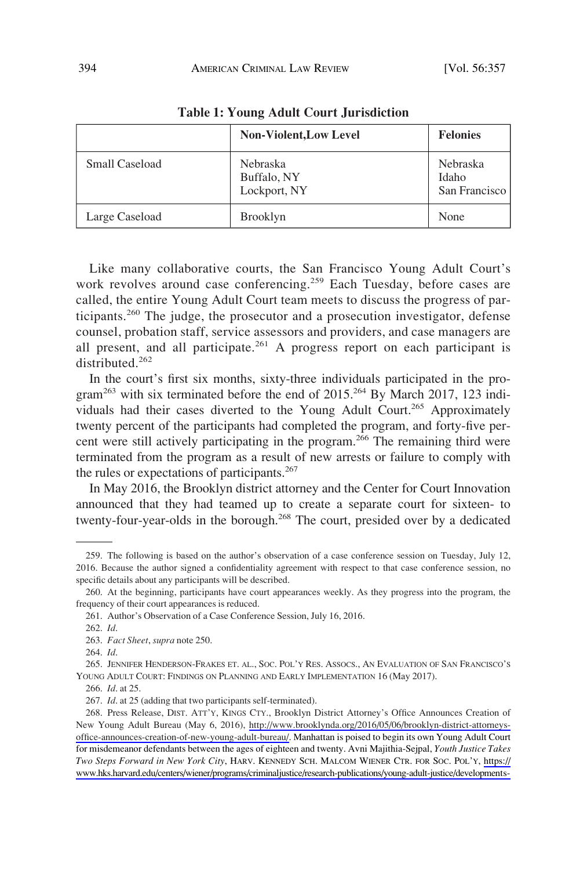|                       | <b>Non-Violent, Low Level</b>                  | <b>Felonies</b>                    |
|-----------------------|------------------------------------------------|------------------------------------|
| <b>Small Caseload</b> | <b>Nebraska</b><br>Buffalo, NY<br>Lockport, NY | Nebraska<br>Idaho<br>San Francisco |
| Large Caseload        | <b>Brooklyn</b>                                | None                               |

**Table 1: Young Adult Court Jurisdiction** 

Like many collaborative courts, the San Francisco Young Adult Court's work revolves around case conferencing.<sup>259</sup> Each Tuesday, before cases are called, the entire Young Adult Court team meets to discuss the progress of participants.260 The judge, the prosecutor and a prosecution investigator, defense counsel, probation staff, service assessors and providers, and case managers are all present, and all participate.<sup>261</sup> A progress report on each participant is distributed<sup>262</sup>

In the court's first six months, sixty-three individuals participated in the program<sup>263</sup> with six terminated before the end of  $2015$ .<sup>264</sup> By March 2017, 123 individuals had their cases diverted to the Young Adult Court.<sup>265</sup> Approximately twenty percent of the participants had completed the program, and forty-five percent were still actively participating in the program.<sup>266</sup> The remaining third were terminated from the program as a result of new arrests or failure to comply with the rules or expectations of participants.<sup>267</sup>

In May 2016, the Brooklyn district attorney and the Center for Court Innovation announced that they had teamed up to create a separate court for sixteen- to twenty-four-year-olds in the borough.<sup>268</sup> The court, presided over by a dedicated

<sup>259.</sup> The following is based on the author's observation of a case conference session on Tuesday, July 12, 2016. Because the author signed a confidentiality agreement with respect to that case conference session, no specific details about any participants will be described.

<sup>260.</sup> At the beginning, participants have court appearances weekly. As they progress into the program, the frequency of their court appearances is reduced.

<sup>261.</sup> Author's Observation of a Case Conference Session, July 16, 2016.

<sup>262.</sup> *Id*.

<sup>263.</sup> *Fact Sheet*, *supra* note 250.

<sup>264.</sup> *Id*.

<sup>265.</sup> JENNIFER HENDERSON-FRAKES ET. AL., SOC. POL'Y RES. ASSOCS., AN EVALUATION OF SAN FRANCISCO'S YOUNG ADULT COURT: FINDINGS ON PLANNING AND EARLY IMPLEMENTATION 16 (May 2017).

<sup>266.</sup> *Id*. at 25.

<sup>267.</sup> *Id*. at 25 (adding that two participants self-terminated).

<sup>268.</sup> Press Release, DIST. ATT'Y, KINGS CTY., Brooklyn District Attorney's Office Announces Creation of New Young Adult Bureau (May 6, 2016), [http://www.brooklynda.org/2016/05/06/brooklyn-district-attorneys](http://www.brooklynda.org/2016/05/06/brooklyn-district-attorneys-office-announces-creation-of-new-young-adult-bureau/)[office-announces-creation-of-new-young-adult-bureau/](http://www.brooklynda.org/2016/05/06/brooklyn-district-attorneys-office-announces-creation-of-new-young-adult-bureau/). Manhattan is poised to begin its own Young Adult Court for misdemeanor defendants between the ages of eighteen and twenty. Avni Majithia-Sejpal, *Youth Justice Takes Two Steps Forward in New York City*, HARV. KENNEDY SCH. MALCOM WIENER CTR. FOR SOC. POL'Y, [https://](https://www.hks.harvard.edu/centers/wiener/programs/criminaljustice/research-publications/young-adult-justice/developments-in-young-adult-justice/youth-justice-takes-two-steps-forward-in-new-york-city#new_adult) [www.hks.harvard.edu/centers/wiener/programs/criminaljustice/research-publications/young-adult-justice/developments-](https://www.hks.harvard.edu/centers/wiener/programs/criminaljustice/research-publications/young-adult-justice/developments-in-young-adult-justice/youth-justice-takes-two-steps-forward-in-new-york-city#new_adult)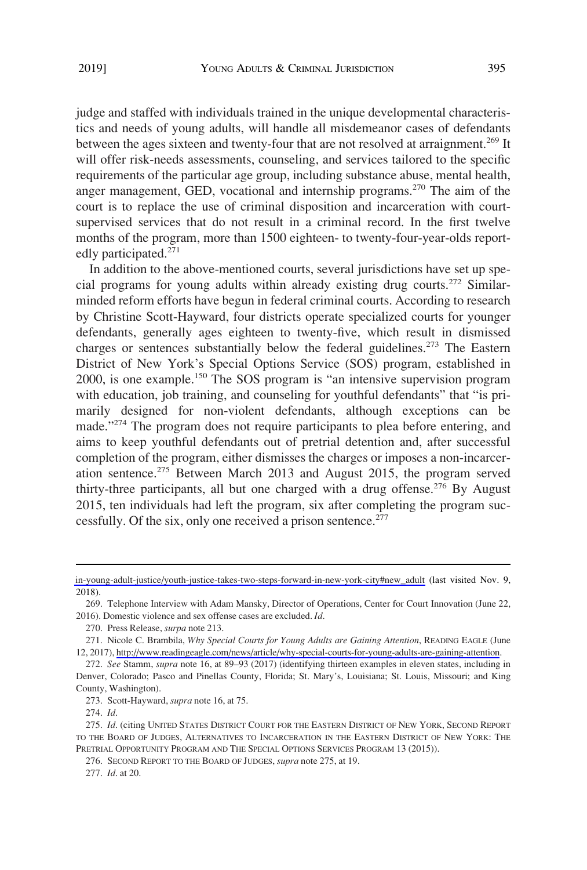judge and staffed with individuals trained in the unique developmental characteristics and needs of young adults, will handle all misdemeanor cases of defendants between the ages sixteen and twenty-four that are not resolved at arraignment.<sup>269</sup> It will offer risk-needs assessments, counseling, and services tailored to the specific requirements of the particular age group, including substance abuse, mental health, anger management, GED, vocational and internship programs.<sup>270</sup> The aim of the court is to replace the use of criminal disposition and incarceration with courtsupervised services that do not result in a criminal record. In the first twelve months of the program, more than 1500 eighteen- to twenty-four-year-olds reportedly participated.<sup>271</sup>

In addition to the above-mentioned courts, several jurisdictions have set up special programs for young adults within already existing drug courts.272 Similarminded reform efforts have begun in federal criminal courts. According to research by Christine Scott-Hayward, four districts operate specialized courts for younger defendants, generally ages eighteen to twenty-five, which result in dismissed charges or sentences substantially below the federal guidelines.<sup>273</sup> The Eastern District of New York's Special Options Service (SOS) program, established in 2000, is one example.<sup>150</sup> The SOS program is "an intensive supervision program with education, job training, and counseling for youthful defendants" that "is primarily designed for non-violent defendants, although exceptions can be made."<sup>274</sup> The program does not require participants to plea before entering, and aims to keep youthful defendants out of pretrial detention and, after successful completion of the program, either dismisses the charges or imposes a non-incarceration sentence.<sup>275</sup> Between March 2013 and August 2015, the program served thirty-three participants, all but one charged with a drug offense.<sup>276</sup> By August 2015, ten individuals had left the program, six after completing the program successfully. Of the six, only one received a prison sentence.<sup>277</sup>

276. SECOND REPORT TO THE BOARD OF JUDGES, *supra* note 275, at 19.

277. *Id*. at 20.

[in-young-adult-justice/youth-justice-takes-two-steps-forward-in-new-york-city#new\\_adult](https://www.hks.harvard.edu/centers/wiener/programs/criminaljustice/research-publications/young-adult-justice/developments-in-young-adult-justice/youth-justice-takes-two-steps-forward-in-new-york-city#new_adult) (last visited Nov. 9, 2018).

<sup>269.</sup> Telephone Interview with Adam Mansky, Director of Operations, Center for Court Innovation (June 22, 2016). Domestic violence and sex offense cases are excluded. *Id*.

<sup>270.</sup> Press Release, *surpa* note 213.

<sup>271.</sup> Nicole C. Brambila, *Why Special Courts for Young Adults are Gaining Attention*, READING EAGLE (June 12, 2017), [http://www.readingeagle.com/news/article/why-special-courts-for-young-adults-are-gaining-attention.](http://www.readingeagle.com/news/article/why-special-courts-for-young-adults-are-gaining-attention)

<sup>272.</sup> *See* Stamm, *supra* note 16, at 89–93 (2017) (identifying thirteen examples in eleven states, including in Denver, Colorado; Pasco and Pinellas County, Florida; St. Mary's, Louisiana; St. Louis, Missouri; and King County, Washington).

<sup>273.</sup> Scott-Hayward, *supra* note 16, at 75.

<sup>274.</sup> *Id*.

<sup>275.</sup> *Id*. (citing UNITED STATES DISTRICT COURT FOR THE EASTERN DISTRICT OF NEW YORK, SECOND REPORT TO THE BOARD OF JUDGES, ALTERNATIVES TO INCARCERATION IN THE EASTERN DISTRICT OF NEW YORK: THE PRETRIAL OPPORTUNITY PROGRAM AND THE SPECIAL OPTIONS SERVICES PROGRAM 13 (2015)).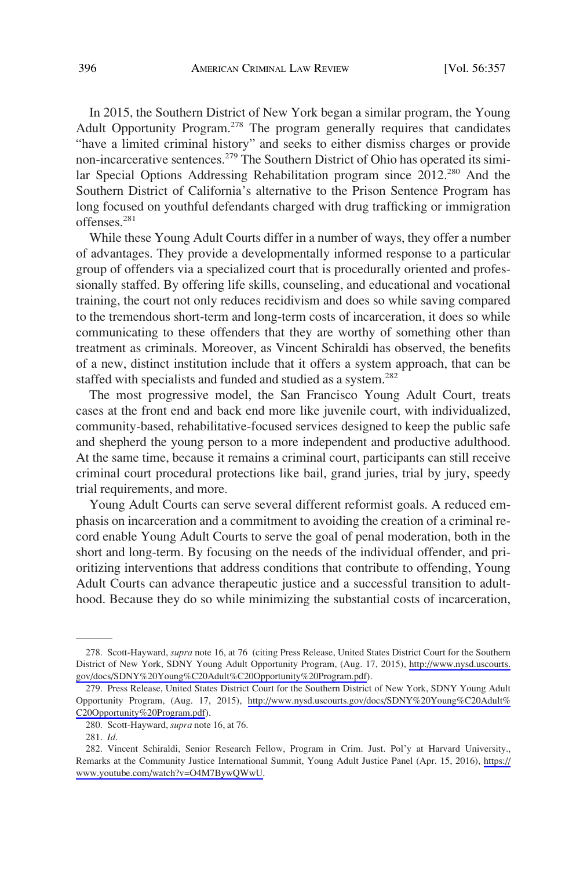In 2015, the Southern District of New York began a similar program, the Young Adult Opportunity Program.<sup>278</sup> The program generally requires that candidates "have a limited criminal history" and seeks to either dismiss charges or provide non-incarcerative sentences.<sup>279</sup> The Southern District of Ohio has operated its similar Special Options Addressing Rehabilitation program since 2012.<sup>280</sup> And the Southern District of California's alternative to the Prison Sentence Program has long focused on youthful defendants charged with drug trafficking or immigration offenses.<sup>281</sup>

While these Young Adult Courts differ in a number of ways, they offer a number of advantages. They provide a developmentally informed response to a particular group of offenders via a specialized court that is procedurally oriented and professionally staffed. By offering life skills, counseling, and educational and vocational training, the court not only reduces recidivism and does so while saving compared to the tremendous short-term and long-term costs of incarceration, it does so while communicating to these offenders that they are worthy of something other than treatment as criminals. Moreover, as Vincent Schiraldi has observed, the benefits of a new, distinct institution include that it offers a system approach, that can be staffed with specialists and funded and studied as a system.<sup>282</sup>

The most progressive model, the San Francisco Young Adult Court, treats cases at the front end and back end more like juvenile court, with individualized, community-based, rehabilitative-focused services designed to keep the public safe and shepherd the young person to a more independent and productive adulthood. At the same time, because it remains a criminal court, participants can still receive criminal court procedural protections like bail, grand juries, trial by jury, speedy trial requirements, and more.

Young Adult Courts can serve several different reformist goals. A reduced emphasis on incarceration and a commitment to avoiding the creation of a criminal record enable Young Adult Courts to serve the goal of penal moderation, both in the short and long-term. By focusing on the needs of the individual offender, and prioritizing interventions that address conditions that contribute to offending, Young Adult Courts can advance therapeutic justice and a successful transition to adulthood. Because they do so while minimizing the substantial costs of incarceration,

<sup>278.</sup> Scott-Hayward, *supra* note 16, at 76 (citing Press Release, United States District Court for the Southern District of New York, SDNY Young Adult Opportunity Program, (Aug. 17, 2015), [http://www.nysd.uscourts.](http://www.nysd.uscourts.gov/docs/SDNY%20Young%C20Adult%C20Opportunity%20Program.pdf)  [gov/docs/SDNY%20Young%C20Adult%C20Opportunity%20Program.pdf\)](http://www.nysd.uscourts.gov/docs/SDNY%20Young%C20Adult%C20Opportunity%20Program.pdf).

<sup>279.</sup> Press Release, United States District Court for the Southern District of New York, SDNY Young Adult Opportunity Program, (Aug. 17, 2015), [http://www.nysd.uscourts.gov/docs/SDNY%20Young%C20Adult%](http://www.nysd.uscourts.gov/docs/SDNY&hx0025;20Young&hx0025;C20Adult&hx0025;C20Opportunity&hx0025;20Program.pdf) [C20Opportunity%20Program.pdf](http://www.nysd.uscourts.gov/docs/SDNY&hx0025;20Young&hx0025;C20Adult&hx0025;C20Opportunity&hx0025;20Program.pdf)).

<sup>280.</sup> Scott-Hayward, *supra* note 16, at 76.

<sup>281.</sup> *Id*.

<sup>282.</sup> Vincent Schiraldi, Senior Research Fellow, Program in Crim. Just. Pol'y at Harvard University., Remarks at the Community Justice International Summit, Young Adult Justice Panel (Apr. 15, 2016), [https://](https://www.youtube.com/watch?v=O4M7BywQWwU) [www.youtube.com/watch?v=O4M7BywQWwU.](https://www.youtube.com/watch?v=O4M7BywQWwU)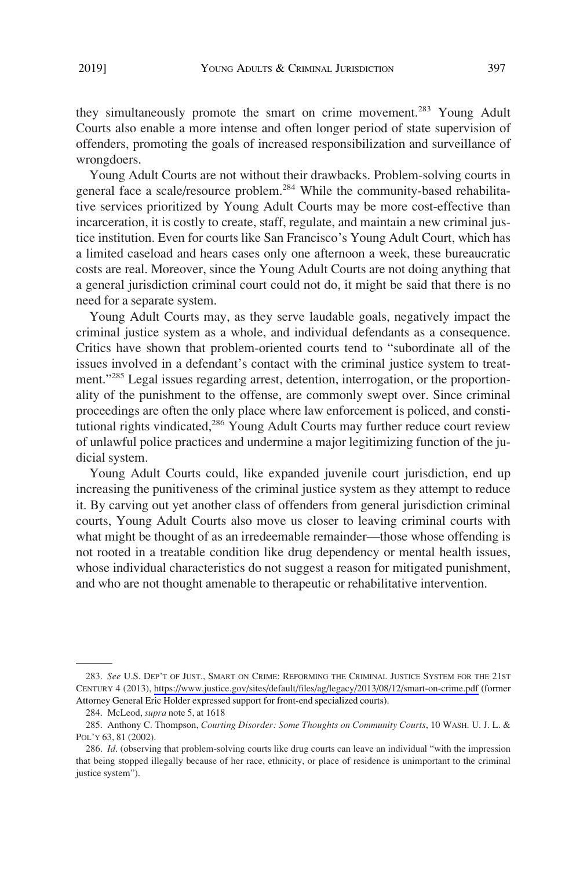they simultaneously promote the smart on crime movement.<sup>283</sup> Young Adult Courts also enable a more intense and often longer period of state supervision of offenders, promoting the goals of increased responsibilization and surveillance of wrongdoers.

Young Adult Courts are not without their drawbacks. Problem-solving courts in general face a scale/resource problem.<sup>284</sup> While the community-based rehabilitative services prioritized by Young Adult Courts may be more cost-effective than incarceration, it is costly to create, staff, regulate, and maintain a new criminal justice institution. Even for courts like San Francisco's Young Adult Court, which has a limited caseload and hears cases only one afternoon a week, these bureaucratic costs are real. Moreover, since the Young Adult Courts are not doing anything that a general jurisdiction criminal court could not do, it might be said that there is no need for a separate system.

Young Adult Courts may, as they serve laudable goals, negatively impact the criminal justice system as a whole, and individual defendants as a consequence. Critics have shown that problem-oriented courts tend to "subordinate all of the issues involved in a defendant's contact with the criminal justice system to treatment."<sup>285</sup> Legal issues regarding arrest, detention, interrogation, or the proportionality of the punishment to the offense, are commonly swept over. Since criminal proceedings are often the only place where law enforcement is policed, and constitutional rights vindicated,<sup>286</sup> Young Adult Courts may further reduce court review of unlawful police practices and undermine a major legitimizing function of the judicial system.

Young Adult Courts could, like expanded juvenile court jurisdiction, end up increasing the punitiveness of the criminal justice system as they attempt to reduce it. By carving out yet another class of offenders from general jurisdiction criminal courts, Young Adult Courts also move us closer to leaving criminal courts with what might be thought of as an irredeemable remainder—those whose offending is not rooted in a treatable condition like drug dependency or mental health issues, whose individual characteristics do not suggest a reason for mitigated punishment, and who are not thought amenable to therapeutic or rehabilitative intervention.

*See* U.S. DEP'T OF JUST., SMART ON CRIME: REFORMING THE CRIMINAL JUSTICE SYSTEM FOR THE 21ST 283. CENTURY 4 (2013), <https://www.justice.gov/sites/default/files/ag/legacy/2013/08/12/smart-on-crime.pdf> (former Attorney General Eric Holder expressed support for front-end specialized courts).

<sup>284.</sup> McLeod, *supra* note 5, at 1618

<sup>285.</sup> Anthony C. Thompson, *Courting Disorder: Some Thoughts on Community Courts*, 10 WASH. U. J. L. & POL'Y 63, 81 (2002).

<sup>286.</sup> *Id*. (observing that problem-solving courts like drug courts can leave an individual "with the impression that being stopped illegally because of her race, ethnicity, or place of residence is unimportant to the criminal justice system").